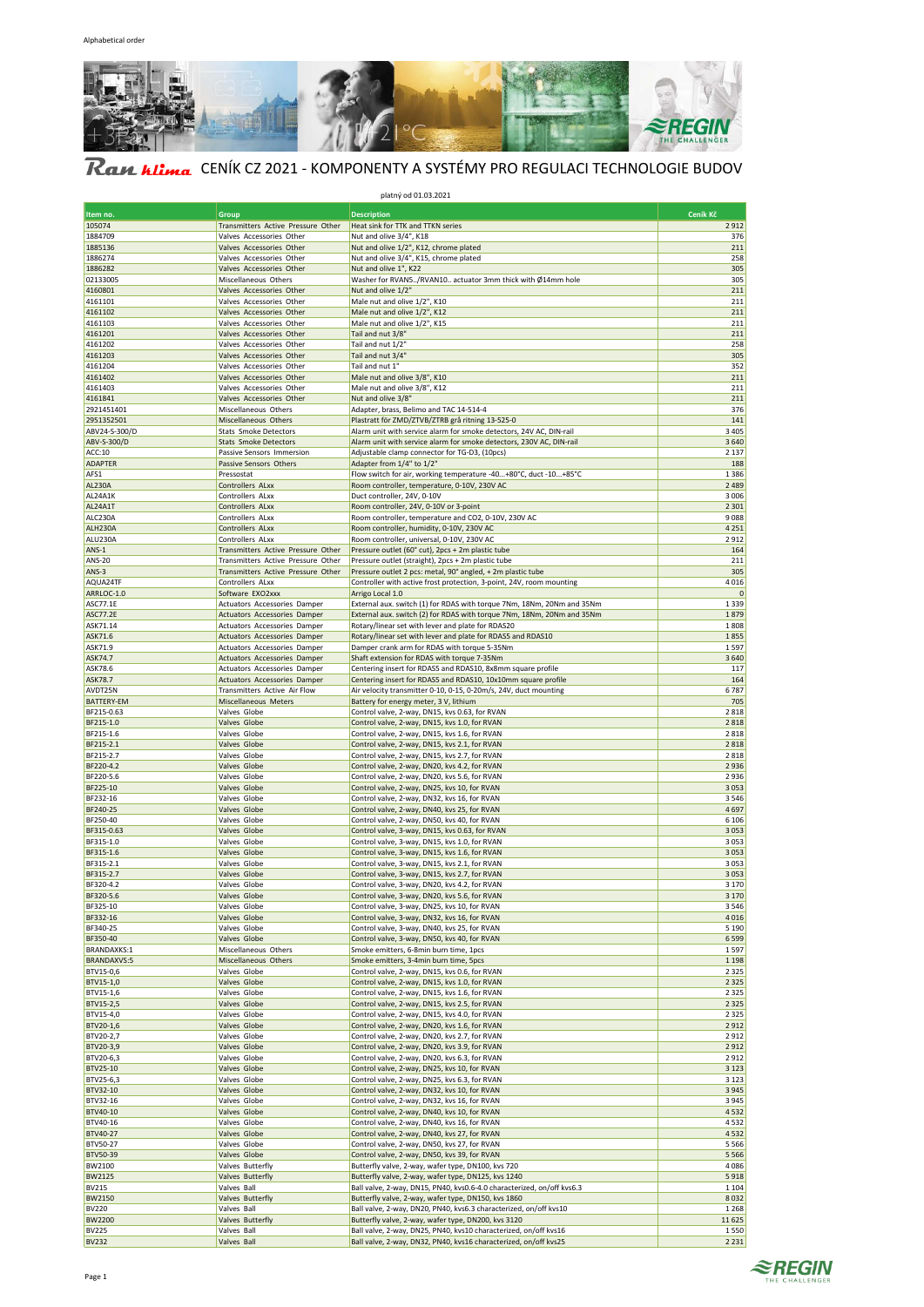

# Ran Hima CENÍK CZ 2021 - KOMPONENTY A SYSTÉMY PRO REGULACI TECHNOLOGIE BUDOV

|                                 |                                                                          | platný od 01.03.2021                                                                                                    |                    |
|---------------------------------|--------------------------------------------------------------------------|-------------------------------------------------------------------------------------------------------------------------|--------------------|
| Item no.                        | Group                                                                    | <b>Description</b>                                                                                                      | Ceník Kč           |
| 105074<br>1884709               | Transmitters Active Pressure Other<br>Valves Accessories Other           | Heat sink for TTK and TTKN series<br>Nut and olive 3/4", K18                                                            | 2912<br>376        |
| 1885136                         | Valves Accessories Other                                                 | Nut and olive 1/2", K12, chrome plated                                                                                  | 211                |
| 1886274                         | Valves Accessories Other                                                 | Nut and olive 3/4", K15, chrome plated                                                                                  | 258                |
| 1886282                         | Valves Accessories Other                                                 | Nut and olive 1", K22                                                                                                   | 305                |
| 02133005<br>4160801             | Miscellaneous Others<br>Valves Accessories Other                         | Washer for RVAN5/RVAN10 actuator 3mm thick with Ø14mm hole<br>Nut and olive 1/2'                                        | 305<br>211         |
| 4161101                         | Valves Accessories Other                                                 | Male nut and olive 1/2", K10                                                                                            | 211                |
| 4161102                         | Valves Accessories Other                                                 | Male nut and olive 1/2", K12                                                                                            | 211                |
| 4161103                         | Valves Accessories Other                                                 | Male nut and olive 1/2", K15                                                                                            | 211                |
| 4161201                         | Valves Accessories Other                                                 | Tail and nut 3/8"                                                                                                       | 211                |
| 4161202<br>4161203              | Valves Accessories Other<br>Valves Accessories Other                     | Tail and nut 1/2"<br>Tail and nut 3/4"                                                                                  | 258<br>305         |
| 4161204                         | Valves Accessories Other                                                 | Tail and nut 1"                                                                                                         | 352                |
| 4161402                         | Valves Accessories Other                                                 | Male nut and olive 3/8", K10                                                                                            | 211                |
| 4161403                         | Valves Accessories Other                                                 | Male nut and olive 3/8", K12                                                                                            | 211                |
| 4161841                         | Valves Accessories Other                                                 | Nut and olive 3/8"                                                                                                      | 211                |
| 2921451401                      | Miscellaneous Others                                                     | Adapter, brass, Belimo and TAC 14-514-4                                                                                 | 376                |
| 2951352501<br>ABV24-S-300/D     | Miscellaneous Others<br>Stats Smoke Detectors                            | Plastratt för ZMD/ZTVB/ZTRB grå ritning 13-525-0<br>Alarm unit with service alarm for smoke detectors, 24V AC, DIN-rail | 141<br>3 4 0 5     |
| ABV-S-300/D                     | <b>Stats Smoke Detectors</b>                                             | Alarm unit with service alarm for smoke detectors, 230V AC, DIN-rail                                                    | 3640               |
| ACC:10                          | Passive Sensors Immersion                                                | Adjustable clamp connector for TG-D3, (10pcs)                                                                           | 2 1 3 7            |
| <b>ADAPTER</b>                  | Passive Sensors Others                                                   | Adapter from 1/4" to 1/2"                                                                                               | 188                |
| AFS1                            | Pressostat                                                               | Flow switch for air, working temperature -40+80°C, duct -10+85°C                                                        | 1386               |
| <b>AL230A</b>                   | Controllers ALxx<br>Controllers ALxx                                     | Room controller, temperature, 0-10V, 230V AC                                                                            | 2 4 8 9<br>3006    |
| AL24A1K<br>AL24A1T              | Controllers ALxx                                                         | Duct controller, 24V, 0-10V<br>Room controller, 24V, 0-10V or 3-point                                                   | 2 3 0 1            |
| ALC230A                         | Controllers ALxx                                                         | Room controller, temperature and CO2, 0-10V, 230V AC                                                                    | 9088               |
| ALH230A                         | Controllers ALxx                                                         | Room controller, humidity, 0-10V, 230V AC                                                                               | 4 2 5 1            |
| ALU230A                         | Controllers ALxx                                                         | Room controller, universal, 0-10V, 230V AC                                                                              | 2912               |
| <b>ANS-1</b>                    | Transmitters Active Pressure Other                                       | Pressure outlet (60° cut), 2pcs + 2m plastic tube                                                                       | 164                |
| <b>ANS-20</b><br>ANS-3          | Transmitters Active Pressure Other<br>Transmitters Active Pressure Other | Pressure outlet (straight), 2pcs + 2m plastic tube<br>Pressure outlet 2 pcs: metal, 90° angled, + 2m plastic tube       | 211<br>305         |
| AQUA24TF                        | Controllers ALxx                                                         | Controller with active frost protection, 3-point, 24V, room mounting                                                    | 4016               |
| ARRLOC-1.0                      | Software EXO2xxx                                                         | Arrigo Local 1.0                                                                                                        | 0                  |
| ASC77.1E                        | Actuators Accessories Damper                                             | External aux. switch (1) for RDAS with torque 7Nm, 18Nm, 20Nm and 35Nm                                                  | 1339               |
| <b>ASC77.2E</b>                 | Actuators Accessories Damper                                             | External aux. switch (2) for RDAS with torque 7Nm, 18Nm, 20Nm and 35Nm                                                  | 1879               |
| ASK71.14<br>ASK71.6             | Actuators Accessories Damper<br>Actuators Accessories Damper             | Rotary/linear set with lever and plate for RDAS20<br>Rotary/linear set with lever and plate for RDAS5 and RDAS10        | 1808<br>1855       |
| ASK71.9                         | Actuators Accessories Damper                                             | Damper crank arm for RDAS with torque 5-35Nm                                                                            | 1597               |
| ASK74.7                         | Actuators Accessories Damper                                             | Shaft extension for RDAS with torque 7-35Nm                                                                             | 3640               |
| ASK78.6                         | Actuators Accessories Damper                                             | Centering insert for RDAS5 and RDAS10, 8x8mm square profile                                                             | 117                |
| <b>ASK78.7</b>                  | Actuators Accessories Damper                                             | Centering insert for RDAS5 and RDAS10, 10x10mm square profile                                                           | 164                |
| AVDT25N                         | Transmitters Active Air Flow                                             | Air velocity transmitter 0-10, 0-15, 0-20m/s, 24V, duct mounting                                                        | 6787<br>705        |
| <b>BATTERY-EM</b><br>BF215-0.63 | Miscellaneous Meters<br>Valves Globe                                     | Battery for energy meter, 3 V, lithium<br>Control valve, 2-way, DN15, kvs 0.63, for RVAN                                | 2818               |
| BF215-1.0                       | Valves Globe                                                             | Control valve, 2-way, DN15, kvs 1.0, for RVAN                                                                           | 2818               |
| BF215-1.6                       | Valves Globe                                                             | Control valve, 2-way, DN15, kvs 1.6, for RVAN                                                                           | 2818               |
| BF215-2.1                       | Valves Globe                                                             | Control valve, 2-way, DN15, kvs 2.1, for RVAN                                                                           | 2818               |
| BF215-2.7                       | Valves Globe                                                             | Control valve, 2-way, DN15, kvs 2.7, for RVAN                                                                           | 2818               |
| BF220-4.2<br>BF220-5.6          | Valves Globe<br>Valves Globe                                             | Control valve, 2-way, DN20, kvs 4.2, for RVAN<br>Control valve, 2-way, DN20, kvs 5.6, for RVAN                          | 2936<br>2936       |
| BF225-10                        | Valves Globe                                                             | Control valve, 2-way, DN25, kvs 10, for RVAN                                                                            | 3053               |
| BF232-16                        | Valves Globe                                                             | Control valve, 2-way, DN32, kvs 16, for RVAN                                                                            | 3546               |
| BF240-25                        | Valves Globe                                                             | Control valve, 2-way, DN40, kvs 25, for RVAN                                                                            | 4697               |
| BF250-40                        | Valves Globe                                                             | Control valve, 2-way, DN50, kvs 40, for RVAN                                                                            | 6 1 0 6            |
| BF315-0.63<br>BF315-1.0         | Valves Globe<br>Valves Globe                                             | Control valve, 3-way, DN15, kvs 0.63, for RVAN<br>Control valve, 3-way, DN15, kvs 1.0, for RVAN                         | 3053<br>3053       |
| BF315-1.6                       | Valves Globe                                                             | Control valve, 3-way, DN15, kvs 1.6, for RVAN                                                                           | 3053               |
| BF315-2.1                       | Valves Globe                                                             | Control valve, 3-way, DN15, kvs 2.1, for RVAN                                                                           | 3053               |
| BF315-2.7                       | Valves Globe                                                             | Control valve, 3-way, DN15, kvs 2.7, for RVAN                                                                           | 3053               |
| BF320-4.2                       | Valves Globe                                                             | Control valve, 3-way, DN20, kvs 4.2, for RVAN                                                                           | 3 1 7 0            |
| BF320-5.6<br>BF325-10           | Valves Globe<br>Valves Globe                                             | Control valve, 3-way, DN20, kvs 5.6, for RVAN<br>Control valve, 3-way, DN25, kvs 10, for RVAN                           | 3 1 7 0<br>3546    |
| BF332-16                        | Valves Globe                                                             | Control valve, 3-way, DN32, kvs 16, for RVAN                                                                            | 4016               |
| BF340-25                        | Valves Globe                                                             | Control valve, 3-way, DN40, kvs 25, for RVAN                                                                            | 5 1 9 0            |
| BF350-40                        | Valves Globe                                                             | Control valve, 3-way, DN50, kvs 40, for RVAN                                                                            | 6599               |
| <b>BRANDAXKS:1</b>              | Miscellaneous Others                                                     | Smoke emitters, 6-8min burn time, 1pcs                                                                                  | 1597               |
| <b>BRANDAXVS:5</b><br>BTV15-0,6 | Miscellaneous Others<br>Valves Globe                                     | Smoke emitters, 3-4min burn time, 5pcs<br>Control valve, 2-way, DN15, kvs 0.6, for RVAN                                 | 1 1 9 8<br>2 3 2 5 |
| BTV15-1,0                       | Valves Globe                                                             | Control valve, 2-way, DN15, kvs 1.0, for RVAN                                                                           | 2 3 2 5            |
| BTV15-1,6                       | Valves Globe                                                             | Control valve, 2-way, DN15, kvs 1.6, for RVAN                                                                           | 2 3 2 5            |
| BTV15-2,5                       | Valves Globe                                                             | Control valve, 2-way, DN15, kvs 2.5, for RVAN                                                                           | 2 3 2 5            |
| BTV15-4,0                       | Valves Globe                                                             | Control valve, 2-way, DN15, kvs 4.0, for RVAN                                                                           | 2 3 2 5            |
| BTV20-1,6                       | Valves Globe                                                             | Control valve, 2-way, DN20, kvs 1.6, for RVAN                                                                           | 2912               |
| BTV20-2,7<br>BTV20-3,9          | Valves Globe<br>Valves Globe                                             | Control valve, 2-way, DN20, kvs 2.7, for RVAN<br>Control valve, 2-way, DN20, kvs 3.9, for RVAN                          | 2912<br>2912       |
| BTV20-6,3                       | Valves Globe                                                             | Control valve, 2-way, DN20, kvs 6.3, for RVAN                                                                           | 2912               |
| BTV25-10                        | Valves Globe                                                             | Control valve, 2-way, DN25, kvs 10, for RVAN                                                                            | 3 1 2 3            |
| BTV25-6,3                       | Valves Globe                                                             | Control valve, 2-way, DN25, kvs 6.3, for RVAN                                                                           | 3 1 2 3            |
| BTV32-10                        | Valves Globe                                                             | Control valve, 2-way, DN32, kvs 10, for RVAN                                                                            | 3945               |
| BTV32-16<br>BTV40-10            | Valves Globe<br>Valves Globe                                             | Control valve, 2-way, DN32, kvs 16, for RVAN<br>Control valve, 2-way, DN40, kvs 10, for RVAN                            | 3945<br>4532       |
| BTV40-16                        | Valves Globe                                                             | Control valve, 2-way, DN40, kvs 16, for RVAN                                                                            | 4532               |
| BTV40-27                        | Valves Globe                                                             | Control valve, 2-way, DN40, kvs 27, for RVAN                                                                            | 4532               |
| <b>BTV50-27</b>                 | Valves Globe                                                             | Control valve, 2-way, DN50, kvs 27, for RVAN                                                                            | 5 5 6 6            |
| <b>BTV50-39</b>                 | Valves Globe                                                             | Control valve, 2-way, DN50, kvs 39, for RVAN                                                                            | 5 5 6 6            |
| <b>BW2100</b><br><b>BW2125</b>  | Valves Butterfly<br>Valves Butterfly                                     | Butterfly valve, 2-way, wafer type, DN100, kvs 720<br>Butterfly valve, 2-way, wafer type, DN125, kvs 1240               | 4086<br>5918       |
| <b>BV215</b>                    | Valves Ball                                                              | Ball valve, 2-way, DN15, PN40, kvs0.6-4.0 characterized, on/off kvs6.3                                                  | 1 1 0 4            |
| <b>BW2150</b>                   | Valves Butterfly                                                         | Butterfly valve, 2-way, wafer type, DN150, kvs 1860                                                                     | 8032               |
| <b>BV220</b>                    | Valves Ball                                                              | Ball valve, 2-way, DN20, PN40, kvs6.3 characterized, on/off kvs10                                                       | 1 2 6 8            |
| <b>BW2200</b>                   | Valves Butterfly                                                         | Butterfly valve, 2-way, wafer type, DN200, kvs 3120                                                                     | 11625              |
| <b>BV225</b>                    | Valves Ball                                                              | Ball valve, 2-way, DN25, PN40, kvs10 characterized, on/off kvs16                                                        | 1550               |

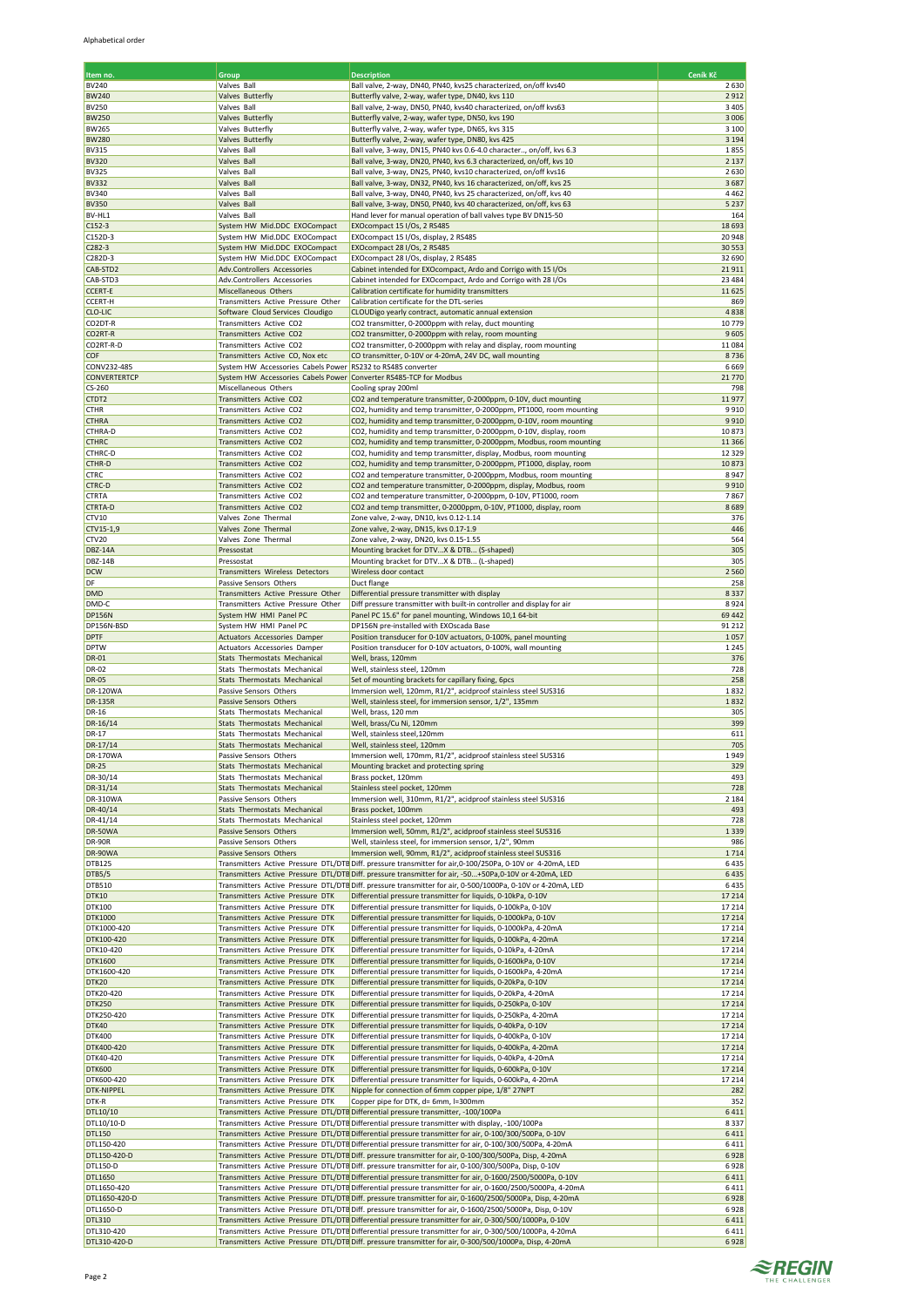| <u>Item no.</u>              | Group                                                                | <b>Description</b>                                                                                                                                                                                                    | Ceník Kč         |
|------------------------------|----------------------------------------------------------------------|-----------------------------------------------------------------------------------------------------------------------------------------------------------------------------------------------------------------------|------------------|
| BV240                        | Valves Ball                                                          | Ball valve, 2-way, DN40, PN40, kvs25 characterized, on/off kvs40                                                                                                                                                      | 2630             |
| <b>BW240</b><br><b>BV250</b> | Valves Butterfly                                                     | Butterfly valve, 2-way, wafer type, DN40, kvs 110                                                                                                                                                                     | 2912<br>3 4 0 5  |
| <b>BW250</b>                 | Valves Ball<br>Valves Butterfly                                      | Ball valve, 2-way, DN50, PN40, kvs40 characterized, on/off kvs63<br>Butterfly valve, 2-way, wafer type, DN50, kvs 190                                                                                                 | 3 0 0 6          |
| <b>BW265</b>                 | Valves Butterfly                                                     | Butterfly valve, 2-way, wafer type, DN65, kvs 315                                                                                                                                                                     | 3 1 0 0          |
| <b>BW280</b>                 | Valves Butterfly                                                     | Butterfly valve, 2-way, wafer type, DN80, kvs 425                                                                                                                                                                     | 3 1 9 4          |
| <b>BV315</b><br><b>BV320</b> | Valves Ball<br>Valves Ball                                           | Ball valve, 3-way, DN15, PN40 kvs 0.6-4.0 character, on/off, kvs 6.3<br>Ball valve, 3-way, DN20, PN40, kvs 6.3 characterized, on/off, kvs 10                                                                          | 1855<br>2 1 3 7  |
| <b>BV325</b>                 | Valves Ball                                                          | Ball valve, 3-way, DN25, PN40, kvs10 characterized, on/off kvs16                                                                                                                                                      | 2630             |
| <b>BV332</b>                 | Valves Ball                                                          | Ball valve, 3-way, DN32, PN40, kvs 16 characterized, on/off, kvs 25                                                                                                                                                   | 3687             |
| <b>BV340</b><br><b>BV350</b> | Valves Ball<br>Valves Ball                                           | Ball valve, 3-way, DN40, PN40, kvs 25 characterized, on/off, kvs 40<br>Ball valve, 3-way, DN50, PN40, kvs 40 characterized, on/off, kvs 63                                                                            | 4462<br>5 2 3 7  |
| BV-HL1                       | Valves Ball                                                          | Hand lever for manual operation of ball valves type BV DN15-50                                                                                                                                                        | 164              |
| $C152-3$                     | System HW Mid.DDC EXOCompact                                         | EXOcompact 15 I/Os, 2 RS485                                                                                                                                                                                           | 18 6 93          |
| C152D-3                      | System HW Mid.DDC EXOCompact                                         | EXOcompact 15 I/Os, display, 2 RS485                                                                                                                                                                                  | 20948            |
| $C282-3$<br>C282D-3          | System HW Mid.DDC EXOCompact<br>System HW Mid.DDC EXOCompact         | EXOcompact 28 I/Os, 2 RS485<br>EXOcompact 28 I/Os, display, 2 RS485                                                                                                                                                   | 30 553<br>32 690 |
| CAB-STD2                     | Adv.Controllers Accessories                                          | Cabinet intended for EXOcompact, Ardo and Corrigo with 15 I/Os                                                                                                                                                        | 21911            |
| CAB-STD3                     | Adv.Controllers Accessories                                          | Cabinet intended for EXOcompact, Ardo and Corrigo with 28 I/Os                                                                                                                                                        | 23 4 8 4         |
| <b>CCERT-E</b><br>CCERT-H    | Miscellaneous Others<br>Transmitters Active Pressure Other           | Calibration certificate for humidity transmitters<br>Calibration certificate for the DTL-series                                                                                                                       | 11625<br>869     |
| CLO-LIC                      | Software Cloud Services Cloudigo                                     | CLOUDigo yearly contract, automatic annual extension                                                                                                                                                                  | 4838             |
| CO2DT-R                      | Transmitters Active CO2                                              | CO2 transmitter, 0-2000ppm with relay, duct mounting                                                                                                                                                                  | 10779            |
| CO2RT-R<br>CO2RT-R-D         | Transmitters Active CO2                                              | CO2 transmitter, 0-2000ppm with relay, room mounting                                                                                                                                                                  | 9605<br>11084    |
| COF                          | Transmitters Active CO2<br>Transmitters Active CO, Nox etc           | CO2 transmitter, 0-2000ppm with relay and display, room mounting<br>CO transmitter, 0-10V or 4-20mA, 24V DC, wall mounting                                                                                            | 8736             |
| CONV232-485                  | System HW Accessories Cabels Power RS232 to RS485 converter          |                                                                                                                                                                                                                       | 6669             |
| CONVERTERTCP                 | System HW Accessories Cabels Power Converter RS485-TCP for Modbus    |                                                                                                                                                                                                                       | 21770            |
| CS-260<br>CTDT2              | Miscellaneous Others<br>Transmitters Active CO2                      | Cooling spray 200ml<br>CO2 and temperature transmitter, 0-2000ppm, 0-10V, duct mounting                                                                                                                               | 798<br>11977     |
| <b>CTHR</b>                  | Transmitters Active CO2                                              | CO2, humidity and temp transmitter, 0-2000ppm, PT1000, room mounting                                                                                                                                                  | 9910             |
| <b>CTHRA</b>                 | Transmitters Active CO2                                              | CO2, humidity and temp transmitter, 0-2000ppm, 0-10V, room mounting                                                                                                                                                   | 9910             |
| CTHRA-D<br><b>CTHRC</b>      | Transmitters Active CO2<br>Transmitters Active CO2                   | CO2, humidity and temp transmitter, 0-2000ppm, 0-10V, display, room                                                                                                                                                   | 10873<br>11 3 66 |
| CTHRC-D                      | Transmitters Active CO2                                              | CO2, humidity and temp transmitter, 0-2000ppm, Modbus, room mounting<br>CO2, humidity and temp transmitter, display, Modbus, room mounting                                                                            | 12 3 29          |
| CTHR-D                       | Transmitters Active CO2                                              | CO2, humidity and temp transmitter, 0-2000ppm, PT1000, display, room                                                                                                                                                  | 10873            |
| <b>CTRC</b>                  | Transmitters Active CO2                                              | CO2 and temperature transmitter, 0-2000ppm, Modbus, room mounting                                                                                                                                                     | 8947             |
| CTRC-D<br><b>CTRTA</b>       | Transmitters Active CO2<br>Transmitters Active CO2                   | CO2 and temperature transmitter, 0-2000ppm, display, Modbus, room<br>CO2 and temperature transmitter, 0-2000ppm, 0-10V, PT1000, room                                                                                  | 9910<br>7867     |
| CTRTA-D                      | Transmitters Active CO2                                              | CO2 and temp transmitter, 0-2000ppm, 0-10V, PT1000, display, room                                                                                                                                                     | 8689             |
| CTV10                        | Valves Zone Thermal                                                  | Zone valve, 2-way, DN10, kvs 0.12-1.14                                                                                                                                                                                | 376              |
| CTV15-1,9<br>CTV20           | Valves Zone Thermal<br>Valves Zone Thermal                           | Zone valve, 2-way, DN15, kvs 0.17-1.9<br>Zone valve, 2-way, DN20, kvs 0.15-1.55                                                                                                                                       | 446<br>564       |
| <b>DBZ-14A</b>               | Pressostat                                                           | Mounting bracket for DTVX & DTB (S-shaped)                                                                                                                                                                            | 305              |
| <b>DBZ-14B</b>               | Pressostat                                                           | Mounting bracket for DTVX & DTB (L-shaped)                                                                                                                                                                            | 305              |
| <b>DCW</b>                   | Transmitters Wireless Detectors                                      | Wireless door contact                                                                                                                                                                                                 | 2 5 6 0          |
| DF<br><b>DMD</b>             | Passive Sensors Others<br>Transmitters Active Pressure Other         | Duct flange<br>Differential pressure transmitter with display                                                                                                                                                         | 258<br>8337      |
| DMD-C                        | Transmitters Active Pressure Other                                   | Diff pressure transmitter with built-in controller and display for air                                                                                                                                                | 8924             |
| <b>DP156N</b>                | System HW HMI Panel PC                                               | Panel PC 15.6" for panel mounting, Windows 10,1 64-bit                                                                                                                                                                | 69 442           |
| DP156N-BSD<br><b>DPTF</b>    | System HW HMI Panel PC<br>Actuators Accessories Damper               | DP156N pre-installed with EXOscada Base<br>Position transducer for 0-10V actuators, 0-100%, panel mounting                                                                                                            | 91 21 2<br>1057  |
| <b>DPTW</b>                  | Actuators Accessories Damper                                         | Position transducer for 0-10V actuators, 0-100%, wall mounting                                                                                                                                                        | 1 2 4 5          |
| DR-01                        | Stats Thermostats Mechanical                                         | Well, brass, 120mm                                                                                                                                                                                                    | 376              |
| DR-02                        | Stats Thermostats Mechanical                                         | Well, stainless steel, 120mm<br>Set of mounting brackets for capillary fixing, 6pcs                                                                                                                                   | 728              |
| <b>DR-05</b><br>DR-120WA     | Stats Thermostats Mechanical<br>Passive Sensors Others               | Immersion well, 120mm, R1/2", acidproof stainless steel SUS316                                                                                                                                                        | 258<br>1832      |
| <b>DR-135R</b>               | Passive Sensors Others                                               | Well, stainless steel, for immersion sensor, 1/2", 135mm                                                                                                                                                              | 1832             |
| DR-16                        | Stats Thermostats Mechanical                                         | Well, brass, 120 mm                                                                                                                                                                                                   | 305              |
| DR-16/14<br>DR-17            | Stats Thermostats Mechanical<br>Stats Thermostats Mechanical         | Well, brass/Cu Ni, 120mm<br>Well, stainless steel, 120mm                                                                                                                                                              | 399<br>611       |
| DR-17/14                     | Stats Thermostats Mechanical                                         | Well, stainless steel, 120mm                                                                                                                                                                                          | 705              |
| DR-170WA                     | Passive Sensors Others                                               | Immersion well, 170mm, R1/2", acidproof stainless steel SUS316                                                                                                                                                        | 1949             |
| <b>DR-25</b><br>DR-30/14     | <b>Stats Thermostats Mechanical</b>                                  | Mounting bracket and protecting spring<br>Brass pocket, 120mm                                                                                                                                                         | 329<br>493       |
| DR-31/14                     | Stats Thermostats Mechanical<br>Stats Thermostats Mechanical         | Stainless steel pocket, 120mm                                                                                                                                                                                         | 728              |
| DR-310WA                     | Passive Sensors Others                                               | Immersion well, 310mm, R1/2", acidproof stainless steel SUS316                                                                                                                                                        | 2 1 8 4          |
| DR-40/14                     | Stats Thermostats Mechanical                                         | Brass pocket, 100mm                                                                                                                                                                                                   | 493              |
| DR-41/14<br>DR-50WA          | Stats Thermostats Mechanical<br>Passive Sensors Others               | Stainless steel pocket, 120mm<br>Immersion well, 50mm, R1/2", acidproof stainless steel SUS316                                                                                                                        | 728<br>1339      |
| <b>DR-90R</b>                | Passive Sensors Others                                               | Well, stainless steel, for immersion sensor, 1/2", 90mm                                                                                                                                                               | 986              |
| DR-90WA                      | Passive Sensors Others                                               | Immersion well, 90mm, R1/2", acidproof stainless steel SUS316                                                                                                                                                         | 1714             |
| <b>DTB125</b>                |                                                                      | Transmitters Active Pressure DTL/DTE Diff. pressure transmitter for air, 0-100/250Pa, 0-10V or 4-20mA, LED                                                                                                            | 6435<br>6435     |
| DTB5/5<br>DTB510             |                                                                      | Transmitters Active Pressure DTL/DTE Diff. pressure transmitter for air, -50+50Pa,0-10V or 4-20mA, LED<br>Transmitters Active Pressure DTL/DTE Diff. pressure transmitter for air, 0-500/1000Pa, 0-10V or 4-20mA, LED | 6435             |
| DTK10                        | Transmitters Active Pressure DTK                                     | Differential pressure transmitter for liquids, 0-10kPa, 0-10V                                                                                                                                                         | 17 214           |
| DTK100                       | Transmitters Active Pressure DTK<br>Transmitters Active Pressure DTK | Differential pressure transmitter for liquids, 0-100kPa, 0-10V<br>Differential pressure transmitter for liquids, 0-1000kPa, 0-10V                                                                                     | 17214            |
| DTK1000<br>DTK1000-420       | Transmitters Active Pressure DTK                                     | Differential pressure transmitter for liquids, 0-1000kPa, 4-20mA                                                                                                                                                      | 17 214<br>17214  |
| DTK100-420                   | Transmitters Active Pressure DTK                                     | Differential pressure transmitter for liquids, 0-100kPa, 4-20mA                                                                                                                                                       | 17214            |
| DTK10-420                    | Transmitters Active Pressure DTK                                     | Differential pressure transmitter for liquids, 0-10kPa, 4-20mA                                                                                                                                                        | 17214            |
| DTK1600<br>DTK1600-420       | Transmitters Active Pressure DTK<br>Transmitters Active Pressure DTK | Differential pressure transmitter for liquids, 0-1600kPa, 0-10V<br>Differential pressure transmitter for liquids, 0-1600kPa, 4-20mA                                                                                   | 17 214<br>17214  |
| DTK20                        | Transmitters Active Pressure DTK                                     | Differential pressure transmitter for liquids, 0-20kPa, 0-10V                                                                                                                                                         | 17 214           |
| DTK20-420                    | Transmitters Active Pressure DTK                                     | Differential pressure transmitter for liquids, 0-20kPa, 4-20mA                                                                                                                                                        | 17214            |
| <b>DTK250</b><br>DTK250-420  | Transmitters Active Pressure DTK<br>Transmitters Active Pressure DTK | Differential pressure transmitter for liquids, 0-250kPa, 0-10V<br>Differential pressure transmitter for liquids, 0-250kPa, 4-20mA                                                                                     | 17 214<br>17214  |
| DTK40                        | Transmitters Active Pressure DTK                                     | Differential pressure transmitter for liquids, 0-40kPa, 0-10V                                                                                                                                                         | 17214            |
| DTK400                       | Transmitters Active Pressure DTK                                     | Differential pressure transmitter for liquids, 0-400kPa, 0-10V                                                                                                                                                        | 17214            |
| DTK400-420<br>DTK40-420      | Transmitters Active Pressure DTK<br>Transmitters Active Pressure DTK | Differential pressure transmitter for liquids, 0-400kPa, 4-20mA<br>Differential pressure transmitter for liquids, 0-40kPa, 4-20mA                                                                                     | 17 214<br>17214  |
| <b>DTK600</b>                | Transmitters Active Pressure DTK                                     | Differential pressure transmitter for liquids, 0-600kPa, 0-10V                                                                                                                                                        | 17 214           |
| DTK600-420                   | Transmitters Active Pressure DTK                                     | Differential pressure transmitter for liquids, 0-600kPa, 4-20mA                                                                                                                                                       | 17214            |
| <b>DTK-NIPPEL</b>            | Transmitters Active Pressure DTK                                     | Nipple for connection of 6mm copper pipe, 1/8" 27NPT                                                                                                                                                                  | 282              |
| DTK-R<br>DTL10/10            | Transmitters Active Pressure DTK                                     | Copper pipe for DTK, d= 6mm, l=300mm<br>Transmitters Active Pressure DTL/DTE Differential pressure transmitter, -100/100Pa                                                                                            | 352<br>6411      |
| DTL10/10-D                   |                                                                      | Transmitters Active Pressure DTL/DTE Differential pressure transmitter with display, -100/100Pa                                                                                                                       | 8337             |
| <b>DTL150</b>                |                                                                      | Transmitters Active Pressure DTL/DTE Differential pressure transmitter for air, 0-100/300/500Pa, 0-10V                                                                                                                | 6411             |
| DTL150-420<br>DTL150-420-D   |                                                                      | Transmitters Active Pressure DTL/DTE Differential pressure transmitter for air, 0-100/300/500Pa, 4-20mA<br>Transmitters Active Pressure DTL/DTB Diff. pressure transmitter for air, 0-100/300/500Pa, Disp, 4-20mA     | 6411<br>6928     |
| DTL150-D                     |                                                                      | Transmitters Active Pressure DTL/DTB Diff. pressure transmitter for air, 0-100/300/500Pa, Disp, 0-10V                                                                                                                 | 6928             |
| DTL1650                      |                                                                      | Transmitters Active Pressure DTL/DTE Differential pressure transmitter for air, 0-1600/2500/5000Pa, 0-10V                                                                                                             | 6411             |
| DTL1650-420                  |                                                                      | Transmitters Active Pressure DTL/DTE Differential pressure transmitter for air, 0-1600/2500/5000Pa, 4-20mA                                                                                                            | 6411             |
| DTL1650-420-D<br>DTL1650-D   |                                                                      | Transmitters Active Pressure DTL/DTE Diff. pressure transmitter for air, 0-1600/2500/5000Pa, Disp, 4-20mA<br>Transmitters Active Pressure DTL/DTE Diff. pressure transmitter for air, 0-1600/2500/5000Pa, Disp, 0-10V | 6928<br>6928     |
| DTL310                       |                                                                      | Transmitters Active Pressure DTL/DTE Differential pressure transmitter for air, 0-300/500/1000Pa, 0-10V                                                                                                               | 6411             |
| DTL310-420                   |                                                                      | Transmitters Active Pressure DTL/DTE Differential pressure transmitter for air, 0-300/500/1000Pa, 4-20mA                                                                                                              | 6411             |
| DTL310-420-D                 |                                                                      | Transmitters Active Pressure DTL/DTE Diff. pressure transmitter for air, 0-300/500/1000Pa, Disp, 4-20mA                                                                                                               | 6928             |

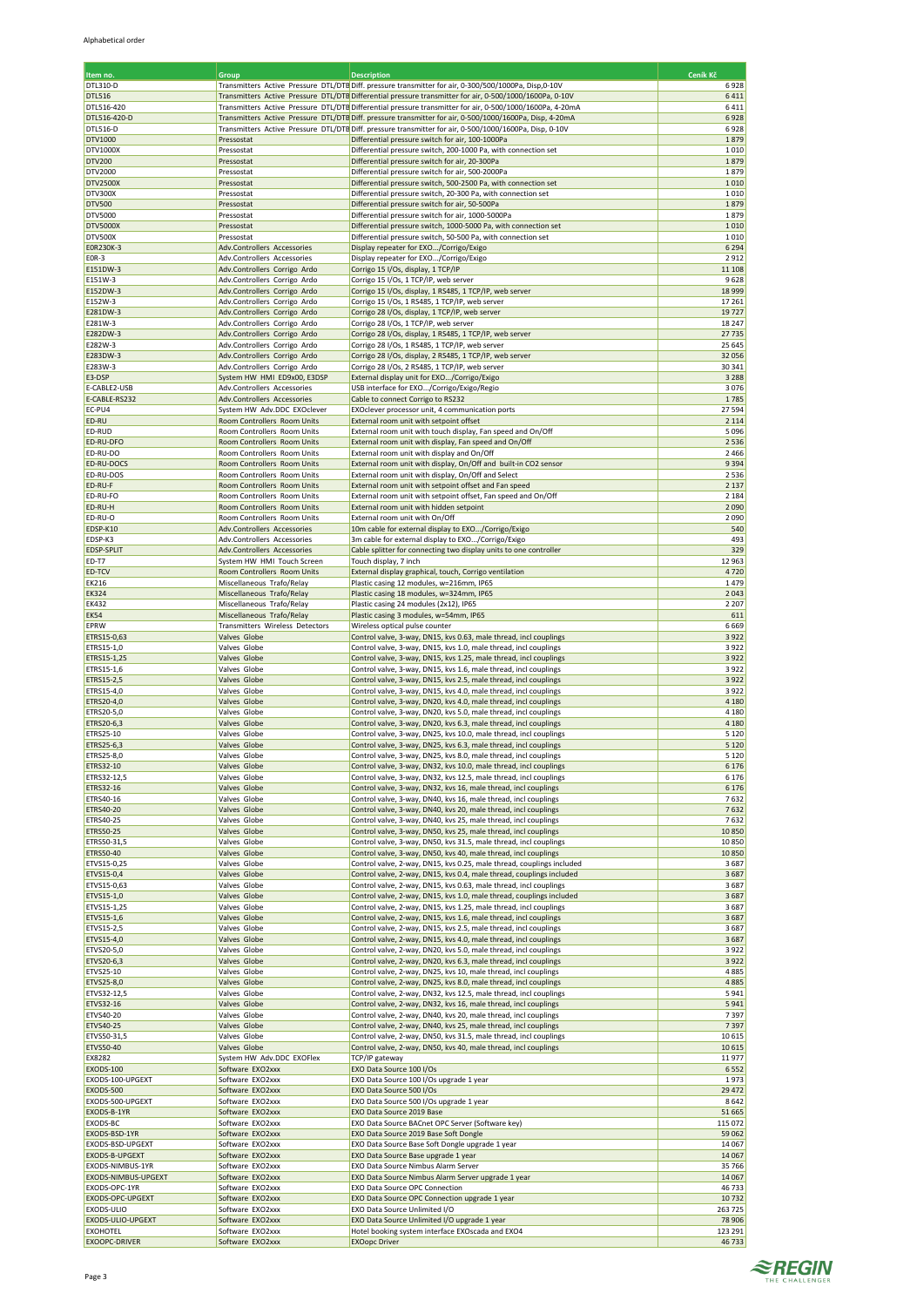| Item no.                           | Group                                                        | <b>Description</b>                                                                                                                                                                                                    | Ceník Kč           |
|------------------------------------|--------------------------------------------------------------|-----------------------------------------------------------------------------------------------------------------------------------------------------------------------------------------------------------------------|--------------------|
| DTL310-D                           |                                                              | Transmitters Active Pressure DTL/DTB Diff. pressure transmitter for air, 0-300/500/1000Pa, Disp,0-10V                                                                                                                 | 6928               |
| DTL516<br>DTL516-420               |                                                              | Transmitters Active Pressure DTL/DTE Differential pressure transmitter for air, 0-500/1000/1600Pa, 0-10V                                                                                                              | 6411<br>6411       |
| DTL516-420-D                       |                                                              | Transmitters Active Pressure DTL/DTB Differential pressure transmitter for air, 0-500/1000/1600Pa, 4-20mA<br>Transmitters Active Pressure DTL/DTE Diff. pressure transmitter for air, 0-500/1000/1600Pa, Disp, 4-20mA | 6928               |
| DTL516-D                           |                                                              | Transmitters Active Pressure DTL/DTE Diff. pressure transmitter for air, 0-500/1000/1600Pa, Disp, 0-10V                                                                                                               | 6928               |
| DTV1000                            | Pressostat                                                   | Differential pressure switch for air, 100-1000Pa                                                                                                                                                                      | 1879               |
| DTV1000X<br>DTV200                 | Pressostat<br>Pressostat                                     | Differential pressure switch, 200-1000 Pa, with connection set<br>Differential pressure switch for air, 20-300Pa                                                                                                      | 1010<br>1879       |
| DTV2000                            | Pressostat                                                   | Differential pressure switch for air, 500-2000Pa                                                                                                                                                                      | 1879               |
| DTV2500X                           | Pressostat                                                   | Differential pressure switch, 500-2500 Pa, with connection set                                                                                                                                                        | 1010               |
| DTV300X<br>DTV500                  | Pressostat<br>Pressostat                                     | Differential pressure switch, 20-300 Pa, with connection set<br>Differential pressure switch for air, 50-500Pa                                                                                                        | 1010<br>1879       |
| DTV5000                            | Pressostat                                                   | Differential pressure switch for air, 1000-5000Pa                                                                                                                                                                     | 1879               |
| <b>DTV5000X</b>                    | Pressostat                                                   | Differential pressure switch, 1000-5000 Pa, with connection set                                                                                                                                                       | 1010               |
| DTV500X<br>E0R230K-3               | Pressostat<br>Adv.Controllers Accessories                    | Differential pressure switch, 50-500 Pa, with connection set<br>Display repeater for EXO/Corrigo/Exigo                                                                                                                | 1010<br>6 2 9 4    |
| E0R-3                              | Adv.Controllers Accessories                                  | Display repeater for EXO/Corrigo/Exigo                                                                                                                                                                                | 2912               |
| E151DW-3                           | Adv.Controllers Corrigo Ardo                                 | Corrigo 15 I/Os, display, 1 TCP/IP                                                                                                                                                                                    | 11 10 8            |
| E151W-3<br>E152DW-3                | Adv.Controllers Corrigo Ardo<br>Adv.Controllers Corrigo Ardo | Corrigo 15 I/Os, 1 TCP/IP, web server<br>Corrigo 15 I/Os, display, 1 RS485, 1 TCP/IP, web server                                                                                                                      | 9628<br>18 9 9 9   |
| E152W-3                            | Adv.Controllers Corrigo Ardo                                 | Corrigo 15 I/Os, 1 RS485, 1 TCP/IP, web server                                                                                                                                                                        | 17261              |
| E281DW-3                           | Adv.Controllers Corrigo Ardo                                 | Corrigo 28 I/Os, display, 1 TCP/IP, web server                                                                                                                                                                        | 19727              |
| E281W-3<br>E282DW-3                | Adv.Controllers Corrigo Ardo<br>Adv.Controllers Corrigo Ardo | Corrigo 28 I/Os, 1 TCP/IP, web server<br>Corrigo 28 I/Os, display, 1 RS485, 1 TCP/IP, web server                                                                                                                      | 18 247<br>27735    |
| E282W-3                            | Adv.Controllers Corrigo Ardo                                 | Corrigo 28 I/Os, 1 RS485, 1 TCP/IP, web server                                                                                                                                                                        | 25 645             |
| E283DW-3                           | Adv.Controllers Corrigo Ardo                                 | Corrigo 28 I/Os, display, 2 RS485, 1 TCP/IP, web server                                                                                                                                                               | 32 056             |
| E283W-3                            | Adv.Controllers Corrigo Ardo<br>System HW HMI ED9x00, E3DSP  | Corrigo 28 I/Os, 2 RS485, 1 TCP/IP, web server                                                                                                                                                                        | 30 341<br>3 2 8 8  |
| E3-DSP<br>E-CABLE2-USB             | Adv.Controllers Accessories                                  | External display unit for EXO/Corrigo/Exigo<br>USB interface for EXO/Corrigo/Exigo/Regio                                                                                                                              | 3076               |
| E-CABLE-RS232                      | Adv.Controllers Accessories                                  | Cable to connect Corrigo to RS232                                                                                                                                                                                     | 1785               |
| EC-PU4<br>ED-RU                    | System HW Adv.DDC EXOclever                                  | EXOclever processor unit, 4 communication ports                                                                                                                                                                       | 27594<br>2 1 1 4   |
| ED-RUD                             | Room Controllers Room Units<br>Room Controllers Room Units   | External room unit with setpoint offset<br>External room unit with touch display, Fan speed and On/Off                                                                                                                | 5096               |
| ED-RU-DFO                          | Room Controllers Room Units                                  | External room unit with display, Fan speed and On/Off                                                                                                                                                                 | 2536               |
| ED-RU-DO                           | Room Controllers Room Units                                  | External room unit with display and On/Off                                                                                                                                                                            | 2 4 6 6            |
| ED-RU-DOCS<br>ED-RU-DOS            | Room Controllers Room Units<br>Room Controllers Room Units   | External room unit with display, On/Off and built-in CO2 sensor<br>External room unit with display, On/Off and Select                                                                                                 | 9394<br>2536       |
| ED-RU-F                            | Room Controllers Room Units                                  | External room unit with setpoint offset and Fan speed                                                                                                                                                                 | 2 1 3 7            |
| ED-RU-FO                           | Room Controllers Room Units                                  | External room unit with setpoint offset, Fan speed and On/Off                                                                                                                                                         | 2 1 8 4            |
| ED-RU-H<br>ED-RU-O                 | Room Controllers Room Units<br>Room Controllers Room Units   | External room unit with hidden setpoint<br>External room unit with On/Off                                                                                                                                             | 2090<br>2090       |
| EDSP-K10                           | Adv.Controllers Accessories                                  | 10m cable for external display to EXO/Corrigo/Exigo                                                                                                                                                                   | 540                |
| EDSP-K3                            | Adv.Controllers Accessories                                  | 3m cable for external display to EXO/Corrigo/Exigo                                                                                                                                                                    | 493                |
| <b>EDSP-SPLIT</b><br>ED-T7         | Adv.Controllers Accessories<br>System HW HMI Touch Screen    | Cable splitter for connecting two display units to one controller<br>Touch display, 7 inch                                                                                                                            | 329<br>12 963      |
| ED-TCV                             | Room Controllers Room Units                                  | External display graphical, touch, Corrigo ventilation                                                                                                                                                                | 4720               |
| EK216                              | Miscellaneous Trafo/Relay                                    | Plastic casing 12 modules, w=216mm, IP65                                                                                                                                                                              | 1479               |
| <b>EK324</b>                       | Miscellaneous Trafo/Relay                                    | Plastic casing 18 modules, w=324mm, IP65                                                                                                                                                                              | 2043               |
| <b>EK432</b><br><b>EK54</b>        | Miscellaneous Trafo/Relay<br>Miscellaneous Trafo/Relay       | Plastic casing 24 modules (2x12), IP65<br>Plastic casing 3 modules, w=54mm, IP65                                                                                                                                      | 2 2 0 7<br>611     |
| EPRW                               | Transmitters Wireless Detectors                              | Wireless optical pulse counter                                                                                                                                                                                        | 6669               |
| ETRS15-0,63                        | Valves Globe                                                 | Control valve, 3-way, DN15, kvs 0.63, male thread, incl couplings                                                                                                                                                     | 3922               |
| ETRS15-1,0<br>ETRS15-1,25          | Valves Globe<br>Valves Globe                                 | Control valve, 3-way, DN15, kvs 1.0, male thread, incl couplings<br>Control valve, 3-way, DN15, kvs 1.25, male thread, incl couplings                                                                                 | 3922<br>3922       |
| ETRS15-1,6                         | Valves Globe                                                 | Control valve, 3-way, DN15, kvs 1.6, male thread, incl couplings                                                                                                                                                      | 3922               |
| ETRS15-2,5                         | Valves Globe                                                 | Control valve, 3-way, DN15, kvs 2.5, male thread, incl couplings                                                                                                                                                      | 3922               |
| ETRS15-4,0<br>ETRS20-4,0           | Valves Globe<br>Valves Globe                                 | Control valve, 3-way, DN15, kvs 4.0, male thread, incl couplings<br>Control valve, 3-way, DN20, kvs 4.0, male thread, incl couplings                                                                                  | 3922<br>4 1 8 0    |
| ETRS20-5,0                         | Valves Globe                                                 | Control valve, 3-way, DN20, kvs 5.0, male thread, incl couplings                                                                                                                                                      | 4 1 8 0            |
| ETRS20-6,3                         | Valves Globe                                                 | Control valve, 3-way, DN20, kvs 6.3, male thread, incl couplings                                                                                                                                                      | 4 1 8 0            |
| ETRS25-10                          | Valves Globe<br>Valves Globe                                 | Control valve, 3-way, DN25, kvs 10.0, male thread, incl couplings<br>Control valve, 3-way, DN25, kvs 6.3, male thread, incl couplings                                                                                 | 5 1 2 0            |
| ETRS25-6,3<br>ETRS25-8,0           | Valves Globe                                                 | Control valve, 3-way, DN25, kvs 8.0, male thread, incl couplings                                                                                                                                                      | 5 1 2 0<br>5 1 2 0 |
| ETRS32-10                          | Valves Globe                                                 | Control valve, 3-way, DN32, kvs 10.0, male thread, incl couplings                                                                                                                                                     | 6 1 7 6            |
| ETRS32-12,5                        | Valves Globe                                                 | Control valve, 3-way, DN32, kvs 12.5, male thread, incl couplings                                                                                                                                                     | 6 1 7 6            |
| ETRS32-16<br>ETRS40-16             | Valves Globe<br>Valves Globe                                 | Control valve, 3-way, DN32, kvs 16, male thread, incl couplings<br>Control valve, 3-way, DN40, kvs 16, male thread, incl couplings                                                                                    | 6 1 7 6<br>7632    |
| ETRS40-20                          | Valves Globe                                                 | Control valve, 3-way, DN40, kvs 20, male thread, incl couplings                                                                                                                                                       | 7632               |
| ETRS40-25                          | Valves Globe                                                 | Control valve, 3-way, DN40, kvs 25, male thread, incl couplings                                                                                                                                                       | 7632               |
| ETRS50-25<br>ETRS50-31,5           | Valves Globe<br>Valves Globe                                 | Control valve, 3-way, DN50, kvs 25, male thread, incl couplings<br>Control valve, 3-way, DN50, kvs 31.5, male thread, incl couplings                                                                                  | 10850<br>10850     |
| ETRS50-40                          | Valves Globe                                                 | Control valve, 3-way, DN50, kvs 40, male thread, incl couplings                                                                                                                                                       | 10850              |
| ETVS15-0,25                        | Valves Globe                                                 | Control valve, 2-way, DN15, kvs 0.25, male thread, couplings included                                                                                                                                                 | 3687               |
| ETVS15-0,4<br>ETVS15-0,63          | Valves Globe<br>Valves Globe                                 | Control valve, 2-way, DN15, kvs 0.4, male thread, couplings included<br>Control valve, 2-way, DN15, kvs 0.63, male thread, incl couplings                                                                             | 3687<br>3687       |
| ETVS15-1,0                         | Valves Globe                                                 | Control valve, 2-way, DN15, kvs 1.0, male thread, couplings included                                                                                                                                                  | 3687               |
| ETVS15-1,25                        | Valves Globe                                                 | Control valve, 2-way, DN15, kvs 1.25, male thread, incl couplings                                                                                                                                                     | 3687               |
| ETVS15-1,6<br>ETVS15-2,5           | Valves Globe<br>Valves Globe                                 | Control valve, 2-way, DN15, kvs 1.6, male thread, incl couplings<br>Control valve, 2-way, DN15, kvs 2.5, male thread, incl couplings                                                                                  | 3687<br>3687       |
| ETVS15-4,0                         | Valves Globe                                                 | Control valve, 2-way, DN15, kvs 4.0, male thread, incl couplings                                                                                                                                                      | 3687               |
| ETVS20-5,0                         | Valves Globe                                                 | Control valve, 2-way, DN20, kvs 5.0, male thread, incl couplings                                                                                                                                                      | 3922               |
| ETVS20-6,3                         | Valves Globe                                                 | Control valve, 2-way, DN20, kvs 6.3, male thread, incl couplings                                                                                                                                                      | 3922               |
| ETVS25-10<br>ETVS25-8,0            | Valves Globe<br>Valves Globe                                 | Control valve, 2-way, DN25, kvs 10, male thread, incl couplings<br>Control valve, 2-way, DN25, kvs 8.0, male thread, incl couplings                                                                                   | 4885<br>4885       |
| ETVS32-12,5                        | Valves Globe                                                 | Control valve, 2-way, DN32, kvs 12.5, male thread, incl couplings                                                                                                                                                     | 5941               |
| ETVS32-16                          | Valves Globe                                                 | Control valve, 2-way, DN32, kvs 16, male thread, incl couplings                                                                                                                                                       | 5941               |
| ETVS40-20<br>ETVS40-25             | Valves Globe<br>Valves Globe                                 | Control valve, 2-way, DN40, kvs 20, male thread, incl couplings<br>Control valve, 2-way, DN40, kvs 25, male thread, incl couplings                                                                                    | 7397<br>7397       |
| ETVS50-31,5                        | Valves Globe                                                 | Control valve, 2-way, DN50, kvs 31.5, male thread, incl couplings                                                                                                                                                     | 10615              |
| ETVS50-40                          | Valves Globe                                                 | Control valve, 2-way, DN50, kvs 40, male thread, incl couplings                                                                                                                                                       | 10615              |
| EX8282<br><b>EXODS-100</b>         | System HW Adv.DDC EXOFlex<br>Software EXO2xxx                | TCP/IP gateway<br>EXO Data Source 100 I/Os                                                                                                                                                                            | 11977<br>6552      |
| EXODS-100-UPGEXT                   | Software EXO2xxx                                             | EXO Data Source 100 I/Os upgrade 1 year                                                                                                                                                                               | 1973               |
| EXODS-500                          | Software EXO2xxx                                             | EXO Data Source 500 I/Os                                                                                                                                                                                              | 29 4 72            |
| EXODS-500-UPGEXT<br>EXODS-B-1YR    | Software EXO2xxx<br>Software EXO2xxx                         | EXO Data Source 500 I/Os upgrade 1 year<br>EXO Data Source 2019 Base                                                                                                                                                  | 8642<br>51 665     |
| EXODS-BC                           | Software EXO2xxx                                             | EXO Data Source BACnet OPC Server (Software key)                                                                                                                                                                      | 115 072            |
| EXODS-BSD-1YR                      | Software EXO2xxx                                             | EXO Data Source 2019 Base Soft Dongle                                                                                                                                                                                 | 59 062             |
| EXODS-BSD-UPGEXT<br>EXODS-B-UPGEXT | Software EXO2xxx<br>Software EXO2xxx                         | EXO Data Source Base Soft Dongle upgrade 1 year<br>EXO Data Source Base upgrade 1 year                                                                                                                                | 14 067<br>14 067   |
| EXODS-NIMBUS-1YR                   | Software EXO2xxx                                             | EXO Data Source Nimbus Alarm Server                                                                                                                                                                                   | 35 766             |
| EXODS-NIMBUS-UPGEXT                | Software EXO2xxx                                             | EXO Data Source Nimbus Alarm Server upgrade 1 year                                                                                                                                                                    | 14 06 7            |
| EXODS-OPC-1YR                      | Software EXO2xxx                                             | EXO Data Source OPC Connection                                                                                                                                                                                        | 46733              |
| EXODS-OPC-UPGEXT<br>EXODS-ULIO     | Software EXO2xxx<br>Software EXO2xxx                         | EXO Data Source OPC Connection upgrade 1 year<br>EXO Data Source Unlimited I/O                                                                                                                                        | 10732<br>263725    |
| EXODS-ULIO-UPGEXT                  | Software EXO2xxx                                             | EXO Data Source Unlimited I/O upgrade 1 year                                                                                                                                                                          | 78 906             |
| <b>EXOHOTEL</b>                    | Software EXO2xxx                                             | Hotel booking system interface EXOscada and EXO4                                                                                                                                                                      | 123 291            |
| <b>EXOOPC-DRIVER</b>               | Software EXO2xxx                                             | <b>EXOopc Driver</b>                                                                                                                                                                                                  | 46733              |

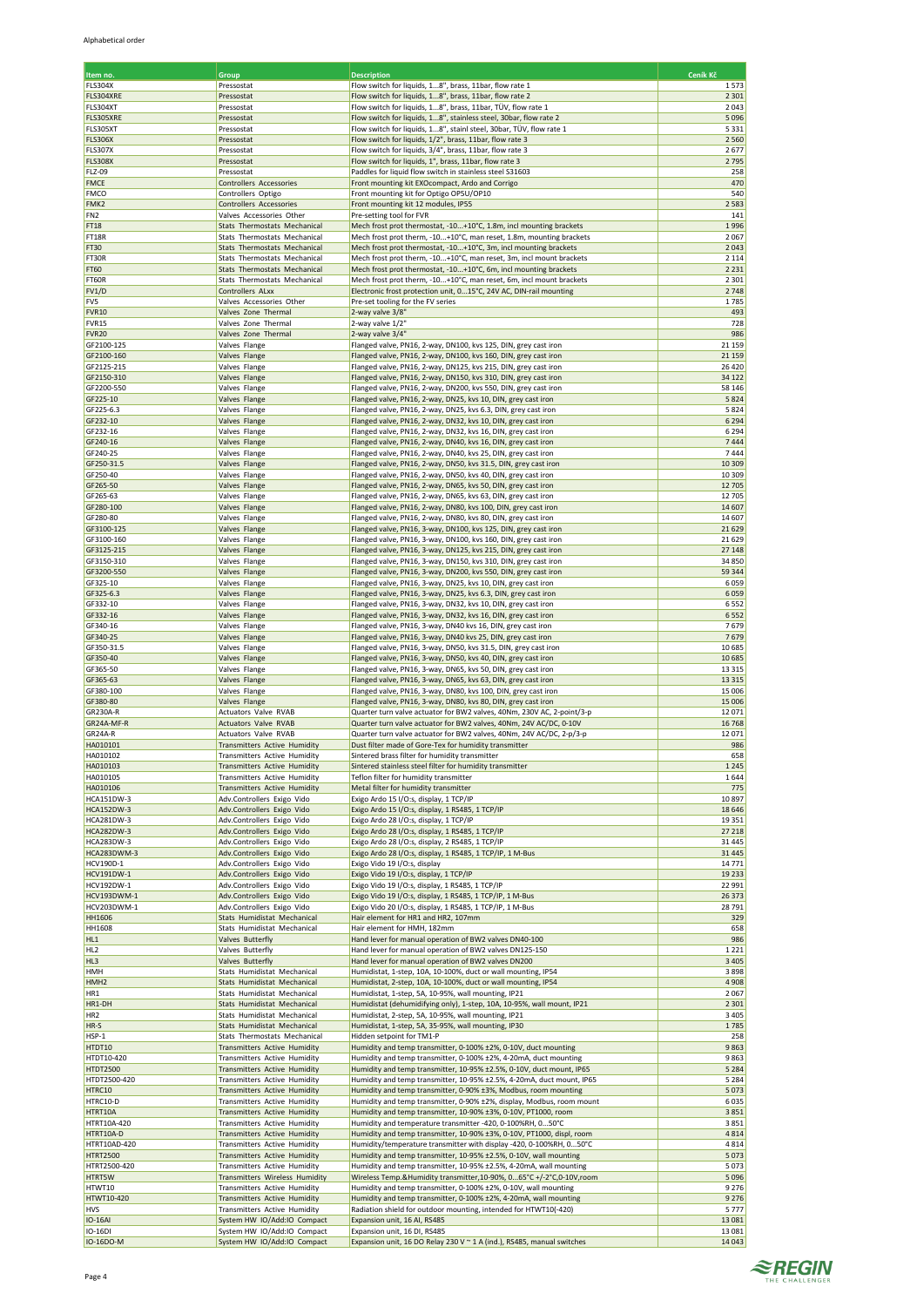| Item no.                        | Group                                                               | <b>Description</b>                                                                                                                        | Ceník Kč           |
|---------------------------------|---------------------------------------------------------------------|-------------------------------------------------------------------------------------------------------------------------------------------|--------------------|
| <b>FLS304X</b>                  | Pressostat                                                          | Flow switch for liquids, 18", brass, 11bar, flow rate 1                                                                                   | 1573               |
| FLS304XRE<br>FLS304XT           | Pressostat<br>Pressostat                                            | Flow switch for liquids, 18", brass, 11bar, flow rate 2<br>Flow switch for liquids, 18", brass, 11bar, TÜV, flow rate 1                   | 2 3 0 1<br>2043    |
| FLS305XRE                       | Pressostat                                                          | Flow switch for liquids, 18", stainless steel, 30bar, flow rate 2                                                                         | 5096               |
| FLS305XT                        | Pressostat                                                          | Flow switch for liquids, 18", stainl steel, 30bar, TÜV, flow rate 1                                                                       | 5331               |
| <b>FLS306X</b>                  | Pressostat                                                          | Flow switch for liquids, 1/2", brass, 11bar, flow rate 3                                                                                  | 2 5 6 0            |
| FLS307X<br><b>FLS308X</b>       | Pressostat<br>Pressostat                                            | Flow switch for liquids, 3/4", brass, 11bar, flow rate 3<br>Flow switch for liquids, 1", brass, 11bar, flow rate 3                        | 2677<br>2795       |
| FLZ-09                          | Pressostat                                                          | Paddles for liquid flow switch in stainless steel S31603                                                                                  | 258                |
| <b>FMCE</b>                     | Controllers Accessories                                             | Front mounting kit EXOcompact, Ardo and Corrigo                                                                                           | 470                |
| <b>FMCO</b><br>FMK2             | Controllers Optigo<br>Controllers Accessories                       | Front mounting kit for Optigo OP5U/OP10<br>Front mounting kit 12 modules, IP55                                                            | 540<br>2583        |
| FN <sub>2</sub>                 | Valves Accessories Other                                            | Pre-setting tool for FVR                                                                                                                  | 141                |
| FT18                            | Stats Thermostats Mechanical                                        | Mech frost prot thermostat, -10+10°C, 1.8m, incl mounting brackets                                                                        | 1996               |
| FT18R                           | Stats Thermostats Mechanical                                        | Mech frost prot therm, -10+10°C, man reset, 1.8m, mounting brackets                                                                       | 2067               |
| FT30<br>FT30R                   | Stats Thermostats Mechanical<br>Stats Thermostats Mechanical        | Mech frost prot thermostat, -10+10°C, 3m, incl mounting brackets<br>Mech frost prot therm, -10+10°C, man reset, 3m, incl mount brackets   | 2043<br>2 1 1 4    |
| <b>FT60</b>                     | Stats Thermostats Mechanical                                        | Mech frost prot thermostat, -10+10°C, 6m, incl mounting brackets                                                                          | 2 2 3 1            |
| FT60R                           | Stats Thermostats Mechanical                                        | Mech frost prot therm, -10+10°C, man reset, 6m, incl mount brackets                                                                       | 2 3 0 1            |
| FV1/D                           | Controllers ALxx                                                    | Electronic frost protection unit, 015°C, 24V AC, DIN-rail mounting                                                                        | 2748               |
| FV5<br><b>FVR10</b>             | Valves Accessories Other<br>Valves Zone Thermal                     | Pre-set tooling for the FV series<br>2-way valve 3/8'                                                                                     | 1785<br>493        |
| FVR15                           | Valves Zone Thermal                                                 | 2-way valve 1/2"                                                                                                                          | 728                |
| <b>FVR20</b>                    | Valves Zone Thermal                                                 | 2-way valve 3/4"                                                                                                                          | 986                |
| GF2100-125                      | Valves Flange                                                       | Flanged valve, PN16, 2-way, DN100, kvs 125, DIN, grey cast iron                                                                           | 21 159             |
| GF2100-160<br>GF2125-215        | Valves Flange<br>Valves Flange                                      | Flanged valve, PN16, 2-way, DN100, kvs 160, DIN, grey cast iron<br>Flanged valve, PN16, 2-way, DN125, kvs 215, DIN, grey cast iron        | 21 15 9<br>26 4 20 |
| GF2150-310                      | Valves Flange                                                       | Flanged valve, PN16, 2-way, DN150, kvs 310, DIN, grey cast iron                                                                           | 34 122             |
| GF2200-550                      | Valves Flange                                                       | Flanged valve, PN16, 2-way, DN200, kvs 550, DIN, grey cast iron                                                                           | 58 146             |
| GF225-10                        | Valves Flange                                                       | Flanged valve, PN16, 2-way, DN25, kvs 10, DIN, grey cast iron                                                                             | 5824               |
| GF225-6.3<br>GF232-10           | Valves Flange<br><b>Valves Flange</b>                               | Flanged valve, PN16, 2-way, DN25, kvs 6.3, DIN, grey cast iron                                                                            | 5824<br>6 2 9 4    |
| GF232-16                        | Valves Flange                                                       | Flanged valve, PN16, 2-way, DN32, kvs 10, DIN, grey cast iron<br>Flanged valve, PN16, 2-way, DN32, kvs 16, DIN, grey cast iron            | 6 2 9 4            |
| GF240-16                        | Valves Flange                                                       | Flanged valve, PN16, 2-way, DN40, kvs 16, DIN, grey cast iron                                                                             | 7444               |
| GF240-25                        | Valves Flange                                                       | Flanged valve, PN16, 2-way, DN40, kvs 25, DIN, grey cast iron                                                                             | 7444               |
| GF250-31.5                      | Valves Flange                                                       | Flanged valve, PN16, 2-way, DN50, kvs 31.5, DIN, grey cast iron                                                                           | 10 30 9<br>10 309  |
| GF250-40<br>GF265-50            | Valves Flange<br>Valves Flange                                      | Flanged valve, PN16, 2-way, DN50, kvs 40, DIN, grey cast iron<br>Flanged valve, PN16, 2-way, DN65, kvs 50, DIN, grey cast iron            | 12 705             |
| GF265-63                        | Valves Flange                                                       | Flanged valve, PN16, 2-way, DN65, kvs 63, DIN, grey cast iron                                                                             | 12705              |
| GF280-100                       | Valves Flange                                                       | Flanged valve, PN16, 2-way, DN80, kvs 100, DIN, grey cast iron                                                                            | 14 607             |
| GF280-80                        | Valves Flange                                                       | Flanged valve, PN16, 2-way, DN80, kvs 80, DIN, grey cast iron                                                                             | 14 607<br>21 6 29  |
| GF3100-125<br>GF3100-160        | Valves Flange<br>Valves Flange                                      | Flanged valve, PN16, 3-way, DN100, kvs 125, DIN, grey cast iron<br>Flanged valve, PN16, 3-way, DN100, kvs 160, DIN, grey cast iron        | 21 6 29            |
| GF3125-215                      | Valves Flange                                                       | Flanged valve, PN16, 3-way, DN125, kvs 215, DIN, grey cast iron                                                                           | 27 148             |
| GF3150-310                      | Valves Flange                                                       | Flanged valve, PN16, 3-way, DN150, kvs 310, DIN, grey cast iron                                                                           | 34 850             |
| GF3200-550                      | Valves Flange                                                       | Flanged valve, PN16, 3-way, DN200, kvs 550, DIN, grey cast iron                                                                           | 59 344             |
| GF325-10<br>GF325-6.3           | Valves Flange<br>Valves Flange                                      | Flanged valve, PN16, 3-way, DN25, kvs 10, DIN, grey cast iron<br>Flanged valve, PN16, 3-way, DN25, kvs 6.3, DIN, grey cast iron           | 6059<br>6059       |
| GF332-10                        | Valves Flange                                                       | Flanged valve, PN16, 3-way, DN32, kvs 10, DIN, grey cast iron                                                                             | 6552               |
| GF332-16                        | Valves Flange                                                       | Flanged valve, PN16, 3-way, DN32, kvs 16, DIN, grey cast iron                                                                             | 6552               |
| GF340-16                        | Valves Flange                                                       | Flanged valve, PN16, 3-way, DN40 kvs 16, DIN, grey cast iron                                                                              | 7679               |
| GF340-25<br>GF350-31.5          | Valves Flange<br>Valves Flange                                      | Flanged valve, PN16, 3-way, DN40 kvs 25, DIN, grey cast iron<br>Flanged valve, PN16, 3-way, DN50, kvs 31.5, DIN, grey cast iron           | 7679<br>10685      |
| GF350-40                        | Valves Flange                                                       | Flanged valve, PN16, 3-way, DN50, kvs 40, DIN, grey cast iron                                                                             | 10685              |
| GF365-50                        | Valves Flange                                                       | Flanged valve, PN16, 3-way, DN65, kvs 50, DIN, grey cast iron                                                                             | 13 3 15            |
| GF365-63                        | Valves Flange                                                       | Flanged valve, PN16, 3-way, DN65, kvs 63, DIN, grey cast iron                                                                             | 13 3 15            |
| GF380-100<br>GF380-80           | Valves Flange<br>Valves Flange                                      | Flanged valve, PN16, 3-way, DN80, kvs 100, DIN, grey cast iron<br>Flanged valve, PN16, 3-way, DN80, kvs 80, DIN, grey cast iron           | 15 006<br>15 006   |
| <b>GR230A-R</b>                 | Actuators Valve RVAB                                                | Quarter turn valve actuator for BW2 valves, 40Nm, 230V AC, 2-point/3-p                                                                    | 12071              |
| GR24A-MF-R                      | <b>Actuators Valve RVAB</b>                                         | Quarter turn valve actuator for BW2 valves, 40Nm, 24V AC/DC, 0-10V                                                                        | 16768              |
| GR24A-R                         | Actuators Valve RVAB                                                | Quarter turn valve actuator for BW2 valves, 40Nm, 24V AC/DC, 2-p/3-p                                                                      | 12071              |
| HA010101<br>HA010102            | <b>Transmitters Active Humidity</b><br>Transmitters Active Humidity | Dust filter made of Gore-Tex for humidity transmitter<br>Sintered brass filter for humidity transmitter                                   | 986<br>658         |
| HA010103                        | Transmitters Active Humidity                                        | Sintered stainless steel filter for humidity transmitter                                                                                  | 1 2 4 5            |
| HA010105                        | Transmitters Active Humidity                                        | Teflon filter for humidity transmitter                                                                                                    | 1644               |
| HA010106                        | Transmitters Active Humidity                                        | Metal filter for humidity transmitter                                                                                                     | 775                |
| <b>HCA151DW-3</b><br>HCA152DW-3 | Adv.Controllers Exigo Vido<br>Adv.Controllers Exigo Vido            | Exigo Ardo 15 I/O:s, display, 1 TCP/IP<br>Exigo Ardo 15 I/O:s, display, 1 RS485, 1 TCP/IP                                                 | 10897<br>18 6 46   |
| HCA281DW-3                      | Adv.Controllers Exigo Vido                                          | Exigo Ardo 28 I/O:s, display, 1 TCP/IP                                                                                                    | 19351              |
| <b>HCA282DW-3</b>               | Adv.Controllers Exigo Vido                                          | Exigo Ardo 28 I/O:s, display, 1 RS485, 1 TCP/IP                                                                                           | 27 218             |
| HCA283DW-3                      | Adv.Controllers Exigo Vido                                          | Exigo Ardo 28 I/O:s, display, 2 RS485, 1 TCP/IP                                                                                           | 31 4 45            |
| HCA283DWM-3<br><b>HCV190D-1</b> | Adv.Controllers Exigo Vido<br>Adv.Controllers Exigo Vido            | Exigo Ardo 28 I/O:s, display, 1 RS485, 1 TCP/IP, 1 M-Bus<br>Exigo Vido 19 I/O:s, display                                                  | 31 4 45<br>14771   |
| <b>HCV191DW-1</b>               | Adv.Controllers Exigo Vido                                          | Exigo Vido 19 I/O:s, display, 1 TCP/IP                                                                                                    | 19 2 33            |
| <b>HCV192DW-1</b>               | Adv.Controllers Exigo Vido                                          | Exigo Vido 19 I/O:s, display, 1 RS485, 1 TCP/IP                                                                                           | 22 991             |
| HCV193DWM-1<br>HCV203DWM-1      | Adv.Controllers Exigo Vido                                          | Exigo Vido 19 I/O:s, display, 1 RS485, 1 TCP/IP, 1 M-Bus                                                                                  | 26 37 3            |
| HH1606                          | Adv.Controllers Exigo Vido<br>Stats Humidistat Mechanical           | Exigo Vido 20 I/O:s, display, 1 RS485, 1 TCP/IP, 1 M-Bus<br>Hair element for HR1 and HR2, 107mm                                           | 28791<br>329       |
| HH1608                          | Stats Humidistat Mechanical                                         | Hair element for HMH, 182mm                                                                                                               | 658                |
| HL1                             | Valves Butterfly                                                    | Hand lever for manual operation of BW2 valves DN40-100                                                                                    | 986                |
| HL <sub>2</sub>                 | Valves Butterfly                                                    | Hand lever for manual operation of BW2 valves DN125-150                                                                                   | 1221               |
| HL3<br><b>HMH</b>               | Valves Butterfly<br>Stats Humidistat Mechanical                     | Hand lever for manual operation of BW2 valves DN200<br>Humidistat, 1-step, 10A, 10-100%, duct or wall mounting, IP54                      | 3 4 0 5<br>3898    |
| HMH <sub>2</sub>                | Stats Humidistat Mechanical                                         | Humidistat, 2-step, 10A, 10-100%, duct or wall mounting, IP54                                                                             | 4908               |
| HR1                             | Stats Humidistat Mechanical                                         | Humidistat, 1-step, 5A, 10-95%, wall mounting, IP21                                                                                       | 2067               |
| HR1-DH                          | Stats Humidistat Mechanical                                         | Humidistat (dehumidifying only), 1-step, 10A, 10-95%, wall mount, IP21                                                                    | 2 3 0 1<br>3 4 0 5 |
| HR <sub>2</sub><br>HR-S         | Stats Humidistat Mechanical<br>Stats Humidistat Mechanical          | Humidistat, 2-step, 5A, 10-95%, wall mounting, IP21<br>Humidistat, 1-step, 5A, 35-95%, wall mounting, IP30                                | 1785               |
| HSP-1                           | Stats Thermostats Mechanical                                        | Hidden setpoint for TM1-P                                                                                                                 | 258                |
| HTDT10                          | <b>Transmitters Active Humidity</b>                                 | Humidity and temp transmitter, 0-100% ±2%, 0-10V, duct mounting                                                                           | 9863               |
| HTDT10-420<br><b>HTDT2500</b>   | Transmitters Active Humidity<br>Transmitters Active Humidity        | Humidity and temp transmitter, 0-100% ±2%, 4-20mA, duct mounting<br>Humidity and temp transmitter, 10-95% ±2.5%, 0-10V, duct mount, IP65  | 9863<br>5 2 8 4    |
| HTDT2500-420                    | Transmitters Active Humidity                                        | Humidity and temp transmitter, 10-95% ±2.5%, 4-20mA, duct mount, IP65                                                                     | 5 2 8 4            |
| HTRC10                          | Transmitters Active Humidity                                        | Humidity and temp transmitter, 0-90% ±3%, Modbus, room mounting                                                                           | 5073               |
| HTRC10-D                        | Transmitters Active Humidity                                        | Humidity and temp transmitter, 0-90% ±2%, display, Modbus, room mount                                                                     | 6035               |
| HTRT10A<br>HTRT10A-420          | <b>Transmitters Active Humidity</b><br>Transmitters Active Humidity | Humidity and temp transmitter, 10-90% ±3%, 0-10V, PT1000, room<br>Humidity and temperature transmitter -420, 0-100%RH, 050°C              | 3851<br>3851       |
| HTRT10A-D                       | <b>Transmitters Active Humidity</b>                                 | Humidity and temp transmitter, 10-90% ±3%, 0-10V, PT1000, displ, room                                                                     | 4814               |
| HTRT10AD-420                    | Transmitters Active Humidity                                        | Humidity/temperature transmitter with display -420, 0-100%RH, 050°C                                                                       | 4814               |
| <b>HTRT2500</b>                 | Transmitters Active Humidity                                        | Humidity and temp transmitter, 10-95% ±2.5%, 0-10V, wall mounting                                                                         | 5073               |
| HTRT2500-420<br><b>HTRT5W</b>   | Transmitters Active Humidity<br>Transmitters Wireless Humidity      | Humidity and temp transmitter, 10-95% ±2.5%, 4-20mA, wall mounting<br>Wireless Temp.&Humidity transmitter,10-90%, 065°C +/-2°C,0-10V,room | 5073<br>5096       |
| HTWT10                          | Transmitters Active Humidity                                        | Humidity and temp transmitter, 0-100% ±2%, 0-10V, wall mounting                                                                           | 9 2 7 6            |
| HTWT10-420                      | Transmitters Active Humidity                                        | Humidity and temp transmitter, 0-100% ±2%, 4-20mA, wall mounting                                                                          | 9 2 7 6            |
| <b>HVS</b>                      | Transmitters Active Humidity                                        | Radiation shield for outdoor mounting, intended for HTWT10(-420)                                                                          | 5777               |
| <b>IO-16AI</b><br>IO-16DI       | System HW IO/Add:IO Compact<br>System HW IO/Add:IO Compact          | Expansion unit, 16 AI, RS485<br>Expansion unit, 16 DI, RS485                                                                              | 13081<br>13 0 8 1  |
| IO-16DO-M                       | System HW IO/Add:IO Compact                                         | Expansion unit, 16 DO Relay 230 V ~ 1 A (ind.), RS485, manual switches                                                                    | 14 04 3            |
|                                 |                                                                     |                                                                                                                                           |                    |

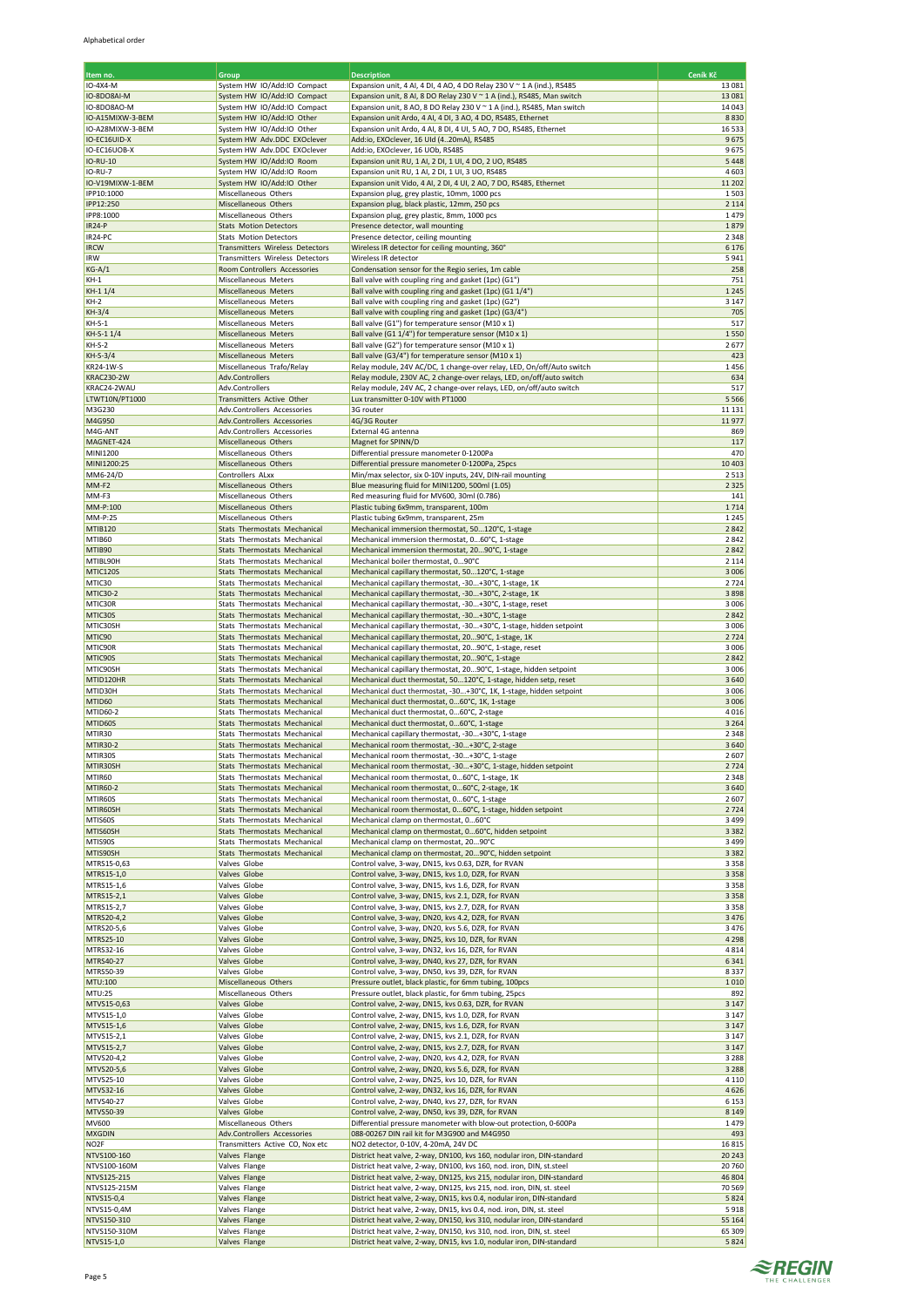| Item no.                       | Group                                                                   | <b>Description</b>                                                                                                                               | Ceník Kč            |
|--------------------------------|-------------------------------------------------------------------------|--------------------------------------------------------------------------------------------------------------------------------------------------|---------------------|
| IO-4X4-M                       | System HW IO/Add:IO Compact                                             | Expansion unit, 4 AI, 4 DI, 4 AO, 4 DO Relay 230 V ~ 1 A (ind.), RS485                                                                           | 13 08 1             |
| IO-8DO8AI-M<br>IO-8DO8AO-M     | System HW IO/Add:IO Compact<br>System HW IO/Add:IO Compact              | Expansion unit, 8 AI, 8 DO Relay 230 V ~ 1 A (ind.), RS485, Man switch<br>Expansion unit, 8 AO, 8 DO Relay 230 V ~ 1 A (ind.), RS485, Man switch | 13 0 8 1<br>14 04 3 |
| IO-A15MIXW-3-BEM               | System HW IO/Add:IO Other                                               | Expansion unit Ardo, 4 AI, 4 DI, 3 AO, 4 DO, RS485, Ethernet                                                                                     | 8830                |
| IO-A28MIXW-3-BEM               | System HW IO/Add:IO Other                                               | Expansion unit Ardo, 4 AI, 8 DI, 4 UI, 5 AO, 7 DO, RS485, Ethernet                                                                               | 16533               |
| IO-EC16UID-X                   | System HW Adv.DDC EXOclever                                             | Add:io, EXOclever, 16 UId (420mA), RS485                                                                                                         | 9675                |
| IO-EC16UOB-X<br>IO-RU-10       | System HW Adv.DDC EXOclever<br>System HW IO/Add:IO Room                 | Add:io, EXOclever, 16 UOb, RS485<br>Expansion unit RU, 1 Al, 2 DI, 1 UI, 4 DO, 2 UO, RS485                                                       | 9675<br>5 4 4 8     |
| <b>IO-RU-7</b>                 | System HW IO/Add:IO Room                                                | Expansion unit RU, 1 AI, 2 DI, 1 UI, 3 UO, RS485                                                                                                 | 4603                |
| IO-V19MIXW-1-BEM               | System HW IO/Add:IO Other                                               | Expansion unit Vido, 4 AI, 2 DI, 4 UI, 2 AO, 7 DO, RS485, Ethernet                                                                               | 11 20 2             |
| IPP10:1000<br>IPP12:250        | Miscellaneous Others<br>Miscellaneous Others                            | Expansion plug, grey plastic, 10mm, 1000 pcs<br>Expansion plug, black plastic, 12mm, 250 pcs                                                     | 1503<br>2 1 1 4     |
| IPP8:1000                      | Miscellaneous Others                                                    | Expansion plug, grey plastic, 8mm, 1000 pcs                                                                                                      | 1479                |
| <b>IR24-P</b>                  | <b>Stats Motion Detectors</b>                                           | Presence detector, wall mounting                                                                                                                 | 1879                |
| IR24-PC<br><b>IRCW</b>         | <b>Stats Motion Detectors</b><br><b>Transmitters Wireless Detectors</b> | Presence detector, ceiling mounting<br>Wireless IR detector for ceiling mounting, 360°                                                           | 2 3 4 8<br>6 1 7 6  |
| IRW                            | Transmitters Wireless Detectors                                         | Wireless IR detector                                                                                                                             | 5941                |
| $KG-A/1$                       | Room Controllers Accessories                                            | Condensation sensor for the Regio series, 1m cable                                                                                               | 258                 |
| $KH-1$                         | Miscellaneous Meters                                                    | Ball valve with coupling ring and gasket (1pc) (G1")                                                                                             | 751<br>1 2 4 5      |
| $KH-11/4$<br>$KH-2$            | Miscellaneous Meters<br>Miscellaneous Meters                            | Ball valve with coupling ring and gasket (1pc) (G1 1/4")<br>Ball valve with coupling ring and gasket (1pc) (G2")                                 | 3 1 4 7             |
| $KH-3/4$                       | Miscellaneous Meters                                                    | Ball valve with coupling ring and gasket (1pc) (G3/4")                                                                                           | 705                 |
| $KH-S-1$                       | Miscellaneous Meters                                                    | Ball valve (G1") for temperature sensor (M10 x 1)                                                                                                | 517                 |
| KH-S-1 1/4<br>$KH-S-2$         | Miscellaneous Meters<br>Miscellaneous Meters                            | Ball valve (G1 1/4") for temperature sensor (M10 x 1)<br>Ball valve (G2") for temperature sensor (M10 x 1)                                       | 1550<br>2677        |
| KH-S-3/4                       | Miscellaneous Meters                                                    | Ball valve (G3/4") for temperature sensor (M10 x 1)                                                                                              | 423                 |
| KR24-1W-S                      | Miscellaneous Trafo/Relay                                               | Relay module, 24V AC/DC, 1 change-over relay, LED, On/off/Auto switch                                                                            | 1456                |
| <b>KRAC230-2W</b>              | Adv.Controllers                                                         | Relay module, 230V AC, 2 change-over relays, LED, on/off/auto switch                                                                             | 634<br>517          |
| KRAC24-2WAU<br>LTWT10N/PT1000  | Adv.Controllers<br>Transmitters Active Other                            | Relay module, 24V AC, 2 change-over relays, LED, on/off/auto switch<br>Lux transmitter 0-10V with PT1000                                         | 5 5 6 6             |
| M3G230                         | Adv.Controllers Accessories                                             | 3G router                                                                                                                                        | 11 13 1             |
| M4G950                         | Adv.Controllers Accessories                                             | 4G/3G Router                                                                                                                                     | 11977               |
| M4G-ANT<br>MAGNET-424          | Adv.Controllers Accessories<br>Miscellaneous Others                     | External 4G antenna<br>Magnet for SPINN/D                                                                                                        | 869<br>117          |
| <b>MINI1200</b>                | Miscellaneous Others                                                    | Differential pressure manometer 0-1200Pa                                                                                                         | 470                 |
| MINI1200:25                    | Miscellaneous Others                                                    | Differential pressure manometer 0-1200Pa, 25pcs                                                                                                  | 10 4 03             |
| MM6-24/D                       | Controllers ALxx                                                        | Min/max selector, six 0-10V inputs, 24V, DIN-rail mounting                                                                                       | 2513                |
| MM-F <sub>2</sub><br>MM-F3     | Miscellaneous Others<br>Miscellaneous Others                            | Blue measuring fluid for MINI1200, 500ml (1.05)<br>Red measuring fluid for MV600, 30ml (0.786)                                                   | 2 3 2 5<br>141      |
| MM-P:100                       | Miscellaneous Others                                                    | Plastic tubing 6x9mm, transparent, 100m                                                                                                          | 1714                |
| MM-P:25                        | Miscellaneous Others                                                    | Plastic tubing 6x9mm, transparent, 25m                                                                                                           | 1 2 4 5             |
| MTIB120<br>MTIB <sub>60</sub>  | Stats Thermostats Mechanical<br>Stats Thermostats Mechanical            | Mechanical immersion thermostat, 50120°C, 1-stage<br>Mechanical immersion thermostat, 060°C, 1-stage                                             | 2842<br>2842        |
| MTIB90                         | Stats Thermostats Mechanical                                            | Mechanical immersion thermostat, 2090°C, 1-stage                                                                                                 | 2842                |
| MTIBL90H                       | Stats Thermostats Mechanical                                            | Mechanical boiler thermostat, 090°C                                                                                                              | 2 1 1 4             |
| MTIC120S<br>MTIC30             | Stats Thermostats Mechanical<br>Stats Thermostats Mechanical            | Mechanical capillary thermostat, 50120°C, 1-stage<br>Mechanical capillary thermostat, -30+30°C, 1-stage, 1K                                      | 3 0 0 6<br>2724     |
| MTIC30-2                       | Stats Thermostats Mechanical                                            | Mechanical capillary thermostat, -30+30°C, 2-stage, 1K                                                                                           | 3898                |
| MTIC30R                        | Stats Thermostats Mechanical                                            | Mechanical capillary thermostat, -30+30°C, 1-stage, reset                                                                                        | 3 0 0 6             |
| MTIC30S                        | Stats Thermostats Mechanical                                            | Mechanical capillary thermostat, -30+30°C, 1-stage                                                                                               | 2842                |
| MTIC30SH<br>MTIC90             | Stats Thermostats Mechanical<br>Stats Thermostats Mechanical            | Mechanical capillary thermostat, -30+30°C, 1-stage, hidden setpoint<br>Mechanical capillary thermostat, 2090°C, 1-stage, 1K                      | 3006<br>2724        |
| MTIC90R                        | Stats Thermostats Mechanical                                            | Mechanical capillary thermostat, 2090°C, 1-stage, reset                                                                                          | 3 0 0 6             |
| MTIC90S                        | Stats Thermostats Mechanical                                            | Mechanical capillary thermostat, 2090°C, 1-stage                                                                                                 | 2842                |
| MTIC90SH<br>MTID120HR          | Stats Thermostats Mechanical<br>Stats Thermostats Mechanical            | Mechanical capillary thermostat, 2090°C, 1-stage, hidden setpoint<br>Mechanical duct thermostat, 50120°C, 1-stage, hidden setp, reset            | 3 0 0 6<br>3640     |
| MTID30H                        | Stats Thermostats Mechanical                                            | Mechanical duct thermostat, -30+30°C, 1K, 1-stage, hidden setpoint                                                                               | 3 0 0 6             |
| MTID60                         | Stats Thermostats Mechanical                                            | Mechanical duct thermostat, 060°C, 1K, 1-stage                                                                                                   | 3 0 0 6             |
| MTID60-2                       | Stats Thermostats Mechanical                                            | Mechanical duct thermostat, 060°C, 2-stage                                                                                                       | 4016                |
| MTID60S<br>MTIR30              | Stats Thermostats Mechanical<br>Stats Thermostats Mechanical            | Mechanical duct thermostat, 060°C, 1-stage<br>Mechanical capillary thermostat, -30+30°C, 1-stage                                                 | 3 2 6 4<br>2 3 4 8  |
| <b>MTIR30-2</b>                | Stats Thermostats Mechanical                                            | Mechanical room thermostat, -30+30°C, 2-stage                                                                                                    | 3640                |
| MTIR30S                        | Stats Thermostats Mechanical                                            | Mechanical room thermostat, -30+30°C, 1-stage                                                                                                    | 2607                |
| MTIR30SH<br>MTIR <sub>60</sub> | Stats Thermostats Mechanical<br>Stats Thermostats Mechanical            | Mechanical room thermostat, -30+30°C, 1-stage, hidden setpoint<br>Mechanical room thermostat, 060°C, 1-stage, 1K                                 | 2724<br>2 3 4 8     |
| <b>MTIR60-2</b>                | Stats Thermostats Mechanical                                            | Mechanical room thermostat, 060°C, 2-stage, 1K                                                                                                   | 3640                |
| MTIR60S                        | Stats Thermostats Mechanical                                            | Mechanical room thermostat, 060°C, 1-stage                                                                                                       | 2607                |
| MTIR60SH                       | Stats Thermostats Mechanical                                            | Mechanical room thermostat, 060°C, 1-stage, hidden setpoint<br>Mechanical clamp on thermostat, 060°C                                             | 2724                |
| MTIS60S<br>MTIS60SH            | Stats Thermostats Mechanical<br>Stats Thermostats Mechanical            | Mechanical clamp on thermostat, 060°C, hidden setpoint                                                                                           | 3 4 9 9<br>3 3 8 2  |
| MTIS90S                        | Stats Thermostats Mechanical                                            | Mechanical clamp on thermostat, 2090°C                                                                                                           | 3 4 9 9             |
| MTIS90SH                       | Stats Thermostats Mechanical                                            | Mechanical clamp on thermostat, 2090°C, hidden setpoint                                                                                          | 3 3 8 2             |
| MTRS15-0,63<br>MTRS15-1,0      | Valves Globe<br>Valves Globe                                            | Control valve, 3-way, DN15, kvs 0.63, DZR, for RVAN<br>Control valve, 3-way, DN15, kvs 1.0, DZR, for RVAN                                        | 3 3 5 8<br>3 3 5 8  |
| MTRS15-1,6                     | Valves Globe                                                            | Control valve, 3-way, DN15, kvs 1.6, DZR, for RVAN                                                                                               | 3 3 5 8             |
| MTRS15-2,1                     | Valves Globe                                                            | Control valve, 3-way, DN15, kvs 2.1, DZR, for RVAN                                                                                               | 3 3 5 8             |
| MTRS15-2,7<br>MTRS20-4,2       | Valves Globe<br>Valves Globe                                            | Control valve, 3-way, DN15, kvs 2.7, DZR, for RVAN<br>Control valve, 3-way, DN20, kvs 4.2, DZR, for RVAN                                         | 3 3 5 8<br>3 4 7 6  |
| MTRS20-5,6                     | Valves Globe                                                            | Control valve, 3-way, DN20, kvs 5.6, DZR, for RVAN                                                                                               | 3476                |
| <b>MTRS25-10</b>               | Valves Globe                                                            | Control valve, 3-way, DN25, kvs 10, DZR, for RVAN                                                                                                | 4 2 9 8             |
| MTRS32-16                      | Valves Globe                                                            | Control valve, 3-way, DN32, kvs 16, DZR, for RVAN                                                                                                | 4814                |
| <b>MTRS40-27</b><br>MTRS50-39  | Valves Globe<br>Valves Globe                                            | Control valve, 3-way, DN40, kvs 27, DZR, for RVAN<br>Control valve, 3-way, DN50, kvs 39, DZR, for RVAN                                           | 6341<br>8337        |
| <b>MTU:100</b>                 | Miscellaneous Others                                                    | Pressure outlet, black plastic, for 6mm tubing, 100pcs                                                                                           | 1010                |
| MTU:25                         | Miscellaneous Others                                                    | Pressure outlet, black plastic, for 6mm tubing, 25pcs                                                                                            | 892                 |
| MTVS15-0,63<br>MTVS15-1,0      | Valves Globe<br>Valves Globe                                            | Control valve, 2-way, DN15, kvs 0.63, DZR, for RVAN<br>Control valve, 2-way, DN15, kvs 1.0, DZR, for RVAN                                        | 3 1 4 7<br>3 1 4 7  |
| MTVS15-1,6                     | Valves Globe                                                            | Control valve, 2-way, DN15, kvs 1.6, DZR, for RVAN                                                                                               | 3 1 4 7             |
| MTVS15-2,1                     | Valves Globe                                                            | Control valve, 2-way, DN15, kvs 2.1, DZR, for RVAN                                                                                               | 3 1 4 7             |
| MTVS15-2,7<br>MTVS20-4,2       | Valves Globe<br>Valves Globe                                            | Control valve, 2-way, DN15, kvs 2.7, DZR, for RVAN                                                                                               | 3 1 4 7<br>3 2 8 8  |
| MTVS20-5,6                     | Valves Globe                                                            | Control valve, 2-way, DN20, kvs 4.2, DZR, for RVAN<br>Control valve, 2-way, DN20, kvs 5.6, DZR, for RVAN                                         | 3 2 8 8             |
| MTVS25-10                      | Valves Globe                                                            | Control valve, 2-way, DN25, kvs 10, DZR, for RVAN                                                                                                | 4 1 1 0             |
| MTVS32-16                      | Valves Globe                                                            | Control valve, 2-way, DN32, kvs 16, DZR, for RVAN                                                                                                | 4626                |
| <b>MTVS40-27</b><br>MTVS50-39  | Valves Globe<br>Valves Globe                                            | Control valve, 2-way, DN40, kvs 27, DZR, for RVAN<br>Control valve, 2-way, DN50, kvs 39, DZR, for RVAN                                           | 6 1 5 3<br>8 1 4 9  |
| <b>MV600</b>                   | Miscellaneous Others                                                    | Differential pressure manometer with blow-out protection, 0-600Pa                                                                                | 1479                |
| <b>MXGDIN</b>                  | Adv.Controllers Accessories                                             | 088-00267 DIN rail kit for M3G900 and M4G950                                                                                                     | 493                 |
| NO <sub>2</sub> F              | Transmitters Active CO, Nox etc                                         | NO2 detector, 0-10V, 4-20mA, 24V DC                                                                                                              | 16815               |
| NTVS100-160<br>NTVS100-160M    | Valves Flange<br>Valves Flange                                          | District heat valve, 2-way, DN100, kvs 160, nodular iron, DIN-standard<br>District heat valve, 2-way, DN100, kvs 160, nod. iron, DIN, st.steel   | 20 24 3<br>20760    |
| NTVS125-215                    | Valves Flange                                                           | District heat valve, 2-way, DN125, kvs 215, nodular iron, DIN-standard                                                                           | 46 804              |
| NTVS125-215M                   | Valves Flange                                                           | District heat valve, 2-way, DN125, kvs 215, nod. iron, DIN, st. steel                                                                            | 70 569              |
| NTVS15-0,4<br>NTVS15-0,4M      | Valves Flange                                                           | District heat valve, 2-way, DN15, kvs 0.4, nodular iron, DIN-standard<br>District heat valve, 2-way, DN15, kvs 0.4, nod. iron, DIN, st. steel    | 5824<br>5918        |
| NTVS150-310                    | Valves Flange<br>Valves Flange                                          | District heat valve, 2-way, DN150, kvs 310, nodular iron, DIN-standard                                                                           | 55 164              |
| NTVS150-310M                   | Valves Flange                                                           | District heat valve, 2-way, DN150, kvs 310, nod. iron, DIN, st. steel                                                                            | 65 309              |
| NTVS15-1,0                     | Valves Flange                                                           | District heat valve, 2-way, DN15, kvs 1.0, nodular iron, DIN-standard                                                                            | 5 8 2 4             |

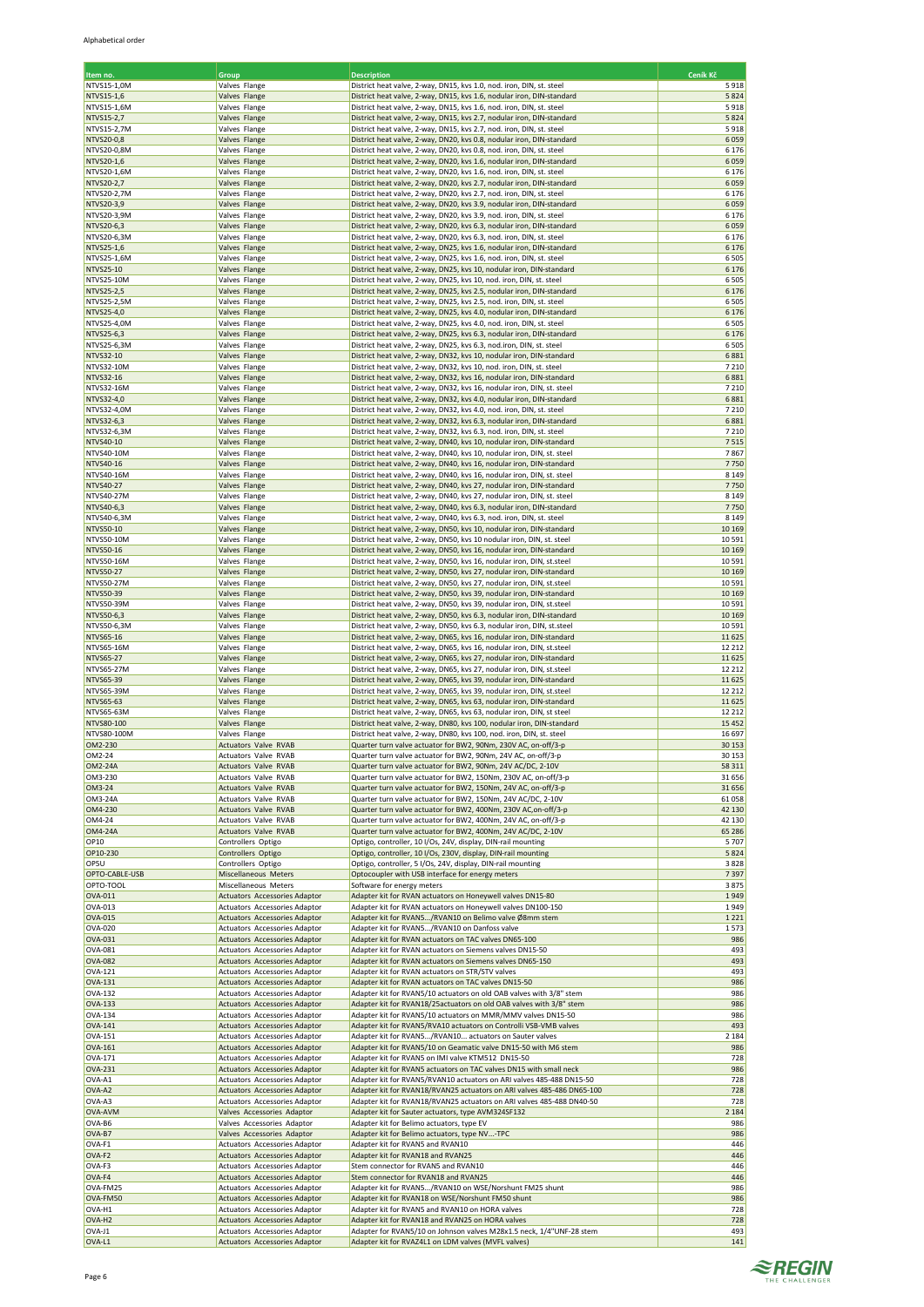| Item no.           | Group                                               | <b>Description</b>                                                     | Ceník Kč |
|--------------------|-----------------------------------------------------|------------------------------------------------------------------------|----------|
| NTVS15-1,0M        | Valves Flange                                       | District heat valve, 2-way, DN15, kvs 1.0, nod. iron, DIN, st. steel   | 5918     |
| NTVS15-1,6         | Valves Flange                                       | District heat valve, 2-way, DN15, kvs 1.6, nodular iron, DIN-standard  | 5824     |
| NTVS15-1,6M        | Valves Flange                                       | District heat valve, 2-way, DN15, kvs 1.6, nod. iron, DIN, st. steel   | 5918     |
| NTVS15-2,7         | Valves Flange                                       | District heat valve, 2-way, DN15, kvs 2.7, nodular iron, DIN-standard  | 5824     |
| NTVS15-2,7M        | Valves Flange                                       | District heat valve, 2-way, DN15, kvs 2.7, nod. iron, DIN, st. steel   | 5918     |
| NTVS20-0,8         | Valves Flange                                       | District heat valve, 2-way, DN20, kvs 0.8, nodular iron, DIN-standard  | 6059     |
| NTVS20-0.8M        | Valves Flange                                       | District heat valve, 2-way, DN20, kvs 0.8, nod. iron, DIN, st. steel   | 6 1 7 6  |
| NTVS20-1,6         | Valves Flange                                       | District heat valve, 2-way, DN20, kvs 1.6, nodular iron, DIN-standard  | 6059     |
| NTVS20-1,6M        | Valves Flange                                       | District heat valve, 2-way, DN20, kvs 1.6, nod. iron, DIN, st. steel   | 6 1 7 6  |
| NTVS20-2,7         | Valves Flange                                       | District heat valve, 2-way, DN20, kvs 2.7, nodular iron, DIN-standard  | 6059     |
| NTVS20-2,7M        | Valves Flange                                       | District heat valve, 2-way, DN20, kvs 2.7, nod. iron, DIN, st. steel   | 6 1 7 6  |
| NTVS20-3,9         | Valves Flange                                       | District heat valve, 2-way, DN20, kvs 3.9, nodular iron, DIN-standard  | 6059     |
|                    |                                                     |                                                                        | 6 1 7 6  |
| NTVS20-3,9M        | Valves Flange                                       | District heat valve, 2-way, DN20, kvs 3.9, nod. iron, DIN, st. steel   |          |
| NTVS20-6,3         | Valves Flange                                       | District heat valve, 2-way, DN20, kvs 6.3, nodular iron, DIN-standard  | 6059     |
| NTVS20-6,3M        | Valves Flange                                       | District heat valve, 2-way, DN20, kvs 6.3, nod. iron, DIN, st. steel   | 6 1 7 6  |
| NTVS25-1,6         | Valves Flange                                       | District heat valve, 2-way, DN25, kvs 1.6, nodular iron, DIN-standard  | 6 1 7 6  |
| NTVS25-1,6M        | Valves Flange                                       | District heat valve, 2-way, DN25, kvs 1.6, nod. iron, DIN, st. steel   | 6505     |
| NTVS25-10          | Valves Flange                                       | District heat valve, 2-way, DN25, kvs 10, nodular iron, DIN-standard   | 6 1 7 6  |
| NTVS25-10M         | Valves Flange                                       | District heat valve, 2-way, DN25, kvs 10, nod. iron, DIN, st. steel    | 6505     |
| NTVS25-2,5         | Valves Flange                                       | District heat valve, 2-way, DN25, kvs 2.5, nodular iron, DIN-standard  | 6 1 7 6  |
| NTVS25-2,5M        | Valves Flange                                       | District heat valve, 2-way, DN25, kvs 2.5, nod. iron, DIN, st. steel   | 6505     |
| NTVS25-4,0         | Valves Flange                                       | District heat valve, 2-way, DN25, kvs 4.0, nodular iron, DIN-standard  | 6 1 7 6  |
| NTVS25-4,0M        | Valves Flange                                       | District heat valve, 2-way, DN25, kvs 4.0, nod. iron, DIN, st. steel   | 6505     |
| NTVS25-6,3         | Valves Flange                                       | District heat valve, 2-way, DN25, kvs 6.3, nodular iron, DIN-standard  | 6 1 7 6  |
| NTVS25-6,3M        | Valves Flange                                       | District heat valve, 2-way, DN25, kvs 6.3, nod.iron, DIN, st. steel    | 6505     |
| NTVS32-10          | Valves Flange                                       | District heat valve, 2-way, DN32, kvs 10, nodular iron, DIN-standard   | 6881     |
| NTVS32-10M         | Valves Flange                                       | District heat valve, 2-way, DN32, kvs 10, nod. iron, DIN, st. steel    | 7 2 1 0  |
| NTVS32-16          | Valves Flange                                       | District heat valve, 2-way, DN32, kvs 16, nodular iron, DIN-standard   | 6881     |
| NTVS32-16M         | Valves Flange                                       | District heat valve, 2-way, DN32, kvs 16, nodular iron, DIN, st. steel | 7 2 1 0  |
| NTVS32-4,0         | Valves Flange                                       | District heat valve, 2-way, DN32, kvs 4.0, nodular iron, DIN-standard  | 6881     |
| NTVS32-4,0M        | Valves Flange                                       | District heat valve, 2-way, DN32, kvs 4.0, nod. iron, DIN, st. steel   | 7 2 1 0  |
| NTVS32-6,3         | Valves Flange                                       | District heat valve, 2-way, DN32, kvs 6.3, nodular iron, DIN-standard  | 6881     |
| NTVS32-6,3M        | Valves Flange                                       | District heat valve, 2-way, DN32, kvs 6.3, nod. iron, DIN, st. steel   | 7210     |
| NTVS40-10          | Valves Flange                                       | District heat valve, 2-way, DN40, kvs 10, nodular iron, DIN-standard   | 7515     |
| NTVS40-10M         | Valves Flange                                       | District heat valve, 2-way, DN40, kvs 10, nodular iron, DIN, st. steel | 7867     |
| NTVS40-16          | Valves Flange                                       | District heat valve, 2-way, DN40, kvs 16, nodular iron, DIN-standard   | 7750     |
|                    | Valves Flange                                       | District heat valve, 2-way, DN40, kvs 16, nodular iron, DIN, st. steel | 8 1 4 9  |
| NTVS40-16M         |                                                     |                                                                        |          |
| NTVS40-27          | Valves Flange                                       | District heat valve, 2-way, DN40, kvs 27, nodular iron, DIN-standard   | 7750     |
| NTVS40-27M         | Valves Flange                                       | District heat valve, 2-way, DN40, kvs 27, nodular iron, DIN, st. steel | 8 1 4 9  |
| NTVS40-6,3         | Valves Flange                                       | District heat valve, 2-way, DN40, kvs 6.3, nodular iron, DIN-standard  | 7750     |
| NTVS40-6,3M        | Valves Flange                                       | District heat valve, 2-way, DN40, kvs 6.3, nod. iron, DIN, st. steel   | 8 1 4 9  |
| NTVS50-10          | Valves Flange                                       | District heat valve, 2-way, DN50, kvs 10, nodular iron, DIN-standard   | 10 16 9  |
| NTVS50-10M         | Valves Flange                                       | District heat valve, 2-way, DN50, kvs 10 nodular iron, DIN, st. steel  | 10591    |
| NTVS50-16          | Valves Flange                                       | District heat valve, 2-way, DN50, kvs 16, nodular iron, DIN-standard   | 10 16 9  |
| NTVS50-16M         | Valves Flange                                       | District heat valve, 2-way, DN50, kvs 16, nodular iron, DIN, st.steel  | 10591    |
| <b>NTVS50-27</b>   | Valves Flange                                       | District heat valve, 2-way, DN50, kvs 27, nodular iron, DIN-standard   | 10 16 9  |
| NTVS50-27M         | Valves Flange                                       | District heat valve, 2-way, DN50, kvs 27, nodular iron, DIN, st.steel  | 10591    |
| NTVS50-39          | Valves Flange                                       | District heat valve, 2-way, DN50, kvs 39, nodular iron, DIN-standard   | 10 16 9  |
| NTVS50-39M         | Valves Flange                                       | District heat valve, 2-way, DN50, kvs 39, nodular iron, DIN, st.steel  | 10591    |
| NTVS50-6,3         | Valves Flange                                       | District heat valve, 2-way, DN50, kvs 6.3, nodular iron, DIN-standard  | 10 16 9  |
| NTVS50-6,3M        | Valves Flange                                       | District heat valve, 2-way, DN50, kvs 6.3, nodular iron, DIN, st.steel | 10591    |
| NTVS65-16          | Valves Flange                                       | District heat valve, 2-way, DN65, kvs 16, nodular iron, DIN-standard   | 11625    |
| NTVS65-16M         | Valves Flange                                       | District heat valve, 2-way, DN65, kvs 16, nodular iron, DIN, st.steel  | 12 212   |
| NTVS65-27          | Valves Flange                                       | District heat valve, 2-way, DN65, kvs 27, nodular iron, DIN-standard   | 11625    |
| NTVS65-27M         | Valves Flange                                       | District heat valve, 2-way, DN65, kvs 27, nodular iron, DIN, st.steel  | 12 212   |
| NTVS65-39          | Valves Flange                                       | District heat valve, 2-way, DN65, kvs 39, nodular iron, DIN-standard   | 11625    |
| NTVS65-39M         | Valves Flange                                       | District heat valve, 2-way, DN65, kvs 39, nodular iron, DIN, st.steel  | 12 21 2  |
| NTVS65-63          | Valves Flange                                       | District heat valve, 2-way, DN65, kvs 63, nodular iron, DIN-standard   | 11625    |
| NTVS65-63M         | Valves Flange                                       | District heat valve, 2-way, DN65, kvs 63, nodular iron, DIN, st steel  | 12 21 2  |
| NTVS80-100         | Valves Flange                                       | District heat valve, 2-way, DN80, kvs 100, nodular iron, DIN-standard  | 15 4 52  |
| NTVS80-100M        | Valves Flange                                       | District heat valve, 2-way, DN80, kvs 100, nod. iron, DIN, st. steel   | 16 697   |
| OM2-230            |                                                     | Quarter turn valve actuator for BW2, 90Nm, 230V AC, on-off/3-p         | 30 15 3  |
| OM2-24             | <b>Actuators Valve RVAB</b><br>Actuators Valve RVAB | Quarter turn valve actuator for BW2, 90Nm, 24V AC, on-off/3-p          | 30 15 3  |
|                    |                                                     |                                                                        |          |
| OM2-24A            | <b>Actuators Valve RVAB</b>                         | Quarter turn valve actuator for BW2, 90Nm, 24V AC/DC, 2-10V            | 58 311   |
| OM3-230            | Actuators Valve RVAB                                | Quarter turn valve actuator for BW2, 150Nm, 230V AC, on-off/3-p        | 31 656   |
| OM3-24             | Actuators Valve RVAB                                | Quarter turn valve actuator for BW2, 150Nm, 24V AC, on-off/3-p         | 31 656   |
| OM3-24A            | Actuators Valve RVAB                                | Quarter turn valve actuator for BW2, 150Nm, 24V AC/DC, 2-10V           | 61058    |
| OM4-230            | Actuators Valve RVAB                                | Quarter turn valve actuator for BW2, 400Nm, 230V AC, on-off/3-p        | 42 130   |
| OM4-24             | Actuators Valve RVAB                                | Quarter turn valve actuator for BW2, 400Nm, 24V AC, on-off/3-p         | 42 130   |
| OM4-24A            | Actuators Valve RVAB                                | Quarter turn valve actuator for BW2, 400Nm, 24V AC/DC, 2-10V           | 65 28 6  |
| OP10               | Controllers Optigo                                  | Optigo, controller, 10 I/Os, 24V, display, DIN-rail mounting           | 5707     |
| OP10-230           | Controllers Optigo                                  | Optigo, controller, 10 I/Os, 230V, display, DIN-rail mounting          | 5824     |
| OP5U               | Controllers Optigo                                  | Optigo, controller, 5 I/Os, 24V, display, DIN-rail mounting            | 3828     |
| OPTO-CABLE-USB     | Miscellaneous Meters                                | Optocoupler with USB interface for energy meters                       | 7397     |
| OPTO-TOOL          | Miscellaneous Meters                                | Software for energy meters                                             | 3875     |
| OVA-011            | <b>Actuators Accessories Adaptor</b>                | Adapter kit for RVAN actuators on Honeywell valves DN15-80             | 1949     |
| OVA-013            | <b>Actuators Accessories Adaptor</b>                | Adapter kit for RVAN actuators on Honeywell valves DN100-150           | 1949     |
| OVA-015            | <b>Actuators Accessories Adaptor</b>                | Adapter kit for RVAN5/RVAN10 on Belimo valve Ø8mm stem                 | 1221     |
| OVA-020            | Actuators Accessories Adaptor                       | Adapter kit for RVAN5/RVAN10 on Danfoss valve                          | 1573     |
| OVA-031            | <b>Actuators Accessories Adaptor</b>                | Adapter kit for RVAN actuators on TAC valves DN65-100                  | 986      |
| OVA-081            | <b>Actuators Accessories Adaptor</b>                | Adapter kit for RVAN actuators on Siemens valves DN15-50               | 493      |
| <b>OVA-082</b>     | Actuators Accessories Adaptor                       | Adapter kit for RVAN actuators on Siemens valves DN65-150              | 493      |
| OVA-121            | Actuators Accessories Adaptor                       | Adapter kit for RVAN actuators on STR/STV valves                       | 493      |
| <b>OVA-131</b>     | <b>Actuators Accessories Adaptor</b>                | Adapter kit for RVAN actuators on TAC valves DN15-50                   | 986      |
| OVA-132            | Actuators Accessories Adaptor                       | Adapter kit for RVAN5/10 actuators on old OAB valves with 3/8" stem    | 986      |
| <b>OVA-133</b>     | Actuators Accessories Adaptor                       | Adapter kit for RVAN18/25 actuators on old OAB valves with 3/8" stem   | 986      |
| OVA-134            | Actuators Accessories Adaptor                       | Adapter kit for RVAN5/10 actuators on MMR/MMV valves DN15-50           | 986      |
| <b>OVA-141</b>     | <b>Actuators Accessories Adaptor</b>                | Adapter kit for RVAN5/RVA10 actuators on Controlli VSB-VMB valves      | 493      |
| OVA-151            | Actuators Accessories Adaptor                       | Adapter kit for RVAN5/RVAN10 actuators on Sauter valves                | 2 1 8 4  |
| <b>OVA-161</b>     | <b>Actuators Accessories Adaptor</b>                | Adapter kit for RVAN5/10 on Geamatic valve DN15-50 with M6 stem        | 986      |
| OVA-171            | Actuators Accessories Adaptor                       | Adapter kit for RVAN5 on IMI valve KTM512 DN15-50                      | 728      |
| <b>OVA-231</b>     | <b>Actuators Accessories Adaptor</b>                | Adapter kit for RVAN5 actuators on TAC valves DN15 with small neck     | 986      |
| OVA-A1             | Actuators Accessories Adaptor                       | Adapter kit for RVAN5/RVAN10 actuators on ARI valves 485-488 DN15-50   | 728      |
| OVA-A2             | <b>Actuators Accessories Adaptor</b>                | Adapter kit for RVAN18/RVAN25 actuators on ARI valves 485-486 DN65-100 | 728      |
| OVA-A3             | Actuators Accessories Adaptor                       | Adapter kit for RVAN18/RVAN25 actuators on ARI valves 485-488 DN40-50  | 728      |
| OVA-AVM            | Valves Accessories Adaptor                          | Adapter kit for Sauter actuators, type AVM324SF132                     | 2 1 8 4  |
| OVA-B6             | Valves Accessories Adaptor                          | Adapter kit for Belimo actuators, type EV                              | 986      |
| OVA-B7             | Valves Accessories Adaptor                          | Adapter kit for Belimo actuators, type NV-TPC                          | 986      |
| OVA-F1             | Actuators Accessories Adaptor                       | Adapter kit for RVAN5 and RVAN10                                       | 446      |
| OVA-F2             | <b>Actuators Accessories Adaptor</b>                | Adapter kit for RVAN18 and RVAN25                                      | 446      |
|                    |                                                     |                                                                        | 446      |
| OVA-F3             | <b>Actuators Accessories Adaptor</b>                | Stem connector for RVAN5 and RVAN10                                    |          |
| OVA-F4             | Actuators Accessories Adaptor                       | Stem connector for RVAN18 and RVAN25                                   | 446      |
| OVA-FM25           | Actuators Accessories Adaptor                       | Adapter kit for RVAN5/RVAN10 on WSE/Norshunt FM25 shunt                | 986      |
| OVA-FM50           | <b>Actuators Accessories Adaptor</b>                | Adapter kit for RVAN18 on WSE/Norshunt FM50 shunt                      | 986      |
| OVA-H1             | Actuators Accessories Adaptor                       | Adapter kit for RVAN5 and RVAN10 on HORA valves                        | 728      |
| OVA-H <sub>2</sub> | <b>Actuators Accessories Adaptor</b>                | Adapter kit for RVAN18 and RVAN25 on HORA valves                       | 728      |
| OVA-J1             | Actuators Accessories Adaptor                       | Adapter for RVAN5/10 on Johnson valves M28x1.5 neck, 1/4"UNF-28 stem   | 493      |
| OVA-L1             | Actuators Accessories Adaptor                       | Adapter kit for RVAZ4L1 on LDM valves (MVFL valves)                    | 141      |

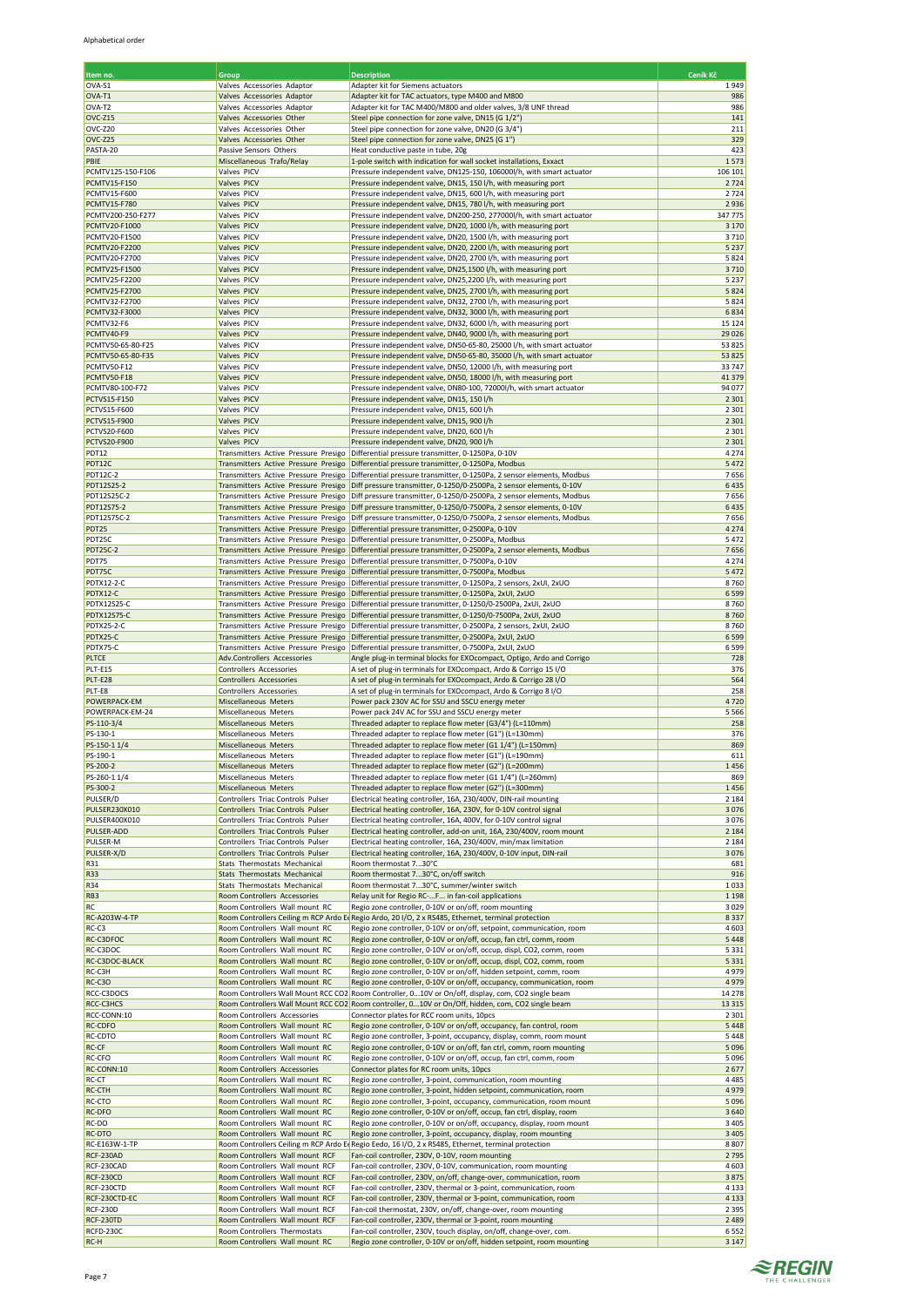| Item no.                                     | Group                                                                        | <b>Description</b>                                                                                                                                                          | Ceník Kč           |
|----------------------------------------------|------------------------------------------------------------------------------|-----------------------------------------------------------------------------------------------------------------------------------------------------------------------------|--------------------|
| OVA-S1                                       | Valves Accessories Adaptor                                                   | Adapter kit for Siemens actuators                                                                                                                                           | 1949               |
| OVA-T1<br>OVA-T2                             | Valves Accessories Adaptor<br>Valves Accessories Adaptor                     | Adapter kit for TAC actuators, type M400 and M800<br>Adapter kit for TAC M400/M800 and older valves, 3/8 UNF thread                                                         | 986<br>986         |
| OVC-Z15                                      | Valves Accessories Other                                                     | Steel pipe connection for zone valve, DN15 (G 1/2")                                                                                                                         | 141                |
| OVC-Z20                                      | Valves Accessories Other                                                     | Steel pipe connection for zone valve, DN20 (G 3/4")                                                                                                                         | 211                |
| OVC-Z25                                      | Valves Accessories Other                                                     | Steel pipe connection for zone valve, DN25 (G 1")                                                                                                                           | 329                |
| PASTA-20<br>PBIE                             | Passive Sensors Others<br>Miscellaneous Trafo/Relay                          | Heat conductive paste in tube, 20g<br>1-pole switch with indication for wall socket installations, Exxact                                                                   | 423<br>1573        |
| PCMTV125-150-F106                            | Valves PICV                                                                  | Pressure independent valve, DN125-150, 106000l/h, with smart actuator                                                                                                       | 106 101            |
| <b>PCMTV15-F150</b>                          | Valves PICV                                                                  | Pressure independent valve, DN15, 150 l/h, with measuring port                                                                                                              | 2724               |
| <b>PCMTV15-F600</b><br><b>PCMTV15-F780</b>   | Valves PICV<br>Valves PICV                                                   | Pressure independent valve, DN15, 600 l/h, with measuring port<br>Pressure independent valve, DN15, 780 l/h, with measuring port                                            | 2724<br>2936       |
| PCMTV200-250-F277                            | Valves PICV                                                                  | Pressure independent valve, DN200-250, 277000l/h, with smart actuator                                                                                                       | 347775             |
| <b>PCMTV20-F1000</b>                         | Valves PICV                                                                  | Pressure independent valve, DN20, 1000 l/h, with measuring port                                                                                                             | 3 1 7 0            |
| PCMTV20-F1500                                | Valves PICV                                                                  | Pressure independent valve, DN20, 1500 l/h, with measuring port                                                                                                             | 3710               |
| PCMTV20-F2200<br><b>PCMTV20-F2700</b>        | Valves PICV<br>Valves PICV                                                   | Pressure independent valve, DN20, 2200 l/h, with measuring port<br>Pressure independent valve, DN20, 2700 l/h, with measuring port                                          | 5 2 3 7<br>5824    |
| <b>PCMTV25-F1500</b>                         | <b>Valves PICV</b>                                                           | Pressure independent valve, DN25,1500 l/h, with measuring port                                                                                                              | 3710               |
| PCMTV25-F2200                                | Valves PICV                                                                  | Pressure independent valve, DN25,2200 l/h, with measuring port                                                                                                              | 5 2 3 7            |
| <b>PCMTV25-F2700</b>                         | Valves PICV                                                                  | Pressure independent valve, DN25, 2700 l/h, with measuring port                                                                                                             | 5824               |
| <b>PCMTV32-F2700</b><br><b>PCMTV32-F3000</b> | Valves PICV<br>Valves PICV                                                   | Pressure independent valve, DN32, 2700 l/h, with measuring port<br>Pressure independent valve, DN32, 3000 l/h, with measuring port                                          | 5824<br>6834       |
| PCMTV32-F6                                   | Valves PICV                                                                  | Pressure independent valve, DN32, 6000 l/h, with measuring port                                                                                                             | 15 124             |
| PCMTV40-F9                                   | Valves PICV                                                                  | Pressure independent valve, DN40, 9000 l/h, with measuring port                                                                                                             | 29 0 26            |
| PCMTV50-65-80-F25                            | Valves PICV                                                                  | Pressure independent valve, DN50-65-80, 25000 l/h, with smart actuator                                                                                                      | 53 825             |
| PCMTV50-65-80-F35<br>PCMTV50-F12             | Valves PICV<br>Valves PICV                                                   | Pressure independent valve, DN50-65-80, 35000 l/h, with smart actuator<br>Pressure independent valve, DN50, 12000 l/h, with measuring port                                  | 53 825<br>33747    |
| PCMTV50-F18                                  | Valves PICV                                                                  | Pressure independent valve, DN50, 18000 l/h, with measuring port                                                                                                            | 41379              |
| PCMTV80-100-F72                              | Valves PICV                                                                  | Pressure independent valve, DN80-100, 72000l/h, with smart actuator                                                                                                         | 94 077             |
| <b>PCTVS15-F150</b>                          | Valves PICV                                                                  | Pressure independent valve, DN15, 150 l/h                                                                                                                                   | 2 3 0 1            |
| <b>PCTVS15-F600</b><br>PCTVS15-F900          | Valves PICV<br>Valves PICV                                                   | Pressure independent valve, DN15, 600 l/h<br>Pressure independent valve, DN15, 900 l/h                                                                                      | 2 3 0 1<br>2 3 0 1 |
| <b>PCTVS20-F600</b>                          | Valves PICV                                                                  | Pressure independent valve, DN20, 600 l/h                                                                                                                                   | 2 3 0 1            |
| <b>PCTVS20-F900</b>                          | Valves PICV                                                                  | Pressure independent valve, DN20, 900 l/h                                                                                                                                   | 2 3 0 1            |
| PDT12                                        |                                                                              | Transmitters Active Pressure Presigo Differential pressure transmitter, 0-1250Pa, 0-10V                                                                                     | 4 2 7 4            |
| PDT12C<br><b>PDT12C-2</b>                    | Transmitters Active Pressure Presigo                                         | Transmitters Active Pressure Presigo Differential pressure transmitter, 0-1250Pa, Modbus<br>Differential pressure transmitter, 0-1250Pa, 2 sensor elements, Modbus          | 5472<br>7656       |
| PDT12S25-2                                   |                                                                              | Transmitters Active Pressure Presigo Diff pressure transmitter, 0-1250/0-2500Pa, 2 sensor elements, 0-10V                                                                   | 6435               |
| PDT12S25C-2                                  | Transmitters Active Pressure Presigo                                         | Diff pressure transmitter, 0-1250/0-2500Pa, 2 sensor elements, Modbus                                                                                                       | 7656               |
| PDT12S75-2                                   | Transmitters Active Pressure Presigo                                         | Diff pressure transmitter, 0-1250/0-7500Pa, 2 sensor elements, 0-10V                                                                                                        | 6435               |
| PDT12S75C-2<br>PDT25                         | Transmitters Active Pressure Presigo<br>Transmitters Active Pressure Presigo | Diff pressure transmitter, 0-1250/0-7500Pa, 2 sensor elements, Modbus<br>Differential pressure transmitter, 0-2500Pa, 0-10V                                                 | 7656<br>4 2 7 4    |
| PDT25C                                       | Transmitters Active Pressure Presigo                                         | Differential pressure transmitter, 0-2500Pa, Modbus                                                                                                                         | 5472               |
| <b>PDT25C-2</b>                              | Transmitters Active Pressure Presigo                                         | Differential pressure transmitter, 0-2500Pa, 2 sensor elements, Modbus                                                                                                      | 7656               |
| PDT75                                        |                                                                              | Transmitters Active Pressure Presigo Differential pressure transmitter, 0-7500Pa, 0-10V                                                                                     | 4 2 7 4            |
| PDT75C<br>PDTX12-2-C                         | Transmitters Active Pressure Presigo<br>Transmitters Active Pressure Presigo | Differential pressure transmitter, 0-7500Pa, Modbus<br>Differential pressure transmitter, 0-1250Pa, 2 sensors, 2xUI, 2xUO                                                   | 5472<br>8760       |
| PDTX12-C                                     |                                                                              | Transmitters Active Pressure Presigo Differential pressure transmitter, 0-1250Pa, 2xUI, 2xUO                                                                                | 6599               |
| <b>PDTX12S25-C</b>                           | Transmitters Active Pressure Presigo                                         | Differential pressure transmitter, 0-1250/0-2500Pa, 2xUI, 2xUO                                                                                                              | 8760               |
| <b>PDTX12S75-C</b>                           | Transmitters Active Pressure Presigo                                         | Differential pressure transmitter, 0-1250/0-7500Pa, 2xUI, 2xUO                                                                                                              | 8760               |
| <b>PDTX25-2-C</b><br>PDTX25-C                | Transmitters Active Pressure Presigo                                         | Transmitters Active Pressure Presigo Differential pressure transmitter, 0-2500Pa, 2 sensors, 2xUI, 2xUO<br>Differential pressure transmitter, 0-2500Pa, 2xUI, 2xUO          | 8760<br>6599       |
| PDTX75-C                                     | Transmitters Active Pressure Presigo                                         | Differential pressure transmitter, 0-7500Pa, 2xUI, 2xUO                                                                                                                     | 6599               |
| <b>PLTCE</b>                                 | Adv.Controllers Accessories                                                  | Angle plug-in terminal blocks for EXOcompact, Optigo, Ardo and Corrigo                                                                                                      | 728                |
| <b>PLT-E15</b><br>PLT-E28                    | Controllers Accessories<br>Controllers Accessories                           | A set of plug-in terminals for EXOcompact, Ardo & Corrigo 15 I/O<br>A set of plug-in terminals for EXOcompact, Ardo & Corrigo 28 I/O                                        | 376<br>564         |
| PLT-E8                                       | Controllers Accessories                                                      | A set of plug-in terminals for EXOcompact, Ardo & Corrigo 8 I/O                                                                                                             | 258                |
| POWERPACK-EM                                 | Miscellaneous Meters                                                         | Power pack 230V AC for SSU and SSCU energy meter                                                                                                                            | 4720               |
| POWERPACK-EM-24                              | Miscellaneous Meters                                                         | Power pack 24V AC for SSU and SSCU energy meter                                                                                                                             | 5566               |
| PS-110-3/4<br>PS-130-1                       | Miscellaneous Meters<br>Miscellaneous Meters                                 | Threaded adapter to replace flow meter (G3/4") (L=110mm)<br>Threaded adapter to replace flow meter (G1") (L=130mm)                                                          | 258<br>376         |
| PS-150-1 1/4                                 | Miscellaneous Meters                                                         | Threaded adapter to replace flow meter (G1 1/4") (L=150mm)                                                                                                                  | 869                |
| PS-190-1                                     | Miscellaneous Meters                                                         | Threaded adapter to replace flow meter (G1") (L=190mm)                                                                                                                      | 611                |
| PS-200-2<br>PS-260-11/4                      | Miscellaneous Meters<br>Miscellaneous Meters                                 | Threaded adapter to replace flow meter (G2") (L=200mm)<br>Threaded adapter to replace flow meter (G1 1/4") (L=260mm)                                                        | 1456<br>869        |
| PS-300-2                                     | Miscellaneous Meters                                                         | Threaded adapter to replace flow meter (G2") (L=300mm)                                                                                                                      | 1456               |
| PULSER/D                                     | Controllers Triac Controls Pulser                                            | Electrical heating controller, 16A, 230/400V, DIN-rail mounting                                                                                                             | 2 1 8 4            |
| PULSER230X010                                | Controllers Triac Controls Pulser                                            | Electrical heating controller, 16A, 230V, for 0-10V control signal                                                                                                          | 3076               |
| PULSER400X010<br><b>PULSER-ADD</b>           | Controllers Triac Controls Pulser<br>Controllers Triac Controls Pulser       | Electrical heating controller, 16A, 400V, for 0-10V control signal<br>Electrical heating controller, add-on unit, 16A, 230/400V, room mount                                 | 3076<br>2 1 8 4    |
| PULSER-M                                     | Controllers Triac Controls Pulser                                            | Electrical heating controller, 16A, 230/400V, min/max limitation                                                                                                            | 2 1 8 4            |
| PULSER-X/D                                   | Controllers Triac Controls Pulser                                            | Electrical heating controller, 16A, 230/400V, 0-10V input, DIN-rail                                                                                                         | 3076               |
| R31                                          | Stats Thermostats Mechanical                                                 | Room thermostat 730°C                                                                                                                                                       | 681                |
| <b>R33</b><br>R34                            | Stats Thermostats Mechanical<br>Stats Thermostats Mechanical                 | Room thermostat 730°C, on/off switch<br>Room thermostat 730°C, summer/winter switch                                                                                         | 916<br>1033        |
| RB3                                          | Room Controllers Accessories                                                 | Relay unit for Regio RC-F in fan-coil applications                                                                                                                          | 1 1 9 8            |
| <b>RC</b>                                    | Room Controllers Wall mount RC                                               | Regio zone controller, 0-10V or on/off, room mounting                                                                                                                       | 3029               |
| RC-A203W-4-TP<br>$RC-C3$                     | Room Controllers Wall mount RC                                               | Room Controllers Ceiling m RCP Ardo Ec Regio Ardo, 201/O, 2 x RS485, Ethernet, terminal protection<br>Regio zone controller, 0-10V or on/off, setpoint, communication, room | 8337<br>4603       |
| RC-C3DFOC                                    | Room Controllers Wall mount RC                                               | Regio zone controller, 0-10V or on/off, occup, fan ctrl, comm, room                                                                                                         | 5448               |
| RC-C3DOC                                     | Room Controllers Wall mount RC                                               | Regio zone controller, 0-10V or on/off, occup, displ, CO2, comm, room                                                                                                       | 5 3 3 1            |
| RC-C3DOC-BLACK                               | Room Controllers Wall mount RC                                               | Regio zone controller, 0-10V or on/off, occup, displ, CO2, comm, room                                                                                                       | 5 3 3 1            |
| RC-C3H<br>RC-C3O                             | Room Controllers Wall mount RC<br>Room Controllers Wall mount RC             | Regio zone controller, 0-10V or on/off, hidden setpoint, comm, room<br>Regio zone controller, 0-10V or on/off, occupancy, communication, room                               | 4979<br>4979       |
| RCC-C3DOCS                                   |                                                                              | Room Controllers Wall Mount RCC CO2 Room Controller, 010V or On/off, display, com, CO2 single beam                                                                          | 14 2 78            |
| RCC-C3HCS                                    |                                                                              | Room Controllers Wall Mount RCC CO2 Room controller, 010V or On/Off, hidden, com, CO2 single beam                                                                           | 13 3 15            |
| RCC-CONN:10<br><b>RC-CDFO</b>                | Room Controllers Accessories<br>Room Controllers Wall mount RC               | Connector plates for RCC room units, 10pcs<br>Regio zone controller, 0-10V or on/off, occupancy, fan control, room                                                          | 2 3 0 1<br>5448    |
| <b>RC-CDTO</b>                               | Room Controllers Wall mount RC                                               | Regio zone controller, 3-point, occupancy, display, comm, room mount                                                                                                        | 5448               |
| RC-CF                                        | Room Controllers Wall mount RC                                               | Regio zone controller, 0-10V or on/off, fan ctrl, comm, room mounting                                                                                                       | 5096               |
| RC-CFO<br>RC-CONN:10                         | Room Controllers Wall mount RC<br>Room Controllers Accessories               | Regio zone controller, 0-10V or on/off, occup, fan ctrl, comm, room<br>Connector plates for RC room units, 10pcs                                                            | 5096<br>2677       |
| RC-CT                                        | Room Controllers Wall mount RC                                               | Regio zone controller, 3-point, communication, room mounting                                                                                                                | 4485               |
| <b>RC-CTH</b>                                | Room Controllers Wall mount RC                                               | Regio zone controller, 3-point, hidden setpoint, communication, room                                                                                                        | 4979               |
| RC-CTO                                       | Room Controllers Wall mount RC                                               | Regio zone controller, 3-point, occupancy, communication, room mount                                                                                                        | 5096               |
| RC-DFO<br>RC-DO                              | Room Controllers Wall mount RC<br>Room Controllers Wall mount RC             | Regio zone controller, 0-10V or on/off, occup, fan ctrl, display, room<br>Regio zone controller, 0-10V or on/off, occupancy, display, room mount                            | 3640<br>3 4 0 5    |
| RC-DTO                                       | Room Controllers Wall mount RC                                               | Regio zone controller, 3-point, occupancy, display, room mounting                                                                                                           | 3 4 0 5            |
| RC-E163W-1-TP                                |                                                                              | Room Controllers Ceiling m RCP Ardo Ed Regio Eedo, 16 I/O, 2 x RS485, Ethernet, terminal protection                                                                         | 8807               |
| RCF-230AD                                    | Room Controllers Wall mount RCF                                              | Fan-coil controller, 230V, 0-10V, room mounting                                                                                                                             | 2795               |
| RCF-230CAD<br><b>RCF-230CD</b>               | Room Controllers Wall mount RCF<br>Room Controllers Wall mount RCF           | Fan-coil controller, 230V, 0-10V, communication, room mounting<br>Fan-coil controller, 230V, on/off, change-over, communication, room                                       | 4603<br>3875       |
| RCF-230CTD                                   | Room Controllers Wall mount RCF                                              | Fan-coil controller, 230V, thermal or 3-point, communication, room                                                                                                          | 4 1 3 3            |
| RCF-230CTD-EC                                | Room Controllers Wall mount RCF                                              | Fan-coil controller, 230V, thermal or 3-point, communication, room                                                                                                          | 4 1 3 3            |
| <b>RCF-230D</b>                              | Room Controllers Wall mount RCF                                              | Fan-coil thermostat, 230V, on/off, change-over, room mounting                                                                                                               | 2 3 9 5            |
| RCF-230TD<br>RCFD-230C                       | Room Controllers Wall mount RCF<br>Room Controllers Thermostats              | Fan-coil controller, 230V, thermal or 3-point, room mounting<br>Fan-coil controller, 230V, touch display, on/off, change-over, com.                                         | 2 4 8 9<br>6552    |
| $RC-H$                                       | Room Controllers Wall mount RC                                               | Regio zone controller, 0-10V or on/off, hidden setpoint, room mounting                                                                                                      | 3 1 4 7            |

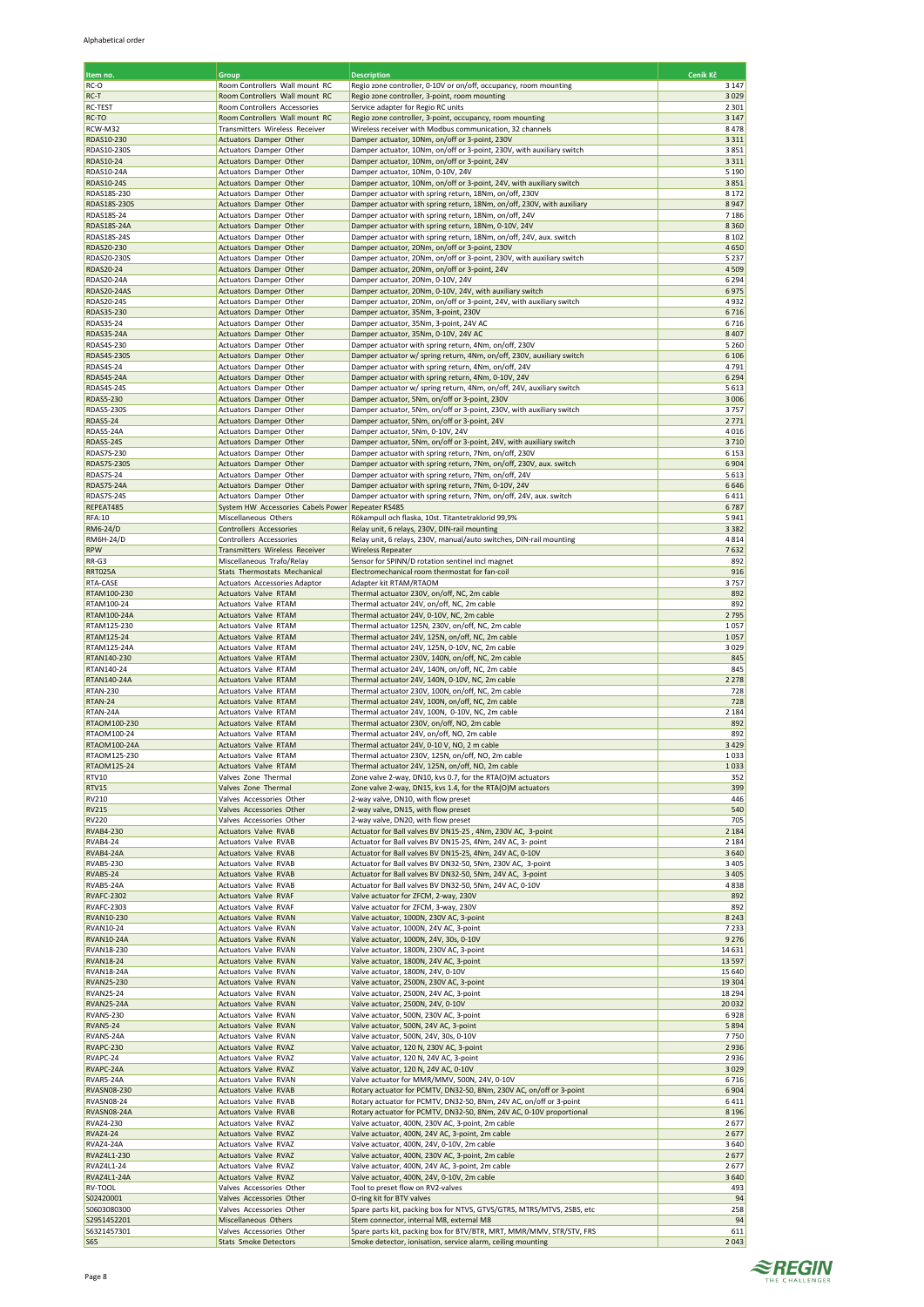| Item no.                            | Group                                                                       | <b>Description</b>                                                                                                       | Ceník Kč           |
|-------------------------------------|-----------------------------------------------------------------------------|--------------------------------------------------------------------------------------------------------------------------|--------------------|
| RC-O                                | Room Controllers Wall mount RC                                              | Regio zone controller, 0-10V or on/off, occupancy, room mounting                                                         | 3 1 4 7            |
| RC-T                                | Room Controllers Wall mount RC                                              | Regio zone controller, 3-point, room mounting                                                                            | 3029               |
| RC-TEST                             | Room Controllers Accessories                                                | Service adapter for Regio RC units                                                                                       | 2 3 0 1            |
| RC-TO                               | Room Controllers Wall mount RC                                              | Regio zone controller, 3-point, occupancy, room mounting                                                                 | 3 1 4 7            |
| RCW-M32                             | Transmitters Wireless Receiver                                              | Wireless receiver with Modbus communication, 32 channels                                                                 | 8478               |
| RDAS10-230                          | Actuators Damper Other                                                      | Damper actuator, 10Nm, on/off or 3-point, 230V                                                                           | 3 3 1 1            |
| RDAS10-230S<br>RDAS10-24            | Actuators Damper Other                                                      | Damper actuator, 10Nm, on/off or 3-point, 230V, with auxiliary switch<br>Damper actuator, 10Nm, on/off or 3-point, 24V   | 3851<br>3 3 1 1    |
| RDAS10-24A                          | Actuators Damper Other<br>Actuators Damper Other                            | Damper actuator, 10Nm, 0-10V, 24V                                                                                        | 5 1 9 0            |
| RDAS10-24S                          | Actuators Damper Other                                                      | Damper actuator, 10Nm, on/off or 3-point, 24V, with auxiliary switch                                                     | 3851               |
| RDAS18S-230                         | Actuators Damper Other                                                      | Damper actuator with spring return, 18Nm, on/off, 230V                                                                   | 8 1 7 2            |
| RDAS18S-230S                        | Actuators Damper Other                                                      | Damper actuator with spring return, 18Nm, on/off, 230V, with auxiliary                                                   | 8947               |
| RDAS18S-24                          | Actuators Damper Other                                                      | Damper actuator with spring return, 18Nm, on/off, 24V                                                                    | 7186               |
| RDAS18S-24A                         | Actuators Damper Other                                                      | Damper actuator with spring return, 18Nm, 0-10V, 24V                                                                     | 8 3 6 0            |
| RDAS18S-24S                         | Actuators Damper Other                                                      | Damper actuator with spring return, 18Nm, on/off, 24V, aux. switch                                                       | 8 1 0 2            |
| RDAS20-230                          | Actuators Damper Other                                                      | Damper actuator, 20Nm, on/off or 3-point, 230V                                                                           | 4650               |
| RDAS20-230S                         | Actuators Damper Other                                                      | Damper actuator, 20Nm, on/off or 3-point, 230V, with auxiliary switch                                                    | 5 2 3 7            |
| RDAS20-24<br>RDAS20-24A             | Actuators Damper Other<br>Actuators Damper Other                            | Damper actuator, 20Nm, on/off or 3-point, 24V<br>Damper actuator, 20Nm, 0-10V, 24V                                       | 4509<br>6 2 9 4    |
| RDAS20-24AS                         | Actuators Damper Other                                                      | Damper actuator, 20Nm, 0-10V, 24V, with auxiliary switch                                                                 | 6975               |
| RDAS20-24S                          | Actuators Damper Other                                                      | Damper actuator, 20Nm, on/off or 3-point, 24V, with auxiliary switch                                                     | 4932               |
| RDAS35-230                          | Actuators Damper Other                                                      | Damper actuator, 35Nm, 3-point, 230V                                                                                     | 6716               |
| RDAS35-24                           | Actuators Damper Other                                                      | Damper actuator, 35Nm, 3-point, 24V AC                                                                                   | 6716               |
| RDAS35-24A                          | Actuators Damper Other                                                      | Damper actuator, 35Nm, 0-10V, 24V AC                                                                                     | 8 4 0 7            |
| RDAS4S-230                          | Actuators Damper Other                                                      | Damper actuator with spring return, 4Nm, on/off, 230V                                                                    | 5 2 6 0            |
| <b>RDAS4S-230S</b>                  | Actuators Damper Other                                                      | Damper actuator w/ spring return, 4Nm, on/off, 230V, auxiliary switch                                                    | 6 1 0 6            |
| RDAS4S-24                           | Actuators Damper Other                                                      | Damper actuator with spring return, 4Nm, on/off, 24V                                                                     | 4791               |
| RDAS4S-24A<br><b>RDAS4S-24S</b>     | Actuators Damper Other                                                      | Damper actuator with spring return, 4Nm, 0-10V, 24V                                                                      | 6 2 9 4<br>5613    |
| RDAS5-230                           | Actuators Damper Other<br>Actuators Damper Other                            | Damper actuator w/ spring return, 4Nm, on/off, 24V, auxiliary switch<br>Damper actuator, 5Nm, on/off or 3-point, 230V    | 3 0 0 6            |
| <b>RDAS5-230S</b>                   | Actuators Damper Other                                                      | Damper actuator, 5Nm, on/off or 3-point, 230V, with auxiliary switch                                                     | 3757               |
| <b>RDAS5-24</b>                     | Actuators Damper Other                                                      | Damper actuator, 5Nm, on/off or 3-point, 24V                                                                             | 2771               |
| RDAS5-24A                           | Actuators Damper Other                                                      | Damper actuator, 5Nm, 0-10V, 24V                                                                                         | 4016               |
| <b>RDAS5-24S</b>                    | Actuators Damper Other                                                      | Damper actuator, 5Nm, on/off or 3-point, 24V, with auxiliary switch                                                      | 3710               |
| <b>RDAS7S-230</b>                   | Actuators Damper Other                                                      | Damper actuator with spring return, 7Nm, on/off, 230V                                                                    | 6 1 5 3            |
| <b>RDAS7S-230S</b>                  | Actuators Damper Other                                                      | Damper actuator with spring return, 7Nm, on/off, 230V, aux. switch                                                       | 6904               |
| <b>RDAS7S-24</b>                    | Actuators Damper Other                                                      | Damper actuator with spring return, 7Nm, on/off, 24V                                                                     | 5 6 1 3            |
| RDAS7S-24A                          | Actuators Damper Other                                                      | Damper actuator with spring return, 7Nm, 0-10V, 24V                                                                      | 6646               |
| <b>RDAS7S-24S</b><br>REPEAT485      | Actuators Damper Other<br>System HW Accessories Cabels Power Repeater RS485 | Damper actuator with spring return, 7Nm, on/off, 24V, aux. switch                                                        | 6411<br>6787       |
| <b>RFA:10</b>                       | Miscellaneous Others                                                        | Rökampull och flaska, 10st. Titantetraklorid 99,9%                                                                       | 5941               |
| RM6-24/D                            | Controllers Accessories                                                     | Relay unit, 6 relays, 230V, DIN-rail mounting                                                                            | 3 3 8 2            |
| RM6H-24/D                           | Controllers Accessories                                                     | Relay unit, 6 relays, 230V, manual/auto switches, DIN-rail mounting                                                      | 4814               |
| <b>RPW</b>                          | Transmitters Wireless Receiver                                              | <b>Wireless Repeater</b>                                                                                                 | 7632               |
| RR-G3                               | Miscellaneous Trafo/Relay                                                   | Sensor for SPINN/D rotation sentinel incl magnet                                                                         | 892                |
| <b>RRT025A</b>                      | Stats Thermostats Mechanical                                                | Electromechanical room thermostat for fan-coil                                                                           | 916                |
| RTA-CASE                            | Actuators Accessories Adaptor                                               | Adapter kit RTAM/RTAOM                                                                                                   | 3757               |
| RTAM100-230                         | Actuators Valve RTAM                                                        | Thermal actuator 230V, on/off, NC, 2m cable                                                                              | 892                |
| RTAM100-24                          | Actuators Valve RTAM                                                        | Thermal actuator 24V, on/off, NC, 2m cable                                                                               | 892<br>2795        |
| RTAM100-24A<br>RTAM125-230          | Actuators Valve RTAM<br>Actuators Valve RTAM                                | Thermal actuator 24V, 0-10V, NC, 2m cable<br>Thermal actuator 125N, 230V, on/off, NC, 2m cable                           | 1057               |
| RTAM125-24                          | Actuators Valve RTAM                                                        | Thermal actuator 24V, 125N, on/off, NC, 2m cable                                                                         | 1057               |
| RTAM125-24A                         | Actuators Valve RTAM                                                        | Thermal actuator 24V, 125N, 0-10V, NC, 2m cable                                                                          | 3029               |
| RTAN140-230                         | Actuators Valve RTAM                                                        | Thermal actuator 230V, 140N, on/off, NC, 2m cable                                                                        | 845                |
| RTAN140-24                          | Actuators Valve RTAM                                                        | Thermal actuator 24V, 140N, on/off, NC, 2m cable                                                                         | 845                |
| RTAN140-24A                         | Actuators Valve RTAM                                                        | Thermal actuator 24V, 140N, 0-10V, NC, 2m cable                                                                          | 2 2 7 8            |
| <b>RTAN-230</b>                     | Actuators Valve RTAM                                                        | Thermal actuator 230V, 100N, on/off, NC, 2m cable                                                                        | 728                |
| RTAN-24                             | Actuators Valve RTAM                                                        | Thermal actuator 24V, 100N, on/off, NC, 2m cable                                                                         | 728                |
| RTAN-24A                            | Actuators Valve RTAM                                                        | Thermal actuator 24V, 100N, 0-10V, NC, 2m cable                                                                          | 2 1 8 4            |
| RTAOM100-230<br>RTAOM100-24         | <b>Actuators Valve RTAM</b>                                                 | Thermal actuator 230V, on/off, NO, 2m cable<br>Thermal actuator 24V, on/off, NO, 2m cable                                | 892<br>892         |
| RTAOM100-24A                        | Actuators Valve RTAM<br><b>Actuators Valve RTAM</b>                         | Thermal actuator 24V, 0-10 V, NO, 2 m cable                                                                              | 3 4 2 9            |
| RTAOM125-230                        | <b>Actuators Valve RTAM</b>                                                 | Thermal actuator 230V, 125N, on/off, NO, 2m cable                                                                        | 1033               |
| RTAOM125-24                         | Actuators Valve RTAM                                                        | Thermal actuator 24V, 125N, on/off, NO, 2m cable                                                                         | 1033               |
| RTV10                               | Valves Zone Thermal                                                         | Zone valve 2-way, DN10, kvs 0.7, for the RTA(O)M actuators                                                               | 352                |
| <b>RTV15</b>                        | Valves Zone Thermal                                                         | Zone valve 2-way, DN15, kvs 1.4, for the RTA(O)M actuators                                                               | 399                |
| RV210                               | Valves Accessories Other                                                    | 2-way valve, DN10, with flow preset                                                                                      | 446                |
| <b>RV215</b>                        | Valves Accessories Other                                                    | 2-way valve, DN15, with flow preset                                                                                      | 540                |
| <b>RV220</b>                        | Valves Accessories Other                                                    | 2-way valve, DN20, with flow preset                                                                                      | 705                |
| <b>RVAB4-230</b><br><b>RVAB4-24</b> | Actuators Valve RVAB<br>Actuators Valve RVAB                                | Actuator for Ball valves BV DN15-25, 4Nm, 230V AC, 3-point<br>Actuator for Ball valves BV DN15-25, 4Nm, 24V AC, 3- point | 2 1 8 4<br>2 1 8 4 |
| RVAB4-24A                           | Actuators Valve RVAB                                                        | Actuator for Ball valves BV DN15-25, 4Nm, 24V AC, 0-10V                                                                  | 3640               |
| <b>RVAB5-230</b>                    | Actuators Valve RVAB                                                        | Actuator for Ball valves BV DN32-50, 5Nm, 230V AC, 3-point                                                               | 3 4 0 5            |
| <b>RVAB5-24</b>                     | Actuators Valve RVAB                                                        | Actuator for Ball valves BV DN32-50, 5Nm, 24V AC, 3-point                                                                | 3 4 0 5            |
| RVAB5-24A                           | Actuators Valve RVAB                                                        | Actuator for Ball valves BV DN32-50, 5Nm, 24V AC, 0-10V                                                                  | 4838               |
| <b>RVAFC-2302</b>                   | Actuators Valve RVAF                                                        | Valve actuator for ZFCM, 2-way, 230V                                                                                     | 892                |
| <b>RVAFC-2303</b>                   | Actuators Valve RVAF                                                        | Valve actuator for ZFCM, 3-way, 230V                                                                                     | 892                |
| RVAN10-230                          | Actuators Valve RVAN                                                        | Valve actuator, 1000N, 230V AC, 3-point                                                                                  | 8 2 4 3            |
| RVAN10-24                           | Actuators Valve RVAN                                                        | Valve actuator, 1000N, 24V AC, 3-point                                                                                   | 7233               |
| <b>RVAN10-24A</b><br>RVAN18-230     | Actuators Valve RVAN<br>Actuators Valve RVAN                                | Valve actuator, 1000N, 24V, 30s, 0-10V<br>Valve actuator, 1800N, 230V AC, 3-point                                        | 9 2 7 6<br>14631   |
| <b>RVAN18-24</b>                    | Actuators Valve RVAN                                                        | Valve actuator, 1800N, 24V AC, 3-point                                                                                   | 13 5 97            |
| <b>RVAN18-24A</b>                   | Actuators Valve RVAN                                                        | Valve actuator, 1800N, 24V, 0-10V                                                                                        | 15 640             |
| RVAN25-230                          | Actuators Valve RVAN                                                        | Valve actuator, 2500N, 230V AC, 3-point                                                                                  | 19 304             |
| <b>RVAN25-24</b>                    | Actuators Valve RVAN                                                        | Valve actuator, 2500N, 24V AC, 3-point                                                                                   | 18 294             |
| <b>RVAN25-24A</b>                   | Actuators Valve RVAN                                                        | Valve actuator, 2500N, 24V, 0-10V                                                                                        | 20 03 2            |
| <b>RVAN5-230</b>                    | Actuators Valve RVAN                                                        | Valve actuator, 500N, 230V AC, 3-point                                                                                   | 6928               |
| <b>RVAN5-24</b>                     | Actuators Valve RVAN                                                        | Valve actuator, 500N, 24V AC, 3-point                                                                                    | 5894               |
| RVAN5-24A<br>RVAPC-230              | Actuators Valve RVAN<br>Actuators Valve RVAZ                                | Valve actuator, 500N, 24V, 30s, 0-10V<br>Valve actuator, 120 N, 230V AC, 3-point                                         | 7750<br>2936       |
| RVAPC-24                            | Actuators Valve RVAZ                                                        | Valve actuator, 120 N, 24V AC, 3-point                                                                                   | 2936               |
| RVAPC-24A                           | Actuators Valve RVAZ                                                        | Valve actuator, 120 N, 24V AC, 0-10V                                                                                     | 3029               |
| RVAR5-24A                           | Actuators Valve RVAN                                                        | Valve actuator for MMR/MMV, 500N, 24V, 0-10V                                                                             | 6716               |
| RVASN08-230                         | Actuators Valve RVAB                                                        | Rotary actuator for PCMTV, DN32-50, 8Nm, 230V AC, on/off or 3-point                                                      | 6904               |
| <b>RVASN08-24</b>                   | Actuators Valve RVAB                                                        | Rotary actuator for PCMTV, DN32-50, 8Nm, 24V AC, on/off or 3-point                                                       | 6411               |
| <b>RVASN08-24A</b>                  | Actuators Valve RVAB                                                        | Rotary actuator for PCMTV, DN32-50, 8Nm, 24V AC, 0-10V proportional                                                      | 8 1 9 6            |
| RVAZ4-230                           | Actuators Valve RVAZ                                                        | Valve actuator, 400N, 230V AC, 3-point, 2m cable                                                                         | 2677               |
| <b>RVAZ4-24</b>                     | Actuators Valve RVAZ                                                        | Valve actuator, 400N, 24V AC, 3-point, 2m cable                                                                          | 2677               |
| RVAZ4-24A<br>RVAZ4L1-230            | Actuators Valve RVAZ<br>Actuators Valve RVAZ                                | Valve actuator, 400N, 24V, 0-10V, 2m cable<br>Valve actuator, 400N, 230V AC, 3-point, 2m cable                           | 3640<br>2677       |
| RVAZ4L1-24                          | Actuators Valve RVAZ                                                        | Valve actuator, 400N, 24V AC, 3-point, 2m cable                                                                          | 2677               |
| RVAZ4L1-24A                         | Actuators Valve RVAZ                                                        | Valve actuator, 400N, 24V, 0-10V, 2m cable                                                                               | 3640               |
| RV-TOOL                             | Valves Accessories Other                                                    | Tool to preset flow on RV2-valves                                                                                        | 493                |
| S02420001                           | Valves Accessories Other                                                    | O-ring kit for BTV valves                                                                                                | 94                 |
| S0603080300                         | Valves Accessories Other                                                    | Spare parts kit, packing box for NTVS, GTVS/GTRS, MTRS/MTVS, 2SBS, etc                                                   | 258                |
| S2951452201                         | Miscellaneous Others                                                        | Stem connector, internal M8, external M8                                                                                 | 94                 |
| \$6321457301                        | Valves Accessories Other                                                    | Spare parts kit, packing box for BTV/BTR, MRT, MMR/MMV, STR/STV, FRS                                                     | 611                |
| S65                                 | <b>Stats Smoke Detectors</b>                                                | Smoke detector, ionisation, service alarm, ceiling mounting                                                              | 2043               |

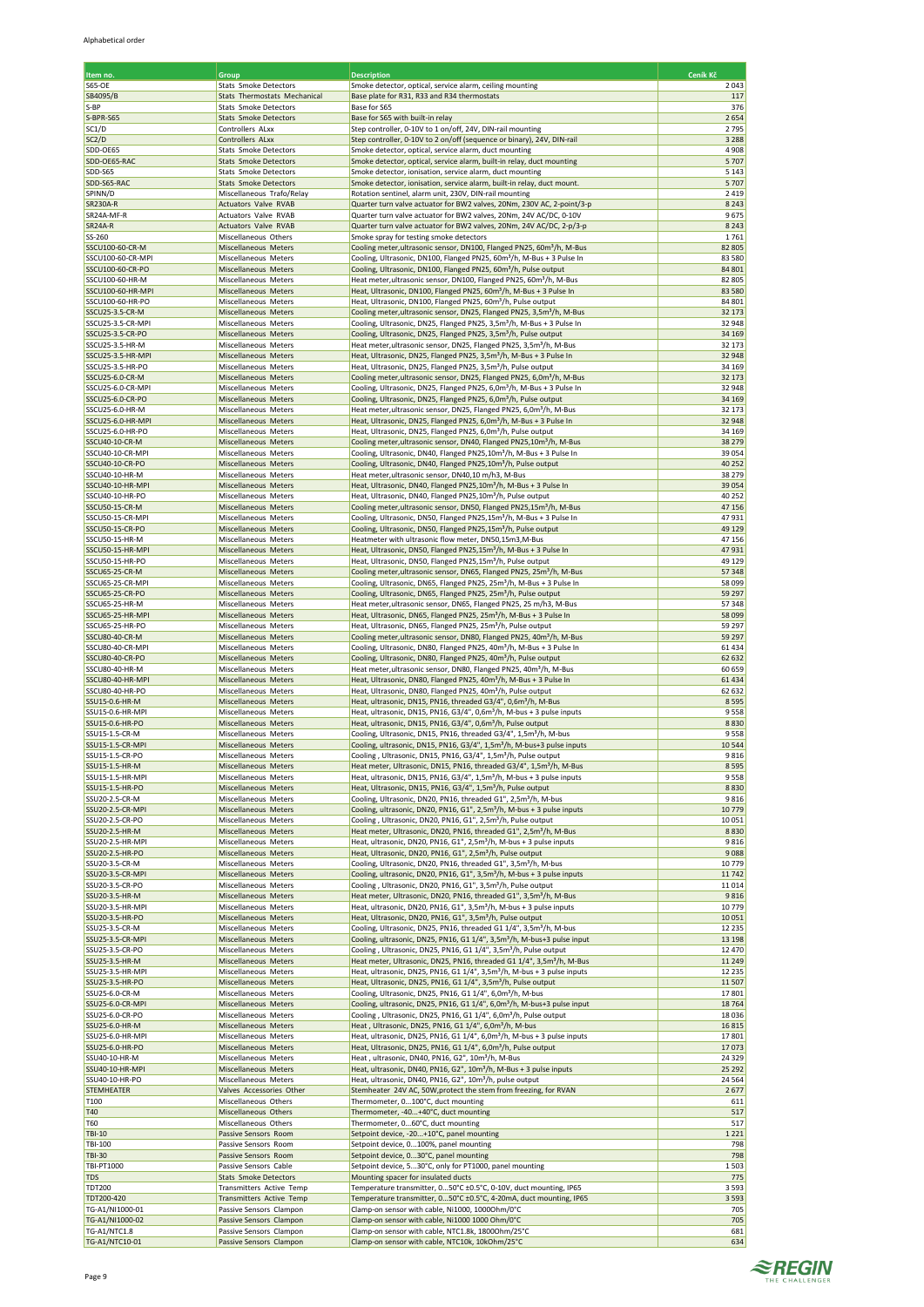| Item no.                             | Group                                                    | <b>Description</b>                                                                                                                                                     | Ceník Kč           |
|--------------------------------------|----------------------------------------------------------|------------------------------------------------------------------------------------------------------------------------------------------------------------------------|--------------------|
| <b>S65-OE</b>                        | Stats Smoke Detectors                                    | Smoke detector, optical, service alarm, ceiling mounting                                                                                                               | 2043               |
| SB4095/B                             | <b>Stats Thermostats Mechanical</b>                      | Base plate for R31, R33 and R34 thermostats                                                                                                                            | 117                |
| S-BP<br>S-BPR-S65                    | Stats Smoke Detectors<br><b>Stats Smoke Detectors</b>    | Base for S65<br>Base for S65 with built-in relay                                                                                                                       | 376<br>2654        |
| SC1/D                                | Controllers ALxx                                         | Step controller, 0-10V to 1 on/off, 24V, DIN-rail mounting                                                                                                             | 2795               |
| SC2/D                                | Controllers ALxx                                         | Step controller, 0-10V to 2 on/off (sequence or binary), 24V, DIN-rail                                                                                                 | 3 2 8 8            |
| SDD-OE65<br>SDD-OE65-RAC             | Stats Smoke Detectors<br><b>Stats Smoke Detectors</b>    | Smoke detector, optical, service alarm, duct mounting<br>Smoke detector, optical, service alarm, built-in relay, duct mounting                                         | 4908<br>5707       |
| SDD-S65                              | Stats Smoke Detectors                                    | Smoke detector, ionisation, service alarm, duct mounting                                                                                                               | 5 1 4 3            |
| SDD-S65-RAC                          | <b>Stats Smoke Detectors</b>                             | Smoke detector, ionisation, service alarm, built-in relay, duct mount.                                                                                                 | 5707               |
| SPINN/D                              | Miscellaneous Trafo/Relay                                | Rotation sentinel, alarm unit, 230V, DIN-rail mounting                                                                                                                 | 2419               |
| <b>SR230A-R</b><br>SR24A-MF-R        | Actuators Valve RVAB<br>Actuators Valve RVAB             | Quarter turn valve actuator for BW2 valves, 20Nm, 230V AC, 2-point/3-p<br>Quarter turn valve actuator for BW2 valves, 20Nm, 24V AC/DC, 0-10V                           | 8 2 4 3<br>9675    |
| <b>SR24A-R</b>                       | Actuators Valve RVAB                                     | Quarter turn valve actuator for BW2 valves, 20Nm, 24V AC/DC, 2-p/3-p                                                                                                   | 8 2 4 3            |
| SS-260                               | Miscellaneous Others                                     | Smoke spray for testing smoke detectors                                                                                                                                | 1761               |
| SSCU100-60-CR-M<br>SSCU100-60-CR-MPI | Miscellaneous Meters<br>Miscellaneous Meters             | Cooling meter, ultrasonic sensor, DN100, Flanged PN25, 60m <sup>3</sup> /h, M-Bus<br>Cooling, Ultrasonic, DN100, Flanged PN25, 60m <sup>3</sup> /h, M-Bus + 3 Pulse In | 82 805<br>83 580   |
| SSCU100-60-CR-PO                     | Miscellaneous Meters                                     | Cooling, Ultrasonic, DN100, Flanged PN25, 60m <sup>3</sup> /h, Pulse output                                                                                            | 84 801             |
| SSCU100-60-HR-M                      | Miscellaneous Meters                                     | Heat meter,ultrasonic sensor, DN100, Flanged PN25, 60m <sup>3</sup> /h, M-Bus                                                                                          | 82 805             |
| SSCU100-60-HR-MPI                    | Miscellaneous Meters                                     | Heat, Ultrasonic, DN100, Flanged PN25, 60m <sup>3</sup> /h, M-Bus + 3 Pulse In                                                                                         | 83 5 80            |
| SSCU100-60-HR-PO<br>SSCU25-3.5-CR-M  | Miscellaneous Meters<br>Miscellaneous Meters             | Heat, Ultrasonic, DN100, Flanged PN25, 60m <sup>3</sup> /h, Pulse output<br>Cooling meter, ultrasonic sensor, DN25, Flanged PN25, 3,5m <sup>3</sup> /h, M-Bus          | 84 801<br>32 173   |
| SSCU25-3.5-CR-MPI                    | Miscellaneous Meters                                     | Cooling, Ultrasonic, DN25, Flanged PN25, 3,5m <sup>3</sup> /h, M-Bus + 3 Pulse In                                                                                      | 32 948             |
| SSCU25-3.5-CR-PO                     | Miscellaneous Meters                                     | Cooling, Ultrasonic, DN25, Flanged PN25, 3,5m <sup>3</sup> /h, Pulse output                                                                                            | 34 16 9            |
| SSCU25-3.5-HR-M<br>SSCU25-3.5-HR-MPI | Miscellaneous Meters<br>Miscellaneous Meters             | Heat meter, ultrasonic sensor, DN25, Flanged PN25, 3,5m <sup>3</sup> /h, M-Bus<br>Heat, Ultrasonic, DN25, Flanged PN25, 3,5m <sup>3</sup> /h, M-Bus + 3 Pulse In       | 32 173<br>32 948   |
| SSCU25-3.5-HR-PO                     | Miscellaneous Meters                                     | Heat, Ultrasonic, DN25, Flanged PN25, 3,5m <sup>3</sup> /h, Pulse output                                                                                               | 34 169             |
| SSCU25-6.0-CR-M                      | <b>Miscellaneous Meters</b>                              | Cooling meter, ultrasonic sensor, DN25, Flanged PN25, 6,0m <sup>3</sup> /h, M-Bus                                                                                      | 32 173             |
| SSCU25-6.0-CR-MPI                    | Miscellaneous Meters                                     | Cooling, Ultrasonic, DN25, Flanged PN25, 6,0m <sup>3</sup> /h, M-Bus + 3 Pulse In                                                                                      | 32 948             |
| SSCU25-6.0-CR-PO<br>SSCU25-6.0-HR-M  | <b>Miscellaneous Meters</b><br>Miscellaneous Meters      | Cooling, Ultrasonic, DN25, Flanged PN25, 6,0m <sup>3</sup> /h, Pulse output<br>Heat meter, ultrasonic sensor, DN25, Flanged PN25, 6,0m <sup>3</sup> /h, M-Bus          | 34 16 9<br>32 173  |
| SSCU25-6.0-HR-MPI                    | Miscellaneous Meters                                     | Heat, Ultrasonic, DN25, Flanged PN25, 6,0m <sup>3</sup> /h, M-Bus + 3 Pulse In                                                                                         | 32 948             |
| SSCU25-6.0-HR-PO                     | Miscellaneous Meters                                     | Heat, Ultrasonic, DN25, Flanged PN25, 6,0m <sup>3</sup> /h, Pulse output                                                                                               | 34 169             |
| SSCU40-10-CR-M<br>SSCU40-10-CR-MPI   | Miscellaneous Meters<br>Miscellaneous Meters             | Cooling meter, ultrasonic sensor, DN40, Flanged PN25,10m <sup>3</sup> /h, M-Bus                                                                                        | 38 279<br>39 0 54  |
| SSCU40-10-CR-PO                      | Miscellaneous Meters                                     | Cooling, Ultrasonic, DN40, Flanged PN25,10m <sup>3</sup> /h, M-Bus + 3 Pulse In<br>Cooling, Ultrasonic, DN40, Flanged PN25,10m <sup>3</sup> /h, Pulse output           | 40 25 2            |
| SSCU40-10-HR-M                       | Miscellaneous Meters                                     | Heat meter, ultrasonic sensor, DN40,10 m/h3, M-Bus                                                                                                                     | 38 279             |
| SSCU40-10-HR-MPI                     | Miscellaneous Meters                                     | Heat, Ultrasonic, DN40, Flanged PN25,10m <sup>3</sup> /h, M-Bus + 3 Pulse In                                                                                           | 39 0 54            |
| SSCU40-10-HR-PO<br>SSCU50-15-CR-M    | Miscellaneous Meters<br>Miscellaneous Meters             | Heat, Ultrasonic, DN40, Flanged PN25,10m <sup>3</sup> /h, Pulse output<br>Cooling meter, ultrasonic sensor, DN50, Flanged PN25,15m <sup>3</sup> /h, M-Bus              | 40 25 2<br>47 15 6 |
| SSCU50-15-CR-MPI                     | Miscellaneous Meters                                     | Cooling, Ultrasonic, DN50, Flanged PN25,15m <sup>3</sup> /h, M-Bus + 3 Pulse In                                                                                        | 47931              |
| SSCU50-15-CR-PO                      | Miscellaneous Meters                                     | Cooling, Ultrasonic, DN50, Flanged PN25,15m <sup>3</sup> /h, Pulse output                                                                                              | 49 129             |
| SSCU50-15-HR-M                       | Miscellaneous Meters                                     | Heatmeter with ultrasonic flow meter, DN50,15m3,M-Bus                                                                                                                  | 47 156             |
| SSCU50-15-HR-MPI<br>SSCU50-15-HR-PO  | Miscellaneous Meters<br>Miscellaneous Meters             | Heat, Ultrasonic, DN50, Flanged PN25,15m <sup>3</sup> /h, M-Bus + 3 Pulse In<br>Heat, Ultrasonic, DN50, Flanged PN25,15m <sup>3</sup> /h, Pulse output                 | 47931<br>49 129    |
| SSCU65-25-CR-M                       | Miscellaneous Meters                                     | Cooling meter, ultrasonic sensor, DN65, Flanged PN25, 25m <sup>3</sup> /h, M-Bus                                                                                       | 57348              |
| SSCU65-25-CR-MPI                     | Miscellaneous Meters                                     | Cooling, Ultrasonic, DN65, Flanged PN25, 25m <sup>3</sup> /h, M-Bus + 3 Pulse In                                                                                       | 58 099             |
| SSCU65-25-CR-PO<br>SSCU65-25-HR-M    | Miscellaneous Meters<br>Miscellaneous Meters             | Cooling, Ultrasonic, DN65, Flanged PN25, 25m <sup>3</sup> /h, Pulse output<br>Heat meter, ultrasonic sensor, DN65, Flanged PN25, 25 m/h3, M-Bus                        | 59 29 7<br>57348   |
| SSCU65-25-HR-MPI                     | Miscellaneous Meters                                     | Heat, Ultrasonic, DN65, Flanged PN25, 25m <sup>3</sup> /h, M-Bus + 3 Pulse In                                                                                          | 58 099             |
| SSCU65-25-HR-PO                      | Miscellaneous Meters                                     | Heat, Ultrasonic, DN65, Flanged PN25, 25m <sup>3</sup> /h, Pulse output                                                                                                | 59 29 7            |
| SSCU80-40-CR-M<br>SSCU80-40-CR-MPI   | Miscellaneous Meters<br>Miscellaneous Meters             | Cooling meter, ultrasonic sensor, DN80, Flanged PN25, 40m <sup>3</sup> /h, M-Bus<br>Cooling, Ultrasonic, DN80, Flanged PN25, 40m <sup>3</sup> /h, M-Bus + 3 Pulse In   | 59 29 7<br>61434   |
| SSCU80-40-CR-PO                      | Miscellaneous Meters                                     | Cooling, Ultrasonic, DN80, Flanged PN25, 40m <sup>3</sup> /h, Pulse output                                                                                             | 62 632             |
| SSCU80-40-HR-M                       | Miscellaneous Meters                                     | Heat meter, ultrasonic sensor, DN80, Flanged PN25, 40m <sup>3</sup> /h, M-Bus                                                                                          | 60 659             |
| SSCU80-40-HR-MPI                     | Miscellaneous Meters                                     | Heat, Ultrasonic, DN80, Flanged PN25, 40m <sup>3</sup> /h, M-Bus + 3 Pulse In                                                                                          | 61434              |
| SSCU80-40-HR-PO<br>SSU15-0.6-HR-M    | Miscellaneous Meters<br>Miscellaneous Meters             | Heat, Ultrasonic, DN80, Flanged PN25, 40m <sup>3</sup> /h, Pulse output<br>Heat, ultrasonic, DN15, PN16, threaded G3/4", 0,6m <sup>3</sup> /h, M-Bus                   | 62 632<br>8595     |
| SSU15-0.6-HR-MPI                     | Miscellaneous Meters                                     | Heat, ultrasonic, DN15, PN16, G3/4", 0,6m <sup>3</sup> /h, M-bus + 3 pulse inputs                                                                                      | 9558               |
| SSU15-0.6-HR-PO                      | Miscellaneous Meters                                     | Heat, ultrasonic, DN15, PN16, G3/4", 0,6m <sup>3</sup> /h, Pulse output                                                                                                | 8830               |
| SSU15-1.5-CR-M<br>SSU15-1.5-CR-MPI   | Miscellaneous Meters<br>Miscellaneous Meters             | Cooling, Ultrasonic, DN15, PN16, threaded G3/4", 1,5m <sup>3</sup> /h, M-bus<br>Cooling, ultrasonic, DN15, PN16, G3/4", 1,5m <sup>3</sup> /h, M-bus+3 pulse inputs     | 9558<br>10544      |
| SSU15-1.5-CR-PO                      | Miscellaneous Meters                                     | Cooling, Ultrasonic, DN15, PN16, G3/4", 1,5m <sup>3</sup> /h, Pulse output                                                                                             | 9816               |
| SSU15-1.5-HR-M                       | Miscellaneous Meters                                     | Heat meter, Ultrasonic, DN15, PN16, threaded G3/4", 1,5m <sup>3</sup> /h, M-Bus                                                                                        | 8595               |
| SSU15-1.5-HR-MPI                     | Miscellaneous Meters                                     | Heat, ultrasonic, DN15, PN16, G3/4", 1,5m <sup>3</sup> /h, M-bus + 3 pulse inputs                                                                                      | 9558               |
| SSU15-1.5-HR-PO<br>SSU20-2.5-CR-M    | Miscellaneous Meters<br>Miscellaneous Meters             | Heat, Ultrasonic, DN15, PN16, G3/4", 1,5m <sup>3</sup> /h, Pulse output<br>Cooling, Ultrasonic, DN20, PN16, threaded G1", 2,5m <sup>3</sup> /h, M-bus                  | 8830<br>9816       |
| SSU20-2.5-CR-MPI                     | Miscellaneous Meters                                     | Cooling, ultrasonic, DN20, PN16, G1", 2,5m <sup>3</sup> /h, M-bus + 3 pulse inputs                                                                                     | 10779              |
| SSU20-2.5-CR-PO                      | Miscellaneous Meters                                     | Cooling, Ultrasonic, DN20, PN16, G1", 2,5m <sup>3</sup> /h, Pulse output                                                                                               | 10051              |
| SSU20-2.5-HR-M                       | Miscellaneous Meters                                     | Heat meter, Ultrasonic, DN20, PN16, threaded G1", 2,5m <sup>3</sup> /h, M-Bus                                                                                          | 8830<br>9816       |
| SSU20-2.5-HR-MPI<br>SSU20-2.5-HR-PO  | Miscellaneous Meters<br>Miscellaneous Meters             | Heat, ultrasonic, DN20, PN16, G1", 2,5m <sup>3</sup> /h, M-bus + 3 pulse inputs<br>Heat, Ultrasonic, DN20, PN16, G1", 2,5m <sup>3</sup> /h, Pulse output               | 9088               |
| SSU20-3.5-CR-M                       | Miscellaneous Meters                                     | Cooling, Ultrasonic, DN20, PN16, threaded G1", 3,5m <sup>3</sup> /h, M-bus                                                                                             | 10779              |
| SSU20-3.5-CR-MPI                     | Miscellaneous Meters                                     | Cooling, ultrasonic, DN20, PN16, G1", 3,5m <sup>3</sup> /h, M-bus + 3 pulse inputs                                                                                     | 11742              |
| SSU20-3.5-CR-PO<br>SSU20-3.5-HR-M    | Miscellaneous Meters<br>Miscellaneous Meters             | Cooling, Ultrasonic, DN20, PN16, G1", 3,5m <sup>3</sup> /h, Pulse output<br>Heat meter, Ultrasonic, DN20, PN16, threaded G1", 3,5m <sup>3</sup> /h, M-Bus              | 11014<br>9816      |
| SSU20-3.5-HR-MPI                     | Miscellaneous Meters                                     | Heat, ultrasonic, DN20, PN16, G1", 3,5m <sup>3</sup> /h, M-bus + 3 pulse inputs                                                                                        | 10779              |
| SSU20-3.5-HR-PO                      | Miscellaneous Meters                                     | Heat, Ultrasonic, DN20, PN16, G1", 3,5m <sup>3</sup> /h, Pulse output                                                                                                  | 10051              |
| SSU25-3.5-CR-M<br>SSU25-3.5-CR-MPI   | Miscellaneous Meters<br>Miscellaneous Meters             | Cooling, Ultrasonic, DN25, PN16, threaded G1 1/4", 3,5m <sup>3</sup> /h, M-bus<br>Cooling, ultrasonic, DN25, PN16, G1 1/4", 3,5m <sup>3</sup> /h, M-bus+3 pulse input  | 12 2 3 5<br>13 198 |
| SSU25-3.5-CR-PO                      | Miscellaneous Meters                                     | Cooling, Ultrasonic, DN25, PN16, G1 1/4", 3,5m <sup>3</sup> /h, Pulse output                                                                                           | 12 470             |
| SSU25-3.5-HR-M                       | Miscellaneous Meters                                     | Heat meter, Ultrasonic, DN25, PN16, threaded G1 1/4", 3,5m <sup>3</sup> /h, M-Bus                                                                                      | 11 249             |
| SSU25-3.5-HR-MPI                     | Miscellaneous Meters                                     | Heat, ultrasonic, DN25, PN16, G1 1/4", 3,5m <sup>3</sup> /h, M-bus + 3 pulse inputs                                                                                    | 12 2 3 5           |
| SSU25-3.5-HR-PO<br>SSU25-6.0-CR-M    | Miscellaneous Meters<br>Miscellaneous Meters             | Heat, Ultrasonic, DN25, PN16, G1 1/4", 3,5m <sup>3</sup> /h, Pulse output<br>Cooling, Ultrasonic, DN25, PN16, G1 1/4", 6,0m <sup>3</sup> /h, M-bus                     | 11507<br>17801     |
| SSU25-6.0-CR-MPI                     | Miscellaneous Meters                                     | Cooling, ultrasonic, DN25, PN16, G1 1/4", 6,0m <sup>3</sup> /h, M-bus+3 pulse input                                                                                    | 18764              |
| SSU25-6.0-CR-PO                      | Miscellaneous Meters                                     | Cooling, Ultrasonic, DN25, PN16, G1 1/4", 6,0m <sup>3</sup> /h, Pulse output                                                                                           | 18036              |
| SSU25-6.0-HR-M<br>SSU25-6.0-HR-MPI   | Miscellaneous Meters<br>Miscellaneous Meters             | Heat, Ultrasonic, DN25, PN16, G1 1/4", 6,0m <sup>3</sup> /h, M-bus<br>Heat, ultrasonic, DN25, PN16, G1 1/4", 6,0m <sup>3</sup> /h, M-bus + 3 pulse inputs              | 16815<br>17801     |
| SSU25-6.0-HR-PO                      | Miscellaneous Meters                                     | Heat, Ultrasonic, DN25, PN16, G1 1/4", 6,0m <sup>3</sup> /h, Pulse output                                                                                              | 17073              |
| SSU40-10-HR-M                        | Miscellaneous Meters                                     | Heat, ultrasonic, DN40, PN16, G2", 10m <sup>3</sup> /h, M-Bus                                                                                                          | 24 3 29            |
| SSU40-10-HR-MPI                      | Miscellaneous Meters                                     | Heat, ultrasonic, DN40, PN16, G2", 10m <sup>3</sup> /h, M-Bus + 3 pulse inputs                                                                                         | 25 29 2            |
| SSU40-10-HR-PO<br>STEMHEATER         | Miscellaneous Meters<br>Valves Accessories Other         | Heat, ultrasonic, DN40, PN16, G2", 10m <sup>3</sup> /h, pulse output<br>Stemheater 24V AC, 50W, protect the stem from freezing, for RVAN                               | 24 5 64<br>2677    |
| T100                                 | Miscellaneous Others                                     | Thermometer, 0100°C, duct mounting                                                                                                                                     | 611                |
| T40                                  | Miscellaneous Others                                     | Thermometer, -40+40°C, duct mounting                                                                                                                                   | 517                |
| T60<br><b>TBI-10</b>                 | Miscellaneous Others<br>Passive Sensors Room             | Thermometer, 060°C, duct mounting<br>Setpoint device, -20+10°C, panel mounting                                                                                         | 517<br>1221        |
| TBI-100                              | Passive Sensors Room                                     | Setpoint device, 0100%, panel mounting                                                                                                                                 | 798                |
| TBI-30                               | Passive Sensors Room                                     | Setpoint device, 030°C, panel mounting                                                                                                                                 | 798                |
| TBI-PT1000                           | Passive Sensors Cable                                    | Setpoint device, 530°C, only for PT1000, panel mounting                                                                                                                | 1503               |
| TDS<br><b>TDT200</b>                 | <b>Stats Smoke Detectors</b><br>Transmitters Active Temp | Mounting spacer for insulated ducts<br>Temperature transmitter, 050°C ±0.5°C, 0-10V, duct mounting, IP65                                                               | 775<br>3 5 9 3     |
| TDT200-420                           | Transmitters Active Temp                                 | Temperature transmitter, 050°C ±0.5°C, 4-20mA, duct mounting, IP65                                                                                                     | 3 5 9 3            |
| TG-A1/NI1000-01                      | Passive Sensors Clampon                                  | Clamp-on sensor with cable, Ni1000, 1000Ohm/0°C                                                                                                                        | 705                |
| TG-A1/NI1000-02<br>TG-A1/NTC1.8      | Passive Sensors Clampon<br>Passive Sensors Clampon       | Clamp-on sensor with cable, Ni1000 1000 Ohm/0°C<br>Clamp-on sensor with cable, NTC1.8k, 1800Ohm/25°C                                                                   | 705<br>681         |
| TG-A1/NTC10-01                       | Passive Sensors Clampon                                  | Clamp-on sensor with cable, NTC10k, 10kOhm/25°C                                                                                                                        | 634                |

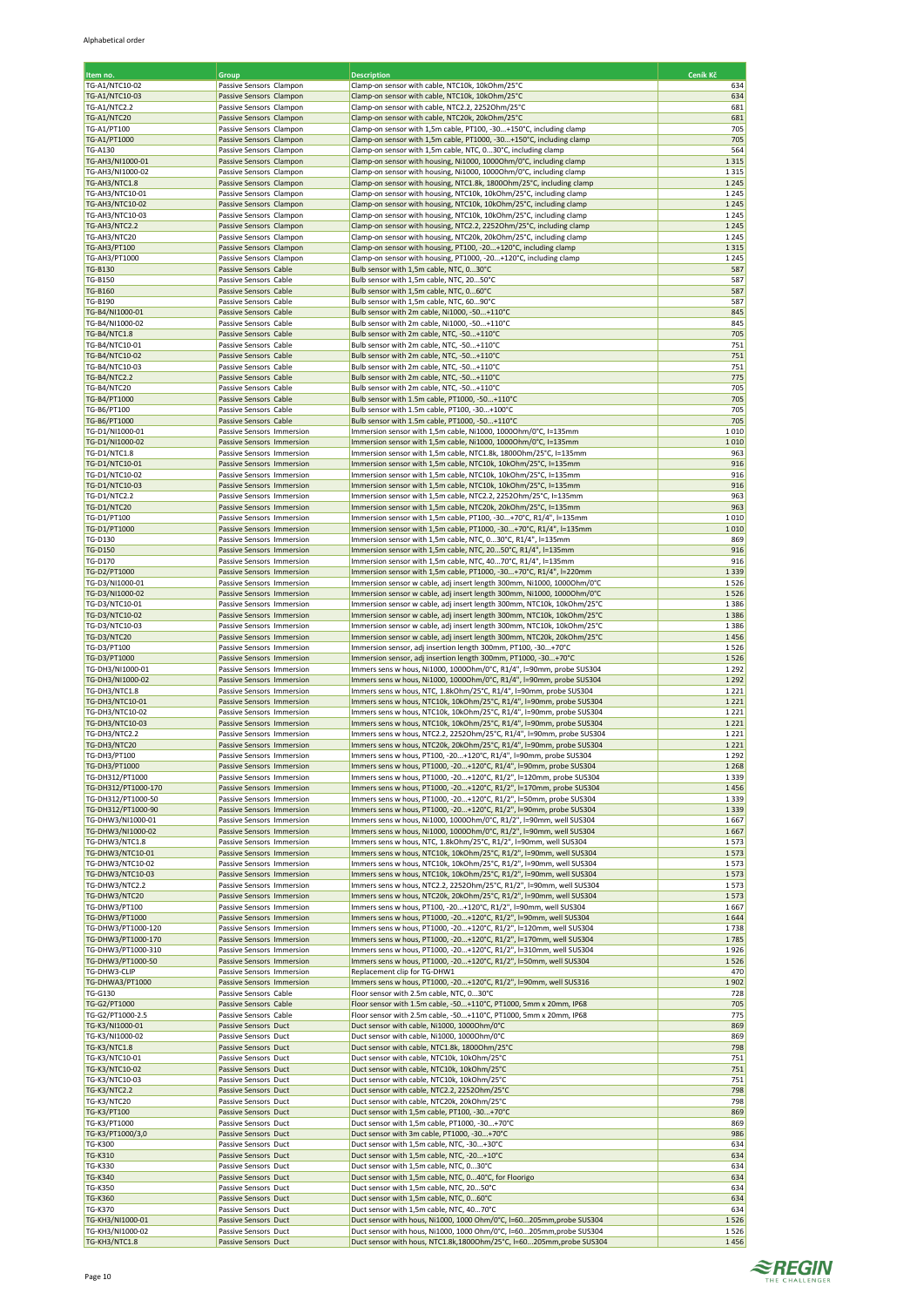| Item no.                                 | Group                                                  | <b>Description</b>                                                                                                                               | Ceník Kč           |
|------------------------------------------|--------------------------------------------------------|--------------------------------------------------------------------------------------------------------------------------------------------------|--------------------|
| TG-A1/NTC10-02                           | Passive Sensors Clampon                                | Clamp-on sensor with cable, NTC10k, 10kOhm/25°C                                                                                                  | 634                |
| TG-A1/NTC10-03                           | Passive Sensors Clampon                                | Clamp-on sensor with cable, NTC10k, 10kOhm/25°C                                                                                                  | 634                |
| <b>TG-A1/NTC2.2</b>                      | Passive Sensors Clampon                                | Clamp-on sensor with cable, NTC2.2, 2252Ohm/25°C                                                                                                 | 681                |
| TG-A1/NTC20                              | Passive Sensors Clampon                                | Clamp-on sensor with cable, NTC20k, 20kOhm/25°C                                                                                                  | 681                |
| TG-A1/PT100<br>TG-A1/PT1000              | Passive Sensors Clampon<br>Passive Sensors Clampon     | Clamp-on sensor with 1,5m cable, PT100, -30+150°C, including clamp<br>Clamp-on sensor with 1,5m cable, PT1000, -30+150°C, including clamp        | 705<br>705         |
| <b>TG-A130</b>                           | Passive Sensors Clampon                                | Clamp-on sensor with 1,5m cable, NTC, 030°C, including clamp                                                                                     | 564                |
| TG-AH3/NI1000-01                         | Passive Sensors Clampon                                | Clamp-on sensor with housing, Ni1000, 1000Ohm/0°C, including clamp                                                                               | 1315               |
| TG-AH3/NI1000-02                         | Passive Sensors Clampon                                | Clamp-on sensor with housing, Ni1000, 1000Ohm/0°C, including clamp                                                                               | 1315               |
| TG-AH3/NTC1.8                            | Passive Sensors Clampon                                | Clamp-on sensor with housing, NTC1.8k, 1800Ohm/25°C, including clamp                                                                             | 1 2 4 5            |
| TG-AH3/NTC10-01<br>TG-AH3/NTC10-02       | Passive Sensors Clampon<br>Passive Sensors Clampon     | Clamp-on sensor with housing, NTC10k, 10kOhm/25°C, including clamp<br>Clamp-on sensor with housing, NTC10k, 10kOhm/25°C, including clamp         | 1 2 4 5<br>1 2 4 5 |
| TG-AH3/NTC10-03                          | Passive Sensors Clampon                                | Clamp-on sensor with housing, NTC10k, 10kOhm/25°C, including clamp                                                                               | 1245               |
| TG-AH3/NTC2.2                            | Passive Sensors Clampon                                | Clamp-on sensor with housing, NTC2.2, 2252Ohm/25°C, including clamp                                                                              | 1 2 4 5            |
| TG-AH3/NTC20                             | Passive Sensors Clampon                                | Clamp-on sensor with housing, NTC20k, 20kOhm/25°C, including clamp                                                                               | 1245               |
| <b>TG-AH3/PT100</b>                      | Passive Sensors Clampon                                | Clamp-on sensor with housing, PT100, -20+120°C, including clamp                                                                                  | 1315               |
| TG-AH3/PT1000                            | Passive Sensors Clampon<br>Passive Sensors Cable       | Clamp-on sensor with housing, PT1000, -20+120°C, including clamp                                                                                 | 1 2 4 5<br>587     |
| <b>TG-B130</b><br><b>TG-B150</b>         | Passive Sensors Cable                                  | Bulb sensor with 1,5m cable, NTC, 030°C<br>Bulb sensor with 1,5m cable, NTC, 2050°C                                                              | 587                |
| <b>TG-B160</b>                           | Passive Sensors Cable                                  | Bulb sensor with 1,5m cable, NTC, 060°C                                                                                                          | 587                |
| <b>TG-B190</b>                           | Passive Sensors Cable                                  | Bulb sensor with 1,5m cable, NTC, 6090°C                                                                                                         | 587                |
| TG-B4/NI1000-01                          | Passive Sensors Cable                                  | Bulb sensor with 2m cable, Ni1000, -50+110°C                                                                                                     | 845                |
| TG-B4/NI1000-02                          | Passive Sensors Cable                                  | Bulb sensor with 2m cable, Ni1000, -50+110°C                                                                                                     | 845                |
| <b>TG-B4/NTC1.8</b><br>TG-B4/NTC10-01    | Passive Sensors Cable<br>Passive Sensors Cable         | Bulb sensor with 2m cable, NTC, -50+110°C                                                                                                        | 705<br>751         |
| TG-B4/NTC10-02                           | Passive Sensors Cable                                  | Bulb sensor with 2m cable, NTC, -50+110°C<br>Bulb sensor with 2m cable, NTC, -50+110°C                                                           | 751                |
| TG-B4/NTC10-03                           | Passive Sensors Cable                                  | Bulb sensor with 2m cable, NTC, -50+110°C                                                                                                        | 751                |
| <b>TG-B4/NTC2.2</b>                      | Passive Sensors Cable                                  | Bulb sensor with 2m cable, NTC, -50+110°C                                                                                                        | 775                |
| TG-B4/NTC20                              | Passive Sensors Cable                                  | Bulb sensor with 2m cable, NTC, -50+110°C                                                                                                        | 705                |
| TG-B4/PT1000                             | Passive Sensors Cable                                  | Bulb sensor with 1.5m cable, PT1000, -50+110°C                                                                                                   | 705                |
| TG-B6/PT100<br>TG-B6/PT1000              | Passive Sensors Cable<br>Passive Sensors Cable         | Bulb sensor with 1.5m cable, PT100, -30+100°C<br>Bulb sensor with 1.5m cable, PT1000, -50+110°C                                                  | 705<br>705         |
| TG-D1/NI1000-01                          | Passive Sensors Immersion                              | Immersion sensor with 1,5m cable, Ni1000, 1000Ohm/0°C, I=135mm                                                                                   | 1010               |
| TG-D1/NI1000-02                          | Passive Sensors Immersion                              | Immersion sensor with 1,5m cable, Ni1000, 10000hm/0°C, I=135mm                                                                                   | 1010               |
| TG-D1/NTC1.8                             | Passive Sensors Immersion                              | Immersion sensor with 1,5m cable, NTC1.8k, 1800Ohm/25°C, I=135mm                                                                                 | 963                |
| TG-D1/NTC10-01                           | Passive Sensors Immersion                              | Immersion sensor with 1,5m cable, NTC10k, 10kOhm/25°C, I=135mm                                                                                   | 916                |
| TG-D1/NTC10-02                           | Passive Sensors Immersion                              | Immersion sensor with 1,5m cable, NTC10k, 10kOhm/25°C, I=135mm                                                                                   | 916                |
| TG-D1/NTC10-03<br>TG-D1/NTC2.2           | Passive Sensors Immersion<br>Passive Sensors Immersion | Immersion sensor with 1,5m cable, NTC10k, 10kOhm/25°C, I=135mm<br>Immersion sensor with 1,5m cable, NTC2.2, 2252Ohm/25°C, I=135mm                | 916<br>963         |
| TG-D1/NTC20                              | Passive Sensors Immersion                              | Immersion sensor with 1,5m cable, NTC20k, 20kOhm/25°C, I=135mm                                                                                   | 963                |
| TG-D1/PT100                              | Passive Sensors Immersion                              | Immersion sensor with 1,5m cable, PT100, -30+70°C, R1/4", l=135mm                                                                                | 1010               |
| TG-D1/PT1000                             | Passive Sensors Immersion                              | Immersion sensor with 1,5m cable, PT1000, -30+70°C, R1/4", l=135mm                                                                               | 1010               |
| <b>TG-D130</b>                           | Passive Sensors Immersion                              | Immersion sensor with 1,5m cable, NTC, 030°C, R1/4", l=135mm                                                                                     | 869                |
| <b>TG-D150</b><br>TG-D170                | Passive Sensors Immersion                              | Immersion sensor with 1,5m cable, NTC, 2050°C, R1/4", l=135mm<br>Immersion sensor with 1,5m cable, NTC, 4070°C, R1/4", I=135mm                   | 916<br>916         |
| TG-D2/PT1000                             | Passive Sensors Immersion<br>Passive Sensors Immersion | Immersion sensor with 1,5m cable, PT1000, -30+70°C, R1/4", l=220mm                                                                               | 1339               |
| TG-D3/NI1000-01                          | Passive Sensors Immersion                              | Immersion sensor w cable, adj insert length 300mm, Ni1000, 10000hm/0°C                                                                           | 1526               |
| TG-D3/NI1000-02                          | Passive Sensors Immersion                              | Immersion sensor w cable, adj insert length 300mm, Ni1000, 10000hm/0°C                                                                           | 1526               |
| TG-D3/NTC10-01                           | Passive Sensors Immersion                              | Immersion sensor w cable, adj insert length 300mm, NTC10k, 10kOhm/25°C                                                                           | 1386               |
| TG-D3/NTC10-02                           | Passive Sensors Immersion                              | Immersion sensor w cable, adj insert length 300mm, NTC10k, 10kOhm/25°C                                                                           | 1386               |
| TG-D3/NTC10-03<br>TG-D3/NTC20            | Passive Sensors Immersion<br>Passive Sensors Immersion | Immersion sensor w cable, adj insert length 300mm, NTC10k, 10kOhm/25°C<br>Immersion sensor w cable, adj insert length 300mm, NTC20k, 20kOhm/25°C | 1386<br>1456       |
| TG-D3/PT100                              | Passive Sensors Immersion                              | Immersion sensor, adj insertion length 300mm, PT100, -30+70°C                                                                                    | 1526               |
| TG-D3/PT1000                             | Passive Sensors Immersion                              | Immersion sensor, adj insertion length 300mm, PT1000, -30+70°C                                                                                   | 1526               |
| TG-DH3/NI1000-01                         | Passive Sensors Immersion                              | Immers sens w hous, Ni1000, 10000hm/0°C, R1/4", I=90mm, probe SUS304                                                                             | 1 2 9 2            |
| TG-DH3/NI1000-02                         | Passive Sensors Immersion                              | Immers sens w hous, Ni1000, 10000hm/0°C, R1/4", I=90mm, probe SUS304                                                                             | 1 2 9 2            |
| TG-DH3/NTC1.8                            | Passive Sensors Immersion                              | Immers sens w hous, NTC, 1.8kOhm/25°C, R1/4", I=90mm, probe SUS304                                                                               | 1221               |
| TG-DH3/NTC10-01<br>TG-DH3/NTC10-02       | Passive Sensors Immersion<br>Passive Sensors Immersion | Immers sens w hous, NTC10k, 10kOhm/25°C, R1/4", I=90mm, probe SUS304<br>Immers sens w hous, NTC10k, 10kOhm/25°C, R1/4", I=90mm, probe SUS304     | 1221<br>1221       |
| TG-DH3/NTC10-03                          | Passive Sensors Immersion                              | Immers sens w hous, NTC10k, 10kOhm/25°C, R1/4", I=90mm, probe SUS304                                                                             | 1221               |
| TG-DH3/NTC2.2                            | Passive Sensors Immersion                              | Immers sens w hous, NTC2.2, 2252Ohm/25°C, R1/4", I=90mm, probe SUS304                                                                            | 1221               |
| TG-DH3/NTC20                             | Passive Sensors Immersion                              | Immers sens w hous, NTC20k, 20kOhm/25°C, R1/4", I=90mm, probe SUS304                                                                             | 1 2 2 1            |
| TG-DH3/PT100                             | Passive Sensors Immersion                              | Immers sens w hous, PT100, -20+120°C, R1/4", I=90mm, probe SUS304                                                                                | 1 2 9 2            |
| TG-DH3/PT1000<br>TG-DH312/PT1000         | Passive Sensors Immersion                              | Immers sens w hous, PT1000, -20+120°C, R1/4", I=90mm, probe SUS304<br>Immers sens w hous, PT1000, -20+120°C, R1/2", I=120mm, probe SUS304        | 1 2 6 8<br>1339    |
| TG-DH312/PT1000-170                      | Passive Sensors Immersion<br>Passive Sensors Immersion | Immers sens w hous, PT1000, -20+120°C, R1/2", I=170mm, probe SUS304                                                                              | 1456               |
| TG-DH312/PT1000-50                       | Passive Sensors Immersion                              | Immers sens w hous, PT1000, -20+120°C, R1/2", I=50mm, probe SUS304                                                                               | 1 3 3 9            |
| TG-DH312/PT1000-90                       | Passive Sensors Immersion                              | Immers sens w hous, PT1000, -20+120°C, R1/2", I=90mm, probe SUS304                                                                               | 1 3 3 9            |
| TG-DHW3/NI1000-01                        | Passive Sensors Immersion                              | Immers sens w hous, Ni1000, 10000hm/0°C, R1/2", I=90mm, well SUS304                                                                              | 1667               |
| TG-DHW3/NI1000-02                        | Passive Sensors Immersion                              | Immers sens w hous, Ni1000, 10000hm/0°C, R1/2", I=90mm, well SUS304                                                                              | 1667               |
| TG-DHW3/NTC1.8<br>TG-DHW3/NTC10-01       | Passive Sensors Immersion<br>Passive Sensors Immersion | Immers sens w hous, NTC, 1.8kOhm/25°C, R1/2", I=90mm, well SUS304<br>Immers sens w hous, NTC10k, 10kOhm/25°C, R1/2", I=90mm, well SUS304         | 1573<br>1573       |
| TG-DHW3/NTC10-02                         | Passive Sensors Immersion                              | Immers sens w hous, NTC10k, 10kOhm/25°C, R1/2", I=90mm, well SUS304                                                                              | 1573               |
| <b>TG-DHW3/NTC10-03</b>                  | Passive Sensors Immersion                              | Immers sens w hous, NTC10k, 10kOhm/25°C, R1/2", I=90mm, well SUS304                                                                              | 1573               |
| TG-DHW3/NTC2.2                           | Passive Sensors Immersion                              | Immers sens w hous, NTC2.2, 2252Ohm/25°C, R1/2", I=90mm, well SUS304                                                                             | 1573               |
| TG-DHW3/NTC20                            | Passive Sensors Immersion                              | Immers sens w hous, NTC20k, 20kOhm/25°C, R1/2", I=90mm, well SUS304                                                                              | 1573               |
| TG-DHW3/PT100<br>TG-DHW3/PT1000          | Passive Sensors Immersion<br>Passive Sensors Immersion | Immers sens w hous, PT100, -20+120°C, R1/2", I=90mm, well SUS304<br>Immers sens w hous, PT1000, -20+120°C, R1/2", I=90mm, well SUS304            | 1667<br>1644       |
| TG-DHW3/PT1000-120                       | Passive Sensors Immersion                              | Immers sens w hous, PT1000, -20+120°C, R1/2", I=120mm, well SUS304                                                                               | 1738               |
| TG-DHW3/PT1000-170                       | Passive Sensors Immersion                              | Immers sens w hous, PT1000, -20+120°C, R1/2", l=170mm, well SUS304                                                                               | 1785               |
| TG-DHW3/PT1000-310                       | Passive Sensors Immersion                              | Immers sens w hous, PT1000, -20+120°C, R1/2", I=310mm, well SUS304                                                                               | 1926               |
| TG-DHW3/PT1000-50                        | Passive Sensors Immersion                              | Immers sens w hous, PT1000, -20+120°C, R1/2", I=50mm, well SUS304                                                                                | 1526               |
| TG-DHW3-CLIP                             | Passive Sensors Immersion                              | Replacement clip for TG-DHW1                                                                                                                     | 470<br>1902        |
| <b>TG-DHWA3/PT1000</b><br><b>TG-G130</b> | Passive Sensors Immersion<br>Passive Sensors Cable     | Immers sens w hous, PT1000, -20+120°C, R1/2", I=90mm, well SUS316<br>Floor sensor with 2.5m cable, NTC, 030°C                                    | 728                |
| TG-G2/PT1000                             | Passive Sensors Cable                                  | Floor sensor with 1.5m cable, -50+110°C, PT1000, 5mm x 20mm, IP68                                                                                | 705                |
| TG-G2/PT1000-2.5                         | Passive Sensors Cable                                  | Floor sensor with 2.5m cable, -50+110°C, PT1000, 5mm x 20mm, IP68                                                                                | 775                |
| TG-K3/NI1000-01                          | Passive Sensors Duct                                   | Duct sensor with cable, Ni1000, 1000Ohm/0°C                                                                                                      | 869                |
| TG-K3/NI1000-02                          | Passive Sensors Duct                                   | Duct sensor with cable, Ni1000, 1000Ohm/0°C                                                                                                      | 869                |
| <b>TG-K3/NTC1.8</b><br>TG-K3/NTC10-01    | Passive Sensors Duct<br>Passive Sensors Duct           | Duct sensor with cable, NTC1.8k, 1800Ohm/25°C<br>Duct sensor with cable, NTC10k, 10kOhm/25°C                                                     | 798<br>751         |
| TG-K3/NTC10-02                           | Passive Sensors Duct                                   | Duct sensor with cable, NTC10k, 10kOhm/25°C                                                                                                      | 751                |
| TG-K3/NTC10-03                           | Passive Sensors Duct                                   | Duct sensor with cable, NTC10k, 10kOhm/25°C                                                                                                      | 751                |
| <b>TG-K3/NTC2.2</b>                      | Passive Sensors Duct                                   | Duct sensor with cable, NTC2.2, 2252Ohm/25°C                                                                                                     | 798                |
| TG-K3/NTC20                              | Passive Sensors Duct                                   | Duct sensor with cable, NTC20k, 20kOhm/25°C                                                                                                      | 798                |
| TG-K3/PT100<br>TG-K3/PT1000              | Passive Sensors Duct<br>Passive Sensors Duct           | Duct sensor with 1,5m cable, PT100, -30+70°C<br>Duct sensor with 1,5m cable, PT1000, -30+70°C                                                    | 869<br>869         |
| TG-K3/PT1000/3,0                         | Passive Sensors Duct                                   | Duct sensor with 3m cable, PT1000, -30+70°C                                                                                                      | 986                |
| <b>TG-K300</b>                           | Passive Sensors Duct                                   | Duct sensor with 1,5m cable, NTC, -30+30°C                                                                                                       | 634                |
| <b>TG-K310</b>                           | Passive Sensors Duct                                   | Duct sensor with 1,5m cable, NTC, -20+10°C                                                                                                       | 634                |
| <b>TG-K330</b>                           | Passive Sensors Duct                                   | Duct sensor with 1,5m cable, NTC, 030°C                                                                                                          | 634                |
| <b>TG-K340</b><br><b>TG-K350</b>         | Passive Sensors Duct<br>Passive Sensors Duct           | Duct sensor with 1,5m cable, NTC, 040°C, for Floorigo<br>Duct sensor with 1,5m cable, NTC, 2050°C                                                | 634<br>634         |
| <b>TG-K360</b>                           | Passive Sensors Duct                                   | Duct sensor with 1,5m cable, NTC, 060°C                                                                                                          | 634                |
| <b>TG-K370</b>                           | Passive Sensors Duct                                   | Duct sensor with 1,5m cable, NTC, 4070°C                                                                                                         | 634                |
| TG-KH3/NI1000-01                         | Passive Sensors Duct                                   | Duct sensor with hous, Ni1000, 1000 Ohm/0°C, I=60205mm, probe SUS304                                                                             | 1526               |
| TG-KH3/NI1000-02                         | Passive Sensors Duct                                   | Duct sensor with hous, Ni1000, 1000 Ohm/0°C, I=60205mm, probe SUS304                                                                             | 1526               |
| TG-KH3/NTC1.8                            | Passive Sensors Duct                                   | Duct sensor with hous, NTC1.8k,1800Ohm/25°C, I=60205mm, probe SUS304                                                                             | 1456               |

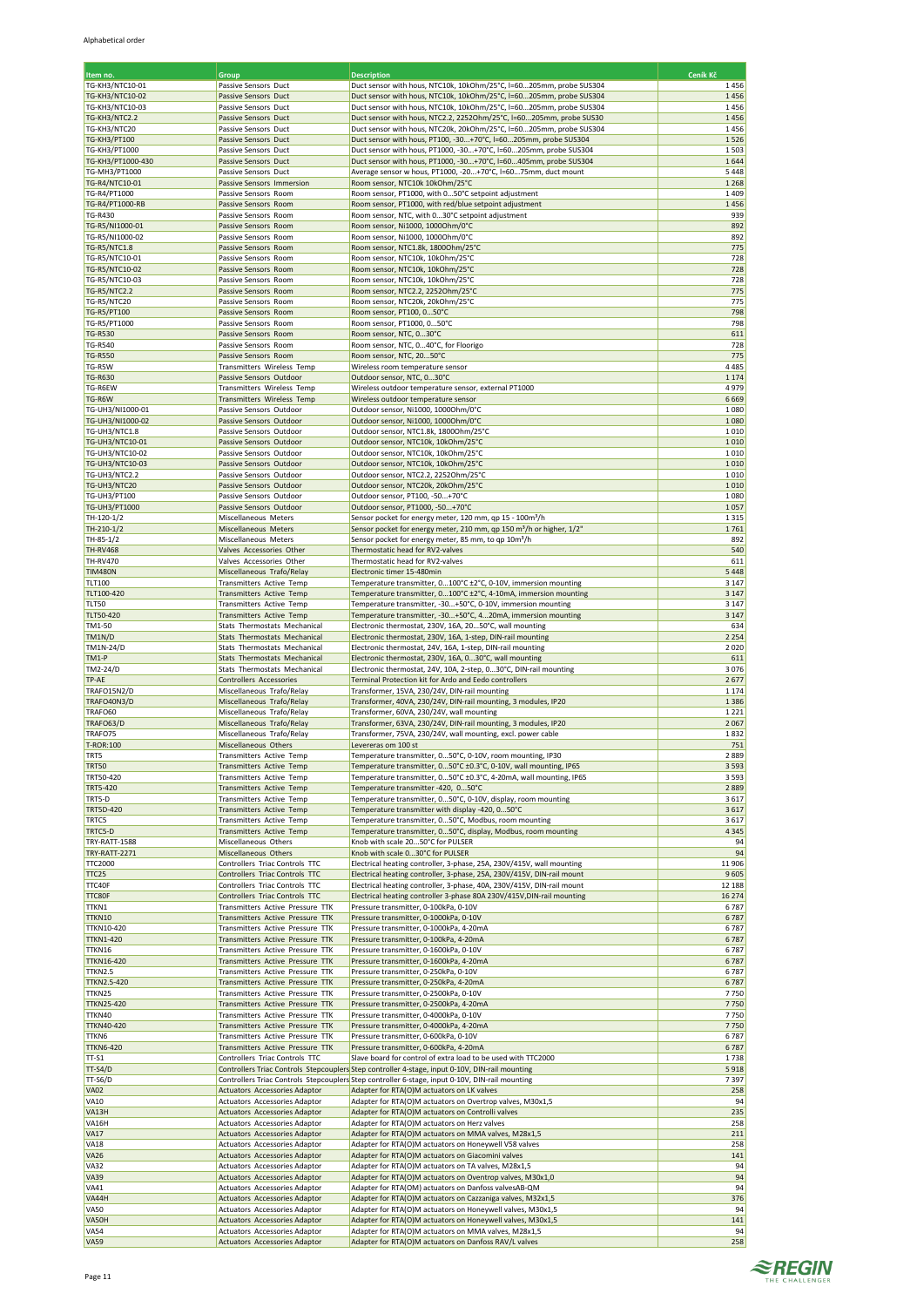| Item no.                             | Group                                                                | <b>Description</b>                                                                                                                      | Ceník Kč        |
|--------------------------------------|----------------------------------------------------------------------|-----------------------------------------------------------------------------------------------------------------------------------------|-----------------|
| TG-KH3/NTC10-01                      | Passive Sensors Duct                                                 | Duct sensor with hous, NTC10k, 10kOhm/25°C, I=60205mm, probe SUS304                                                                     | 1456            |
| <b>TG-KH3/NTC10-02</b>               | Passive Sensors Duct                                                 | Duct sensor with hous, NTC10k, 10kOhm/25°C, I=60205mm, probe SUS304                                                                     | 1456            |
| TG-KH3/NTC10-03                      | Passive Sensors Duct                                                 | Duct sensor with hous, NTC10k, 10kOhm/25°C, I=60205mm, probe SUS304                                                                     | 1456            |
| TG-KH3/NTC2.2                        | Passive Sensors Duct                                                 | Duct sensor with hous, NTC2.2, 2252Ohm/25°C, I=60205mm, probe SUS30                                                                     | 1456            |
| TG-KH3/NTC20<br><b>TG-KH3/PT100</b>  | Passive Sensors Duct<br>Passive Sensors Duct                         | Duct sensor with hous, NTC20k, 20kOhm/25°C, I=60205mm, probe SUS304<br>Duct sensor with hous, PT100, -30+70°C, I=60205mm, probe SUS304  | 1456<br>1526    |
| <b>TG-KH3/PT1000</b>                 | Passive Sensors Duct                                                 | Duct sensor with hous, PT1000, -30+70°C, I=60205mm, probe SUS304                                                                        | 1503            |
| TG-KH3/PT1000-430                    | Passive Sensors Duct                                                 | Duct sensor with hous, PT1000, -30+70°C, I=60405mm, probe SUS304                                                                        | 1644            |
| TG-MH3/PT1000                        | Passive Sensors Duct                                                 | Average sensor w hous, PT1000, -20+70°C, I=6075mm, duct mount                                                                           | 5448            |
| TG-R4/NTC10-01                       | Passive Sensors Immersion                                            | Room sensor, NTC10k 10kOhm/25°C                                                                                                         | 1 2 6 8         |
| TG-R4/PT1000<br>TG-R4/PT1000-RB      | Passive Sensors Room<br>Passive Sensors Room                         | Room sensor, PT1000, with 050°C setpoint adjustment<br>Room sensor, PT1000, with red/blue setpoint adjustment                           | 1409<br>1456    |
| <b>TG-R430</b>                       | Passive Sensors Room                                                 | Room sensor, NTC, with 030°C setpoint adjustment                                                                                        | 939             |
| TG-R5/NI1000-01                      | Passive Sensors Room                                                 | Room sensor, Ni1000, 1000Ohm/0°C                                                                                                        | 892             |
| TG-R5/NI1000-02                      | Passive Sensors Room                                                 | Room sensor, Ni1000, 1000Ohm/0°C                                                                                                        | 892             |
| <b>TG-R5/NTC1.8</b>                  | Passive Sensors Room                                                 | Room sensor, NTC1.8k, 1800Ohm/25°C                                                                                                      | 775             |
| TG-R5/NTC10-01<br>TG-R5/NTC10-02     | Passive Sensors Room                                                 | Room sensor, NTC10k, 10kOhm/25°C                                                                                                        | 728<br>728      |
| TG-R5/NTC10-03                       | Passive Sensors Room<br>Passive Sensors Room                         | Room sensor, NTC10k, 10kOhm/25°C<br>Room sensor, NTC10k, 10kOhm/25°C                                                                    | 728             |
| <b>TG-R5/NTC2.2</b>                  | Passive Sensors Room                                                 | Room sensor, NTC2.2, 2252Ohm/25°C                                                                                                       | 775             |
| TG-R5/NTC20                          | Passive Sensors Room                                                 | Room sensor, NTC20k, 20kOhm/25°C                                                                                                        | 775             |
| TG-R5/PT100                          | Passive Sensors Room                                                 | Room sensor, PT100, 050°C                                                                                                               | 798             |
| TG-R5/PT1000                         | Passive Sensors Room                                                 | Room sensor, PT1000, 050°C                                                                                                              | 798             |
| <b>TG-R530</b><br><b>TG-R540</b>     | Passive Sensors Room<br>Passive Sensors Room                         | Room sensor, NTC, 030°C<br>Room sensor, NTC, 040°C, for Floorigo                                                                        | 611<br>728      |
| <b>TG-R550</b>                       | Passive Sensors Room                                                 | Room sensor, NTC, 2050°C                                                                                                                | 775             |
| TG-R5W                               | Transmitters Wireless Temp                                           | Wireless room temperature sensor                                                                                                        | 4 4 8 5         |
| <b>TG-R630</b>                       | Passive Sensors Outdoor                                              | Outdoor sensor, NTC, 030°C                                                                                                              | 1 1 7 4         |
| TG-R6EW                              | Transmitters Wireless Temp                                           | Wireless outdoor temperature sensor, external PT1000                                                                                    | 4979            |
| TG-R6W                               | Transmitters Wireless Temp                                           | Wireless outdoor temperature sensor                                                                                                     | 6669            |
| TG-UH3/NI1000-01<br>TG-UH3/NI1000-02 | Passive Sensors Outdoor<br>Passive Sensors Outdoor                   | Outdoor sensor, Ni1000, 1000Ohm/0°C<br>Outdoor sensor, Ni1000, 1000Ohm/0°C                                                              | 1080<br>1080    |
| TG-UH3/NTC1.8                        | Passive Sensors Outdoor                                              | Outdoor sensor, NTC1.8k, 1800Ohm/25°C                                                                                                   | 1010            |
| TG-UH3/NTC10-01                      | Passive Sensors Outdoor                                              | Outdoor sensor, NTC10k, 10kOhm/25°C                                                                                                     | 1010            |
| TG-UH3/NTC10-02                      | Passive Sensors Outdoor                                              | Outdoor sensor, NTC10k, 10kOhm/25°C                                                                                                     | 1010            |
| <b>TG-UH3/NTC10-03</b>               | Passive Sensors Outdoor                                              | Outdoor sensor, NTC10k, 10kOhm/25°C                                                                                                     | 1010            |
| TG-UH3/NTC2.2                        | Passive Sensors Outdoor                                              | Outdoor sensor, NTC2.2, 2252Ohm/25°C<br>Outdoor sensor, NTC20k, 20kOhm/25°C                                                             | 1010<br>1010    |
| TG-UH3/NTC20<br><b>TG-UH3/PT100</b>  | Passive Sensors Outdoor<br>Passive Sensors Outdoor                   | Outdoor sensor, PT100, -50+70°C                                                                                                         | 1080            |
| <b>TG-UH3/PT1000</b>                 | Passive Sensors Outdoor                                              | Outdoor sensor, PT1000, -50+70°C                                                                                                        | 1057            |
| TH-120-1/2                           | Miscellaneous Meters                                                 | Sensor pocket for energy meter, 120 mm, qp 15 - 100m <sup>3</sup> /h                                                                    | 1315            |
| TH-210-1/2                           | Miscellaneous Meters                                                 | Sensor pocket for energy meter, 210 mm, qp 150 m <sup>3</sup> /h or higher, 1/2"                                                        | 1761            |
| TH-85-1/2                            | Miscellaneous Meters                                                 | Sensor pocket for energy meter, 85 mm, to qp 10m <sup>3</sup> /h                                                                        | 892             |
| <b>TH-RV468</b><br><b>TH-RV470</b>   | Valves Accessories Other<br>Valves Accessories Other                 | Thermostatic head for RV2-valves<br>Thermostatic head for RV2-valves                                                                    | 540<br>611      |
| <b>TIM480N</b>                       | Miscellaneous Trafo/Relay                                            | Electronic timer 15-480min                                                                                                              | 5 4 4 8         |
| <b>TLT100</b>                        | Transmitters Active Temp                                             | Temperature transmitter, 0100°C ±2°C, 0-10V, immersion mounting                                                                         | 3 1 4 7         |
| TLT100-420                           | Transmitters Active Temp                                             | Temperature transmitter, 0100°C ±2°C, 4-10mA, immersion mounting                                                                        | 3 1 4 7         |
| TLT50                                | Transmitters Active Temp                                             | Temperature transmitter, -30+50°C, 0-10V, immersion mounting                                                                            | 3 1 4 7         |
| <b>TLT50-420</b><br>TM1-50           | Transmitters Active Temp                                             | Temperature transmitter, -30+50°C, 420mA, immersion mounting                                                                            | 3 1 4 7         |
| TM1N/D                               | Stats Thermostats Mechanical<br>Stats Thermostats Mechanical         | Electronic thermostat, 230V, 16A, 2050°C, wall mounting<br>Electronic thermostat, 230V, 16A, 1-step, DIN-rail mounting                  | 634<br>2 2 5 4  |
| TM1N-24/D                            | Stats Thermostats Mechanical                                         | Electronic thermostat, 24V, 16A, 1-step, DIN-rail mounting                                                                              | 2020            |
| TM1-P                                | Stats Thermostats Mechanical                                         | Electronic thermostat, 230V, 16A, 030°C, wall mounting                                                                                  | 611             |
| TM2-24/D                             | Stats Thermostats Mechanical                                         | Electronic thermostat, 24V, 10A, 2-step, 030°C, DIN-rail mounting                                                                       | 3076            |
| TP-AE                                | Controllers Accessories<br>Miscellaneous Trafo/Relay                 | Terminal Protection kit for Ardo and Eedo controllers<br>Transformer, 15VA, 230/24V, DIN-rail mounting                                  | 2677<br>1 1 7 4 |
| TRAFO15N2/D<br>TRAFO40N3/D           | Miscellaneous Trafo/Relay                                            | Transformer, 40VA, 230/24V, DIN-rail mounting, 3 modules, IP20                                                                          | 1386            |
| TRAFO60                              | Miscellaneous Trafo/Relay                                            | Transformer, 60VA, 230/24V, wall mounting                                                                                               | 1221            |
| TRAFO63/D                            | Miscellaneous Trafo/Relay                                            | Transformer, 63VA, 230/24V, DIN-rail mounting, 3 modules, IP20                                                                          | 2067            |
| TRAFO75                              | Miscellaneous Trafo/Relay                                            | Transformer, 75VA, 230/24V, wall mounting, excl. power cable                                                                            | 1832            |
| T-ROR:100                            | Miscellaneous Others                                                 | Levereras om 100 st                                                                                                                     | 751             |
| TRT5<br><b>TRT50</b>                 | Transmitters Active Temp                                             | Temperature transmitter, 050°C, 0-10V, room mounting, IP30                                                                              | 2889<br>3 5 9 3 |
| TRT50-420                            | Transmitters Active Temp<br>Transmitters Active Temp                 | Temperature transmitter, 050°C ±0.3°C, 0-10V, wall mounting, IP65<br>Temperature transmitter, 050°C ±0.3°C, 4-20mA, wall mounting, IP65 | 3 5 9 3         |
| <b>TRT5-420</b>                      | Transmitters Active Temp                                             | Temperature transmitter -420, 050°C                                                                                                     | 2889            |
| TRT5-D                               | Transmitters Active Temp                                             | Temperature transmitter, 050°C, 0-10V, display, room mounting                                                                           | 3617            |
| <b>TRT5D-420</b>                     | Transmitters Active Temp                                             | Temperature transmitter with display -420, 050°C                                                                                        | 3617            |
| TRTC5                                | Transmitters Active Temp                                             | Temperature transmitter, 050°C, Modbus, room mounting                                                                                   | 3617            |
| TRTC5-D<br><b>TRY-RATT-1588</b>      | Transmitters Active Temp<br>Miscellaneous Others                     | Temperature transmitter, 050°C, display, Modbus, room mounting<br>Knob with scale 2050°C for PULSER                                     | 4 3 4 5<br>94   |
| <b>TRY-RATT-2271</b>                 | Miscellaneous Others                                                 | Knob with scale 030°C for PULSER                                                                                                        | 94              |
| <b>TTC2000</b>                       | Controllers Triac Controls TTC                                       | Electrical heating controller, 3-phase, 25A, 230V/415V, wall mounting                                                                   | 11906           |
| <b>TTC25</b>                         | Controllers Triac Controls TTC                                       | Electrical heating controller, 3-phase, 25A, 230V/415V, DIN-rail mount                                                                  | 9605            |
| TTC40F                               | Controllers Triac Controls TTC                                       | Electrical heating controller, 3-phase, 40A, 230V/415V, DIN-rail mount                                                                  | 12 188          |
| TTC80F<br>TTKN1                      | Controllers Triac Controls TTC<br>Transmitters Active Pressure TTK   | Electrical heating controller 3-phase 80A 230V/415V, DIN-rail mounting<br>Pressure transmitter, 0-100kPa, 0-10V                         | 16 274<br>6787  |
| <b>TTKN10</b>                        | Transmitters Active Pressure TTK                                     | Pressure transmitter, 0-1000kPa, 0-10V                                                                                                  | 6787            |
| <b>TTKN10-420</b>                    | Transmitters Active Pressure TTK                                     | Pressure transmitter, 0-1000kPa, 4-20mA                                                                                                 | 6787            |
| <b>TTKN1-420</b>                     | Transmitters Active Pressure TTK                                     | Pressure transmitter, 0-100kPa, 4-20mA                                                                                                  | 6787            |
| TTKN16                               | Transmitters Active Pressure TTK                                     | Pressure transmitter, 0-1600kPa, 0-10V                                                                                                  | 6787            |
| <b>TTKN16-420</b>                    | Transmitters Active Pressure TTK                                     | Pressure transmitter, 0-1600kPa, 4-20mA                                                                                                 | 6787            |
| TTKN2.5<br><b>TTKN2.5-420</b>        | Transmitters Active Pressure TTK<br>Transmitters Active Pressure TTK | Pressure transmitter, 0-250kPa, 0-10V<br>Pressure transmitter, 0-250kPa, 4-20mA                                                         | 6787<br>6787    |
| TTKN25                               | Transmitters Active Pressure TTK                                     | Pressure transmitter, 0-2500kPa, 0-10V                                                                                                  | 7750            |
| <b>TTKN25-420</b>                    | Transmitters Active Pressure TTK                                     | Pressure transmitter, 0-2500kPa, 4-20mA                                                                                                 | 7750            |
| TTKN40                               | Transmitters Active Pressure TTK                                     | Pressure transmitter, 0-4000kPa, 0-10V                                                                                                  | 7750            |
| <b>TTKN40-420</b>                    | Transmitters Active Pressure TTK                                     | Pressure transmitter, 0-4000kPa, 4-20mA                                                                                                 | 7750            |
| <b>TTKN6</b><br><b>TTKN6-420</b>     | Transmitters Active Pressure TTK<br>Transmitters Active Pressure TTK | Pressure transmitter, 0-600kPa, 0-10V<br>Pressure transmitter, 0-600kPa, 4-20mA                                                         | 6787<br>6787    |
| $TT-S1$                              | Controllers Triac Controls TTC                                       | Slave board for control of extra load to be used with TTC2000                                                                           | 1738            |
| <b>TT-S4/D</b>                       |                                                                      | Controllers Triac Controls Stepcouplers Step controller 4-stage, input 0-10V, DIN-rail mounting                                         | 5918            |
| TT-S6/D                              |                                                                      | Controllers Triac Controls Stepcouplers Step controller 6-stage, input 0-10V, DIN-rail mounting                                         | 7397            |
| <b>VA02</b>                          | Actuators Accessories Adaptor                                        | Adapter for RTA(O)M actuators on LK valves                                                                                              | 258             |
| <b>VA10</b><br>VA13H                 | Actuators Accessories Adaptor                                        | Adapter for RTA(O)M actuators on Overtrop valves, M30x1,5                                                                               | 94              |
| VA16H                                | Actuators Accessories Adaptor<br>Actuators Accessories Adaptor       | Adapter for RTA(O)M actuators on Controlli valves<br>Adapter for RTA(O)M actuators on Herz valves                                       | 235<br>258      |
| <b>VA17</b>                          | Actuators Accessories Adaptor                                        | Adapter for RTA(O)M actuators on MMA valves, M28x1,5                                                                                    | 211             |
| <b>VA18</b>                          | Actuators Accessories Adaptor                                        | Adapter for RTA(O)M actuators on Honeywell V58 valves                                                                                   | 258             |
| <b>VA26</b>                          | <b>Actuators Accessories Adaptor</b>                                 | Adapter for RTA(O)M actuators on Giacomini valves                                                                                       | 141             |
| <b>VA32</b>                          | Actuators Accessories Adaptor                                        | Adapter for RTA(O)M actuators on TA valves, M28x1,5                                                                                     | 94              |
| <b>VA39</b><br><b>VA41</b>           | Actuators Accessories Adaptor<br>Actuators Accessories Adaptor       | Adapter for RTA(O)M actuators on Oventrop valves, M30x1,0<br>Adapter for RTA(OM) actuators on Danfoss valvesAB-QM                       | 94<br>94        |
| VA44H                                | Actuators Accessories Adaptor                                        | Adapter for RTA(O)M actuators on Cazzaniga valves, M32x1,5                                                                              | 376             |
| <b>VA50</b>                          | Actuators Accessories Adaptor                                        | Adapter for RTA(O)M actuators on Honeywell valves, M30x1,5                                                                              | 94              |
| VA50H                                | <b>Actuators Accessories Adaptor</b>                                 | Adapter for RTA(O)M actuators on Honeywell valves, M30x1,5                                                                              | 141             |
| <b>VA54</b>                          | Actuators Accessories Adaptor                                        | Adapter for RTA(O)M actuators on MMA valves, M28x1,5                                                                                    | 94              |
| <b>VA59</b>                          | Actuators Accessories Adaptor                                        | Adapter for RTA(O)M actuators on Danfoss RAV/L valves                                                                                   | 258             |

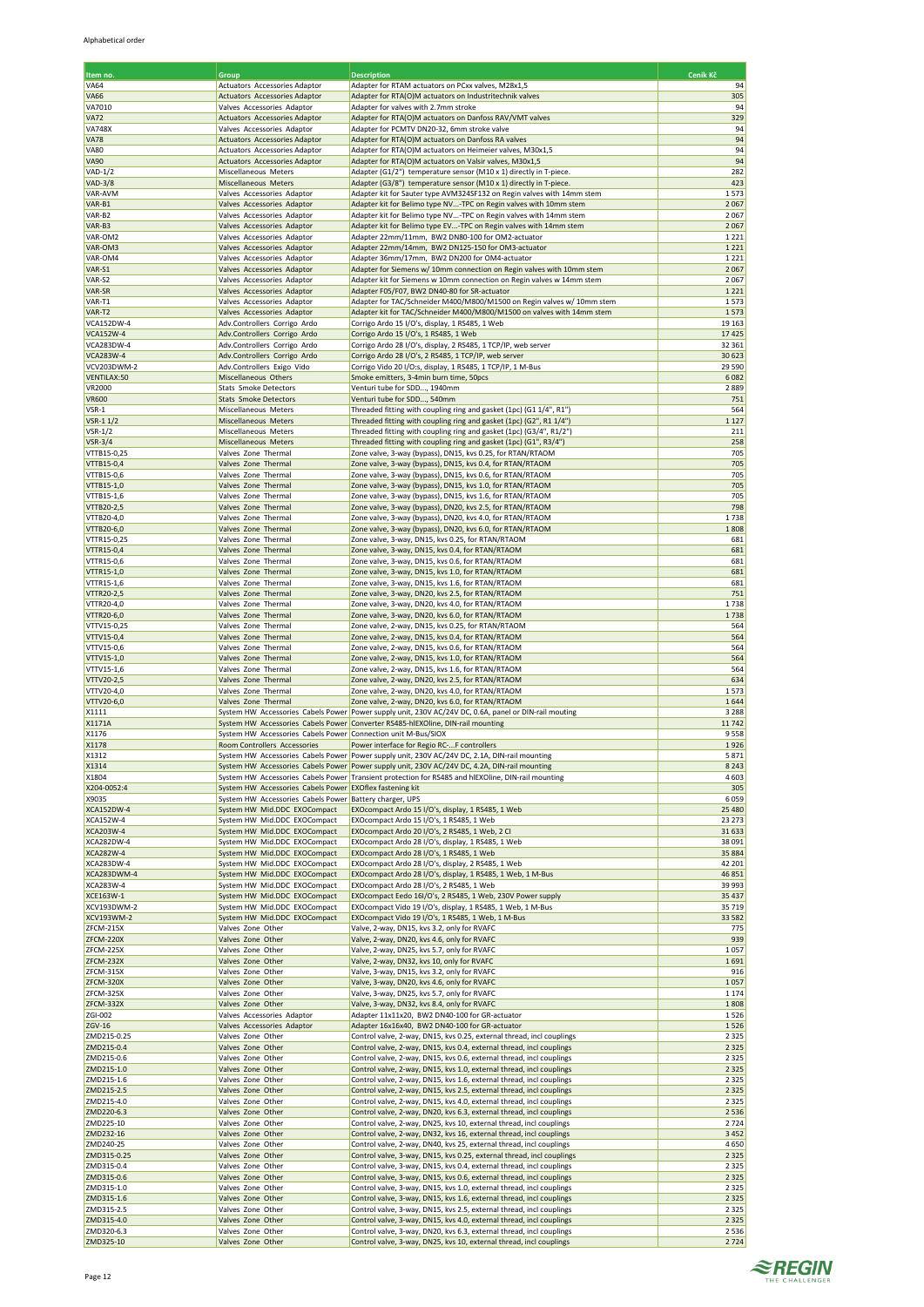| Item no.                             | Group                                                                 | <b>Description</b>                                                                                                                           | Ceník Kč           |
|--------------------------------------|-----------------------------------------------------------------------|----------------------------------------------------------------------------------------------------------------------------------------------|--------------------|
| <b>VA64</b>                          | Actuators Accessories Adaptor                                         | Adapter for RTAM actuators on PCxx valves, M28x1,5                                                                                           | 94                 |
| <b>VA66</b><br>VA7010                | <b>Actuators Accessories Adaptor</b><br>Valves Accessories Adaptor    | Adapter for RTA(O)M actuators on Industritechnik valves<br>Adapter for valves with 2.7mm stroke                                              | 305<br>94          |
| <b>VA72</b>                          | <b>Actuators Accessories Adaptor</b>                                  | Adapter for RTA(O)M actuators on Danfoss RAV/VMT valves                                                                                      | 329                |
| <b>VA748X</b>                        | Valves Accessories Adaptor                                            | Adapter for PCMTV DN20-32, 6mm stroke valve                                                                                                  | 94                 |
| <b>VA78</b>                          | Actuators Accessories Adaptor                                         | Adapter for RTA(O)M actuators on Danfoss RA valves                                                                                           | 94                 |
| <b>VA80</b><br><b>VA90</b>           | Actuators Accessories Adaptor<br><b>Actuators Accessories Adaptor</b> | Adapter for RTA(O)M actuators on Heimeier valves, M30x1,5<br>Adapter for RTA(O)M actuators on Valsir valves, M30x1,5                         | 94<br>94           |
| <b>VAD-1/2</b>                       | Miscellaneous Meters                                                  | Adapter (G1/2") temperature sensor (M10 x 1) directly in T-piece.                                                                            | 282                |
| <b>VAD-3/8</b>                       | Miscellaneous Meters                                                  | Adapter (G3/8") temperature sensor (M10 x 1) directly in T-piece.                                                                            | 423                |
| VAR-AVM<br>VAR-B1                    | Valves Accessories Adaptor<br>Valves Accessories Adaptor              | Adapter kit for Sauter type AVM324SF132 on Regin valves with 14mm stem<br>Adapter kit for Belimo type NV-TPC on Regin valves with 10mm stem  | 1573<br>2067       |
| VAR-B2                               | Valves Accessories Adaptor                                            | Adapter kit for Belimo type NV-TPC on Regin valves with 14mm stem                                                                            | 2067               |
| VAR-B3                               | Valves Accessories Adaptor                                            | Adapter kit for Belimo type EV-TPC on Regin valves with 14mm stem                                                                            | 2067               |
| VAR-OM2<br>VAR-OM3                   | Valves Accessories Adaptor<br>Valves Accessories Adaptor              | Adapter 22mm/11mm, BW2 DN80-100 for OM2-actuator<br>Adapter 22mm/14mm, BW2 DN125-150 for OM3-actuator                                        | 1221               |
| VAR-OM4                              | Valves Accessories Adaptor                                            | Adapter 36mm/17mm, BW2 DN200 for OM4-actuator                                                                                                | 1 2 2 1<br>1221    |
| VAR-S1                               | Valves Accessories Adaptor                                            | Adapter for Siemens w/ 10mm connection on Regin valves with 10mm stem                                                                        | 2067               |
| VAR-S2                               | Valves Accessories Adaptor                                            | Adapter kit for Siemens w 10mm connection on Regin valves w 14mm stem                                                                        | 2067               |
| VAR-SR<br>VAR-T1                     | Valves Accessories Adaptor<br>Valves Accessories Adaptor              | Adapter F05/F07, BW2 DN40-80 for SR-actuator<br>Adapter for TAC/Schneider M400/M800/M1500 on Regin valves w/ 10mm stem                       | 1 2 2 1<br>1573    |
| VAR-T2                               | Valves Accessories Adaptor                                            | Adapter kit for TAC/Schneider M400/M800/M1500 on valves with 14mm stem                                                                       | 1573               |
| VCA152DW-4                           | Adv.Controllers Corrigo Ardo                                          | Corrigo Ardo 15 I/O's, display, 1 RS485, 1 Web                                                                                               | 19 16 3            |
| <b>VCA152W-4</b>                     | Adv.Controllers Corrigo Ardo                                          | Corrigo Ardo 15 I/O's, 1 RS485, 1 Web                                                                                                        | 17425<br>32 361    |
| VCA283DW-4<br><b>VCA283W-4</b>       | Adv.Controllers Corrigo Ardo<br>Adv.Controllers Corrigo Ardo          | Corrigo Ardo 28 I/O's, display, 2 RS485, 1 TCP/IP, web server<br>Corrigo Ardo 28 I/O's, 2 RS485, 1 TCP/IP, web server                        | 30 623             |
| VCV203DWM-2                          | Adv.Controllers Exigo Vido                                            | Corrigo Vido 20 I/O:s, display, 1 RS485, 1 TCP/IP, 1 M-Bus                                                                                   | 29 5 90            |
| VENTILAX:50                          | Miscellaneous Others                                                  | Smoke emitters, 3-4min burn time, 50pcs                                                                                                      | 6082               |
| VR2000<br><b>VR600</b>               | <b>Stats Smoke Detectors</b><br><b>Stats Smoke Detectors</b>          | Venturi tube for SDD, 1940mm<br>Venturi tube for SDD, 540mm                                                                                  | 2889<br>751        |
| VSR-1                                | Miscellaneous Meters                                                  | Threaded fitting with coupling ring and gasket (1pc) (G1 1/4", R1")                                                                          | 564                |
| VSR-1 1/2                            | Miscellaneous Meters                                                  | Threaded fitting with coupling ring and gasket (1pc) (G2", R1 1/4")                                                                          | 1 1 2 7            |
| <b>VSR-1/2</b><br><b>VSR-3/4</b>     | Miscellaneous Meters<br>Miscellaneous Meters                          | Threaded fitting with coupling ring and gasket (1pc) (G3/4", R1/2")<br>Threaded fitting with coupling ring and gasket (1pc) (G1", R3/4")     | 211<br>258         |
| VTTB15-0,25                          | Valves Zone Thermal                                                   | Zone valve, 3-way (bypass), DN15, kvs 0.25, for RTAN/RTAOM                                                                                   | 705                |
| VTTB15-0,4                           | Valves Zone Thermal                                                   | Zone valve, 3-way (bypass), DN15, kvs 0.4, for RTAN/RTAOM                                                                                    | 705                |
| VTTB15-0,6                           | Valves Zone Thermal                                                   | Zone valve, 3-way (bypass), DN15, kvs 0.6, for RTAN/RTAOM                                                                                    | 705                |
| VTTB15-1,0<br>VTTB15-1,6             | Valves Zone Thermal<br>Valves Zone Thermal                            | Zone valve, 3-way (bypass), DN15, kvs 1.0, for RTAN/RTAOM<br>Zone valve, 3-way (bypass), DN15, kvs 1.6, for RTAN/RTAOM                       | 705<br>705         |
| VTTB20-2,5                           | Valves Zone Thermal                                                   | Zone valve, 3-way (bypass), DN20, kvs 2.5, for RTAN/RTAOM                                                                                    | 798                |
| VTTB20-4,0                           | Valves Zone Thermal                                                   | Zone valve, 3-way (bypass), DN20, kvs 4.0, for RTAN/RTAOM                                                                                    | 1738               |
| VTTB20-6,0<br>VTTR15-0,25            | Valves Zone Thermal                                                   | Zone valve, 3-way (bypass), DN20, kvs 6.0, for RTAN/RTAOM                                                                                    | 1808<br>681        |
| VTTR15-0,4                           | Valves Zone Thermal<br>Valves Zone Thermal                            | Zone valve, 3-way, DN15, kvs 0.25, for RTAN/RTAOM<br>Zone valve, 3-way, DN15, kvs 0.4, for RTAN/RTAOM                                        | 681                |
| VTTR15-0,6                           | Valves Zone Thermal                                                   | Zone valve, 3-way, DN15, kvs 0.6, for RTAN/RTAOM                                                                                             | 681                |
| VTTR15-1,0                           | Valves Zone Thermal                                                   | Zone valve, 3-way, DN15, kvs 1.0, for RTAN/RTAOM                                                                                             | 681                |
| VTTR15-1,6<br>VTTR20-2,5             | Valves Zone Thermal<br>Valves Zone Thermal                            | Zone valve, 3-way, DN15, kvs 1.6, for RTAN/RTAOM<br>Zone valve, 3-way, DN20, kvs 2.5, for RTAN/RTAOM                                         | 681<br>751         |
| VTTR20-4,0                           | Valves Zone Thermal                                                   | Zone valve, 3-way, DN20, kvs 4.0, for RTAN/RTAOM                                                                                             | 1738               |
| VTTR20-6,0                           | Valves Zone Thermal                                                   | Zone valve, 3-way, DN20, kvs 6.0, for RTAN/RTAOM                                                                                             | 1738               |
| VTTV15-0,25<br>VTTV15-0,4            | Valves Zone Thermal<br>Valves Zone Thermal                            | Zone valve, 2-way, DN15, kvs 0.25, for RTAN/RTAOM<br>Zone valve, 2-way, DN15, kvs 0.4, for RTAN/RTAOM                                        | 564<br>564         |
| VTTV15-0,6                           | Valves Zone Thermal                                                   | Zone valve, 2-way, DN15, kvs 0.6, for RTAN/RTAOM                                                                                             | 564                |
| VTTV15-1,0                           | Valves Zone Thermal                                                   | Zone valve, 2-way, DN15, kvs 1.0, for RTAN/RTAOM                                                                                             | 564                |
| VTTV15-1,6                           | Valves Zone Thermal                                                   | Zone valve, 2-way, DN15, kvs 1.6, for RTAN/RTAOM                                                                                             | 564                |
| VTTV20-2,5<br>VTTV20-4,0             | Valves Zone Thermal<br>Valves Zone Thermal                            | Zone valve, 2-way, DN20, kvs 2.5, for RTAN/RTAOM<br>Zone valve, 2-way, DN20, kvs 4.0, for RTAN/RTAOM                                         | 634<br>1573        |
| VTTV20-6,0                           | Valves Zone Thermal                                                   | Zone valve, 2-way, DN20, kvs 6.0, for RTAN/RTAOM                                                                                             | 1644               |
| X1111                                |                                                                       | System HW Accessories Cabels Power Power supply unit, 230V AC/24V DC, 0.6A, panel or DIN-rail mouting                                        | 3 2 8 8            |
| X1171A<br>X1176                      | System HW Accessories Cabels Power Connection unit M-Bus/SIOX         | System HW Accessories Cabels Power Converter RS485-hlEXOline, DIN-rail mounting                                                              | 11742<br>9558      |
| X1178                                | Room Controllers Accessories                                          | Power interface for Regio RC-F controllers                                                                                                   | 1926               |
| X1312                                |                                                                       | System HW Accessories Cabels Power Power supply unit, 230V AC/24V DC, 2.1A, DIN-rail mounting                                                | 5871               |
| X1314                                |                                                                       | System HW Accessories Cabels Power Power supply unit, 230V AC/24V DC, 4.2A, DIN-rail mounting                                                | 8 2 4 3            |
| X1804<br>X204-0052:4                 | System HW Accessories Cabels Power                                    | System HW Accessories Cabels Power Transient protection for RS485 and hlEXOline, DIN-rail mounting<br><b>EXOflex fastening kit</b>           | 4603<br>305        |
| X9035                                | System HW Accessories Cabels Power Battery charger, UPS               |                                                                                                                                              | 6059               |
| XCA152DW-4                           | System HW Mid.DDC EXOCompact                                          | EXOcompact Ardo 15 I/O's, display, 1 RS485, 1 Web                                                                                            | 25 4 80            |
| <b>XCA152W-4</b><br><b>XCA203W-4</b> | System HW Mid.DDC EXOCompact<br>System HW Mid.DDC EXOCompact          | EXOcompact Ardo 15 I/O's, 1 RS485, 1 Web<br>EXOcompact Ardo 20 I/O's, 2 RS485, 1 Web, 2 CI                                                   | 23 27 3<br>31633   |
| <b>XCA282DW-4</b>                    | System HW Mid.DDC EXOCompact                                          | EXOcompact Ardo 28 I/O's, display, 1 RS485, 1 Web                                                                                            | 38 091             |
| <b>XCA282W-4</b>                     | System HW Mid.DDC EXOCompact                                          | EXOcompact Ardo 28 I/O's, 1 RS485, 1 Web                                                                                                     | 35 884             |
| <b>XCA283DW-4</b>                    | System HW Mid.DDC EXOCompact                                          | EXOcompact Ardo 28 I/O's, display, 2 RS485, 1 Web                                                                                            | 42 201             |
| XCA283DWM-4<br><b>XCA283W-4</b>      | System HW Mid.DDC EXOCompact<br>System HW Mid.DDC EXOCompact          | EXOcompact Ardo 28 I/O's, display, 1 RS485, 1 Web, 1 M-Bus<br>EXOcompact Ardo 28 I/O's, 2 RS485, 1 Web                                       | 46 851<br>39 993   |
| XCE163W-1                            | System HW Mid.DDC EXOCompact                                          | EXOcompact Eedo 16I/O's, 2 RS485, 1 Web, 230V Power supply                                                                                   | 35 4 37            |
| XCV193DWM-2                          | System HW Mid.DDC EXOCompact                                          | EXOcompact Vido 19 I/O's, display, 1 RS485, 1 Web, 1 M-Bus                                                                                   | 35719              |
| <b>XCV193WM-2</b><br>ZFCM-215X       | System HW Mid.DDC EXOCompact<br>Valves Zone Other                     | EXOcompact Vido 19 I/O's, 1 RS485, 1 Web, 1 M-Bus<br>Valve, 2-way, DN15, kvs 3.2, only for RVAFC                                             | 33 582<br>775      |
| ZFCM-220X                            | Valves Zone Other                                                     | Valve, 2-way, DN20, kvs 4.6, only for RVAFC                                                                                                  | 939                |
| ZFCM-225X                            | Valves Zone Other                                                     | Valve, 2-way, DN25, kvs 5.7, only for RVAFC                                                                                                  | 1057               |
| ZFCM-232X                            | Valves Zone Other                                                     | Valve, 2-way, DN32, kvs 10, only for RVAFC                                                                                                   | 1691               |
| ZFCM-315X<br>ZFCM-320X               | Valves Zone Other<br>Valves Zone Other                                | Valve, 3-way, DN15, kvs 3.2, only for RVAFC<br>Valve, 3-way, DN20, kvs 4.6, only for RVAFC                                                   | 916<br>1057        |
| ZFCM-325X                            | Valves Zone Other                                                     | Valve, 3-way, DN25, kvs 5.7, only for RVAFC                                                                                                  | 1 1 7 4            |
| ZFCM-332X                            | Valves Zone Other                                                     | Valve, 3-way, DN32, kvs 8.4, only for RVAFC                                                                                                  | 1808               |
| ZGI-002<br>ZGV-16                    | Valves Accessories Adaptor<br>Valves Accessories Adaptor              | Adapter 11x11x20, BW2 DN40-100 for GR-actuator<br>Adapter 16x16x40, BW2 DN40-100 for GR-actuator                                             | 1526<br>1526       |
| ZMD215-0.25                          | Valves Zone Other                                                     | Control valve, 2-way, DN15, kvs 0.25, external thread, incl couplings                                                                        | 2 3 2 5            |
| ZMD215-0.4                           | Valves Zone Other                                                     | Control valve, 2-way, DN15, kvs 0.4, external thread, incl couplings                                                                         | 2 3 2 5            |
| ZMD215-0.6<br>ZMD215-1.0             | Valves Zone Other<br>Valves Zone Other                                | Control valve, 2-way, DN15, kvs 0.6, external thread, incl couplings                                                                         | 2 3 2 5<br>2 3 2 5 |
| ZMD215-1.6                           | Valves Zone Other                                                     | Control valve, 2-way, DN15, kvs 1.0, external thread, incl couplings<br>Control valve, 2-way, DN15, kvs 1.6, external thread, incl couplings | 2 3 2 5            |
| ZMD215-2.5                           | Valves Zone Other                                                     | Control valve, 2-way, DN15, kvs 2.5, external thread, incl couplings                                                                         | 2 3 2 5            |
| ZMD215-4.0                           | Valves Zone Other                                                     | Control valve, 2-way, DN15, kvs 4.0, external thread, incl couplings                                                                         | 2 3 2 5            |
| ZMD220-6.3<br>ZMD225-10              | Valves Zone Other<br>Valves Zone Other                                | Control valve, 2-way, DN20, kvs 6.3, external thread, incl couplings<br>Control valve, 2-way, DN25, kvs 10, external thread, incl couplings  | 2536<br>2724       |
| ZMD232-16                            | Valves Zone Other                                                     | Control valve, 2-way, DN32, kvs 16, external thread, incl couplings                                                                          | 3 4 5 2            |
| ZMD240-25                            | Valves Zone Other                                                     | Control valve, 2-way, DN40, kvs 25, external thread, incl couplings                                                                          | 4650               |
| ZMD315-0.25<br>ZMD315-0.4            | Valves Zone Other                                                     | Control valve, 3-way, DN15, kvs 0.25, external thread, incl couplings                                                                        | 2 3 2 5            |
| ZMD315-0.6                           | Valves Zone Other<br>Valves Zone Other                                | Control valve, 3-way, DN15, kvs 0.4, external thread, incl couplings<br>Control valve, 3-way, DN15, kvs 0.6, external thread, incl couplings | 2 3 2 5<br>2 3 2 5 |
| ZMD315-1.0                           | Valves Zone Other                                                     | Control valve, 3-way, DN15, kvs 1.0, external thread, incl couplings                                                                         | 2 3 2 5            |
| ZMD315-1.6                           | Valves Zone Other                                                     | Control valve, 3-way, DN15, kvs 1.6, external thread, incl couplings                                                                         | 2 3 2 5            |
| ZMD315-2.5<br>ZMD315-4.0             | Valves Zone Other<br>Valves Zone Other                                | Control valve, 3-way, DN15, kvs 2.5, external thread, incl couplings<br>Control valve, 3-way, DN15, kvs 4.0, external thread, incl couplings | 2 3 2 5<br>2 3 2 5 |
| ZMD320-6.3                           | Valves Zone Other                                                     | Control valve, 3-way, DN20, kvs 6.3, external thread, incl couplings                                                                         | 2536               |
| ZMD325-10                            | Valves Zone Other                                                     | Control valve, 3-way, DN25, kvs 10, external thread, incl couplings                                                                          | 2724               |